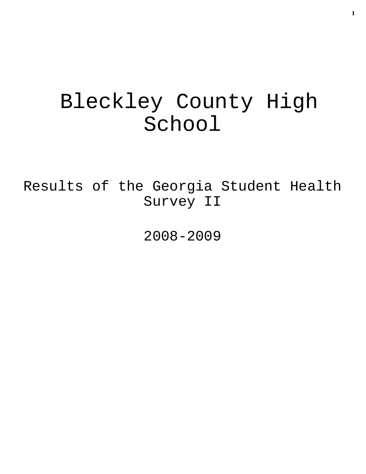# Bleckley County High School

Results of the Georgia Student Health Survey II

2008-2009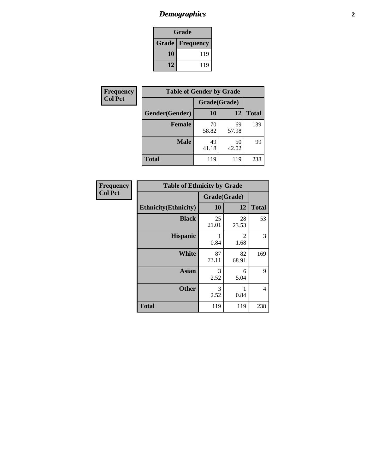# *Demographics* **2**

| Grade                    |     |  |  |
|--------------------------|-----|--|--|
| <b>Grade   Frequency</b> |     |  |  |
| 10                       | 119 |  |  |
| 12                       | 119 |  |  |

| Frequency      | <b>Table of Gender by Grade</b> |              |             |              |
|----------------|---------------------------------|--------------|-------------|--------------|
| <b>Col Pct</b> |                                 | Grade(Grade) |             |              |
|                | Gender(Gender)                  | <b>10</b>    | 12          | <b>Total</b> |
|                | <b>Female</b>                   | 70<br>58.82  | 69<br>57.98 | 139          |
|                | <b>Male</b>                     | 49<br>41.18  | 50<br>42.02 | 99           |
|                | <b>Total</b>                    | 119          | 119         | 238          |

| <b>Frequency</b> |  |
|------------------|--|
| <b>Col Pct</b>   |  |

| <b>Table of Ethnicity by Grade</b> |              |             |              |  |  |
|------------------------------------|--------------|-------------|--------------|--|--|
|                                    | Grade(Grade) |             |              |  |  |
| <b>Ethnicity</b> (Ethnicity)       | 10           | 12          | <b>Total</b> |  |  |
| <b>Black</b>                       | 25<br>21.01  | 28<br>23.53 | 53           |  |  |
| <b>Hispanic</b>                    | 1<br>0.84    | 2<br>1.68   | 3            |  |  |
| White                              | 87<br>73.11  | 82<br>68.91 | 169          |  |  |
| <b>Asian</b>                       | 3<br>2.52    | 6<br>5.04   | 9            |  |  |
| <b>Other</b>                       | 3<br>2.52    | 1<br>0.84   | 4            |  |  |
| <b>Total</b>                       | 119          | 119         | 238          |  |  |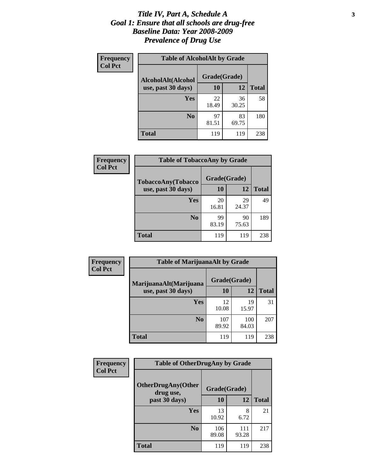### *Title IV, Part A, Schedule A* **3** *Goal 1: Ensure that all schools are drug-free Baseline Data: Year 2008-2009 Prevalence of Drug Use*

| Frequency<br><b>Col Pct</b> | <b>Table of AlcoholAlt by Grade</b> |              |             |              |  |  |
|-----------------------------|-------------------------------------|--------------|-------------|--------------|--|--|
|                             | AlcoholAlt(Alcohol                  | Grade(Grade) |             |              |  |  |
|                             | use, past 30 days)                  | 10           | 12          | <b>Total</b> |  |  |
|                             | Yes                                 | 22<br>18.49  | 36<br>30.25 | 58           |  |  |
|                             | N <sub>0</sub>                      | 97<br>81.51  | 83<br>69.75 | 180          |  |  |
|                             | <b>Total</b>                        | 119          | 119         | 238          |  |  |

| Frequency      | <b>Table of TobaccoAny by Grade</b> |              |             |              |  |  |
|----------------|-------------------------------------|--------------|-------------|--------------|--|--|
| <b>Col Pct</b> | TobaccoAny(Tobacco                  | Grade(Grade) |             |              |  |  |
|                | use, past 30 days)                  | 10           | 12          | <b>Total</b> |  |  |
|                | Yes                                 | 20<br>16.81  | 29<br>24.37 | 49           |  |  |
|                | N <sub>0</sub>                      | 99<br>83.19  | 90<br>75.63 | 189          |  |  |
|                | <b>Total</b>                        | 119          | 119         | 238          |  |  |

| Frequency<br><b>Col Pct</b> | <b>Table of MarijuanaAlt by Grade</b>        |              |              |              |  |
|-----------------------------|----------------------------------------------|--------------|--------------|--------------|--|
|                             | MarijuanaAlt(Marijuana<br>use, past 30 days) | Grade(Grade) |              |              |  |
|                             |                                              | <b>10</b>    | 12           | <b>Total</b> |  |
|                             | <b>Yes</b>                                   | 12<br>10.08  | 19<br>15.97  | 31           |  |
|                             | N <sub>0</sub>                               | 107<br>89.92 | 100<br>84.03 | 207          |  |
|                             | <b>Total</b>                                 | 119          | 119          | 238          |  |

| Frequency<br><b>Col Pct</b> | <b>Table of OtherDrugAny by Grade</b>  |              |              |              |  |
|-----------------------------|----------------------------------------|--------------|--------------|--------------|--|
|                             | <b>OtherDrugAny(Other</b><br>drug use, | Grade(Grade) |              |              |  |
|                             | past 30 days)                          | 10           | 12           | <b>Total</b> |  |
|                             | <b>Yes</b>                             | 13<br>10.92  | 8<br>6.72    | 21           |  |
|                             | N <sub>0</sub>                         | 106<br>89.08 | 111<br>93.28 | 217          |  |
|                             | <b>Total</b>                           | 119          | 119          | 238          |  |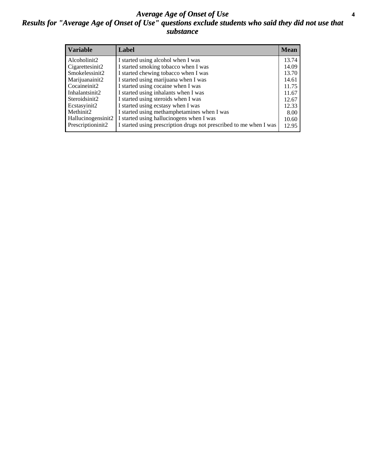### *Average Age of Onset of Use* **4** *Results for "Average Age of Onset of Use" questions exclude students who said they did not use that substance*

| <b>Variable</b>    | Label                                                              | <b>Mean</b> |
|--------------------|--------------------------------------------------------------------|-------------|
| Alcoholinit2       | I started using alcohol when I was                                 | 13.74       |
| Cigarettesinit2    | I started smoking tobacco when I was                               | 14.09       |
| Smokelessinit2     | I started chewing tobacco when I was                               | 13.70       |
| Marijuanainit2     | I started using marijuana when I was                               | 14.61       |
| Cocaineinit2       | I started using cocaine when I was                                 | 11.75       |
| Inhalantsinit2     | I started using inhalants when I was                               | 11.67       |
| Steroidsinit2      | I started using steroids when I was                                | 12.67       |
| Ecstasyinit2       | I started using ecstasy when I was                                 | 12.33       |
| Methinit2          | I started using methamphetamines when I was                        | 8.00        |
| Hallucinogensinit2 | I started using hallucinogens when I was                           | 10.60       |
| Prescriptioninit2  | I started using prescription drugs not prescribed to me when I was | 12.95       |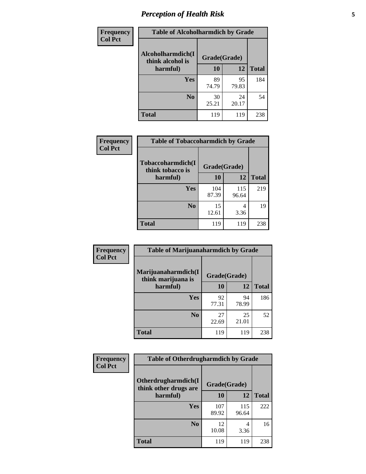# *Perception of Health Risk* **5**

| Frequency      | <b>Table of Alcoholharmdich by Grade</b> |              |             |              |  |
|----------------|------------------------------------------|--------------|-------------|--------------|--|
| <b>Col Pct</b> | Alcoholharmdich(I<br>think alcohol is    | Grade(Grade) |             |              |  |
|                | harmful)                                 | 10           | 12          | <b>Total</b> |  |
|                | <b>Yes</b>                               | 89<br>74.79  | 95<br>79.83 | 184          |  |
|                | N <sub>0</sub>                           | 30<br>25.21  | 24<br>20.17 | 54           |  |
|                | <b>Total</b>                             | 119          | 119         | 238          |  |

| Frequency      | <b>Table of Tobaccoharmdich by Grade</b> |              |              |              |  |
|----------------|------------------------------------------|--------------|--------------|--------------|--|
| <b>Col Pct</b> | Tobaccoharmdich(I<br>think tobacco is    | Grade(Grade) |              |              |  |
|                | harmful)                                 | 10           | 12           | <b>Total</b> |  |
|                | Yes                                      | 104<br>87.39 | 115<br>96.64 | 219          |  |
|                | N <sub>0</sub>                           | 15<br>12.61  | 4<br>3.36    | 19           |  |
|                | <b>Total</b>                             | 119          | 119          | 238          |  |

| <b>Frequency</b> | <b>Table of Marijuanaharmdich by Grade</b> |              |             |              |  |
|------------------|--------------------------------------------|--------------|-------------|--------------|--|
| <b>Col Pct</b>   | Marijuanaharmdich(I<br>think marijuana is  | Grade(Grade) |             |              |  |
|                  | harmful)                                   | 10           | 12          | <b>Total</b> |  |
|                  | <b>Yes</b>                                 | 92<br>77.31  | 94<br>78.99 | 186          |  |
|                  | N <sub>0</sub>                             | 27<br>22.69  | 25<br>21.01 | 52           |  |
|                  | <b>Total</b>                               | 119          | 119         | 238          |  |

| Frequency      | <b>Table of Otherdrugharmdich by Grade</b>                   |              |              |              |  |  |  |  |
|----------------|--------------------------------------------------------------|--------------|--------------|--------------|--|--|--|--|
| <b>Col Pct</b> | Otherdrugharmdich(I<br>Grade(Grade)<br>think other drugs are |              |              |              |  |  |  |  |
|                | harmful)                                                     | 10           | 12           | <b>Total</b> |  |  |  |  |
|                | <b>Yes</b>                                                   | 107<br>89.92 | 115<br>96.64 | 222          |  |  |  |  |
|                | N <sub>0</sub>                                               | 12<br>10.08  | 4<br>3.36    | 16           |  |  |  |  |
|                | <b>Total</b>                                                 | 119          | 119          | 238          |  |  |  |  |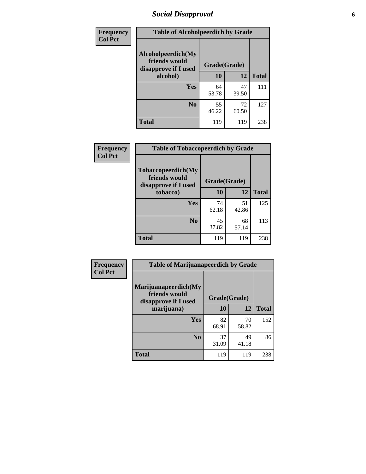# *Social Disapproval* **6**

| Frequency      | <b>Table of Alcoholpeerdich by Grade</b>                    |              |              |     |  |  |  |
|----------------|-------------------------------------------------------------|--------------|--------------|-----|--|--|--|
| <b>Col Pct</b> | Alcoholpeerdich(My<br>friends would<br>disapprove if I used | Grade(Grade) |              |     |  |  |  |
|                | alcohol)                                                    | 10           | <b>Total</b> |     |  |  |  |
|                | <b>Yes</b>                                                  | 64<br>53.78  | 47<br>39.50  | 111 |  |  |  |
|                | N <sub>0</sub>                                              | 55<br>46.22  | 72<br>60.50  | 127 |  |  |  |
|                | <b>Total</b>                                                | 119          | 119          | 238 |  |  |  |

| <b>Frequency</b> |
|------------------|
| <b>Col Pct</b>   |

| <b>Table of Tobaccopeerdich by Grade</b>                    |              |             |              |  |  |  |
|-------------------------------------------------------------|--------------|-------------|--------------|--|--|--|
| Tobaccopeerdich(My<br>friends would<br>disapprove if I used | Grade(Grade) |             |              |  |  |  |
| tobacco)                                                    | 10           | 12          | <b>Total</b> |  |  |  |
| Yes                                                         | 74<br>62.18  | 51<br>42.86 | 125          |  |  |  |
| N <sub>0</sub>                                              | 45<br>37.82  | 68<br>57.14 | 113          |  |  |  |
| <b>Total</b>                                                | 119          | 119         | 238          |  |  |  |

| Frequency      | <b>Table of Marijuanapeerdich by Grade</b>                    |              |             |              |  |  |  |  |
|----------------|---------------------------------------------------------------|--------------|-------------|--------------|--|--|--|--|
| <b>Col Pct</b> | Marijuanapeerdich(My<br>friends would<br>disapprove if I used | Grade(Grade) |             |              |  |  |  |  |
|                | marijuana)                                                    | 10           | 12          | <b>Total</b> |  |  |  |  |
|                | <b>Yes</b>                                                    | 82<br>68.91  | 70<br>58.82 | 152          |  |  |  |  |
|                | N <sub>0</sub>                                                | 37<br>31.09  | 49<br>41.18 | 86           |  |  |  |  |
|                | <b>Total</b>                                                  | 119          | 119         | 238          |  |  |  |  |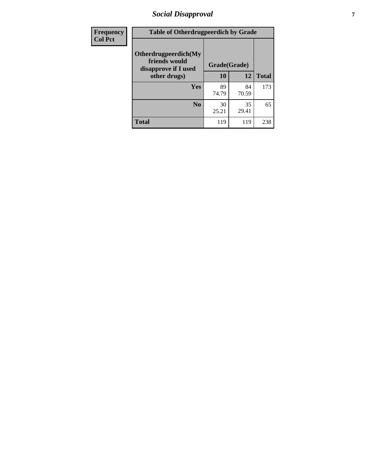# *Social Disapproval* **7**

| Frequency      | <b>Table of Otherdrugpeerdich by Grade</b>                    |              |             |              |  |  |  |  |
|----------------|---------------------------------------------------------------|--------------|-------------|--------------|--|--|--|--|
| <b>Col Pct</b> | Otherdrugpeerdich(My<br>friends would<br>disapprove if I used | Grade(Grade) |             |              |  |  |  |  |
|                | other drugs)                                                  | 10           | 12          | <b>Total</b> |  |  |  |  |
|                | Yes                                                           | 89<br>74.79  | 84<br>70.59 | 173          |  |  |  |  |
|                | N <sub>0</sub>                                                | 30<br>25.21  | 35<br>29.41 | 65           |  |  |  |  |
|                | <b>Total</b>                                                  | 119          | 119         | 238          |  |  |  |  |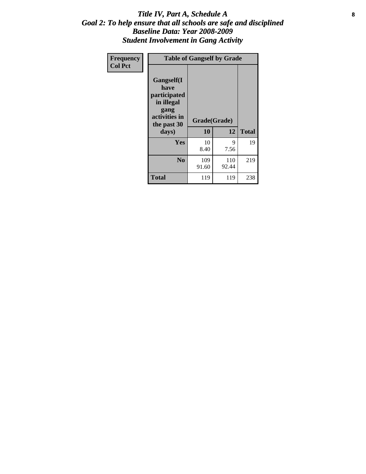### Title IV, Part A, Schedule A **8** *Goal 2: To help ensure that all schools are safe and disciplined Baseline Data: Year 2008-2009 Student Involvement in Gang Activity*

| Frequency      |                                                                                                           | <b>Table of Gangself by Grade</b> |              |              |
|----------------|-----------------------------------------------------------------------------------------------------------|-----------------------------------|--------------|--------------|
| <b>Col Pct</b> | <b>Gangself</b> (I<br>have<br>participated<br>in illegal<br>gang<br>activities in<br>the past 30<br>days) | Grade(Grade)<br>10                | 12           | <b>Total</b> |
|                | Yes                                                                                                       | 10<br>8.40                        | 9<br>7.56    | 19           |
|                | N <sub>0</sub>                                                                                            | 109<br>91.60                      | 110<br>92.44 | 219          |
|                | <b>Total</b>                                                                                              | 119                               | 119          | 238          |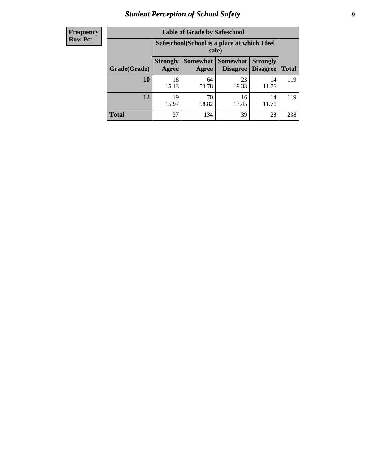# *Student Perception of School Safety* **9**

| <b>Frequency</b><br>Row Pct |
|-----------------------------|
|                             |

| <b>Table of Grade by Safeschool</b> |                          |                                                        |                             |                                    |              |  |  |
|-------------------------------------|--------------------------|--------------------------------------------------------|-----------------------------|------------------------------------|--------------|--|--|
|                                     |                          | Safeschool (School is a place at which I feel<br>safe) |                             |                                    |              |  |  |
| Grade(Grade)                        | <b>Strongly</b><br>Agree | Somewhat  <br>Agree                                    | <b>Somewhat</b><br>Disagree | <b>Strongly</b><br><b>Disagree</b> | <b>Total</b> |  |  |
| 10                                  | 18<br>15.13              | 64<br>53.78                                            | 23<br>19.33                 | 14<br>11.76                        | 119          |  |  |
| 12                                  | 19<br>15.97              | 70<br>58.82                                            | 16<br>13.45                 | 14<br>11.76                        | 119          |  |  |
| <b>Total</b>                        | 37                       | 134                                                    | 39                          | 28                                 | 238          |  |  |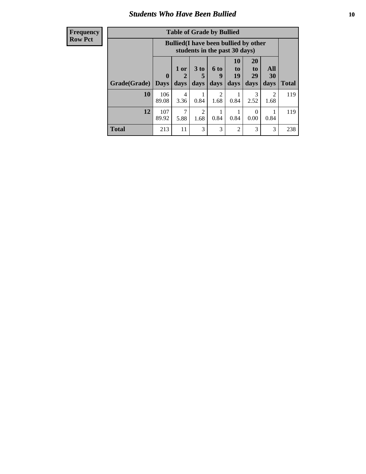### *Students Who Have Been Bullied* **10**

| Frequency |
|-----------|
| Row Pct   |

| <b>Table of Grade by Bullied</b> |                             |                                                                               |                     |                   |                        |                        |                          |              |
|----------------------------------|-----------------------------|-------------------------------------------------------------------------------|---------------------|-------------------|------------------------|------------------------|--------------------------|--------------|
|                                  |                             | <b>Bullied</b> (I have been bullied by other<br>students in the past 30 days) |                     |                   |                        |                        |                          |              |
| <b>Grade</b> (Grade)             | $\mathbf{0}$<br><b>Days</b> | 1 or<br>2<br>days                                                             | $3$ to<br>5<br>days | 6 to<br>9<br>days | 10<br>to<br>19<br>days | 20<br>to<br>29<br>days | All<br><b>30</b><br>days | <b>Total</b> |
| 10                               | 106<br>89.08                | 4<br>3.36                                                                     | 0.84                | 2<br>1.68         | 0.84                   | 3<br>2.52              | 2<br>1.68                | 119          |
| 12                               | 107<br>89.92                | 7<br>5.88                                                                     | 2<br>1.68           | 0.84              | 0.84                   | $\Omega$<br>0.00       | 0.84                     | 119          |
| <b>Total</b>                     | 213                         | 11                                                                            | 3                   | 3                 | 2                      | 3                      | 3                        | 238          |

 $\blacksquare$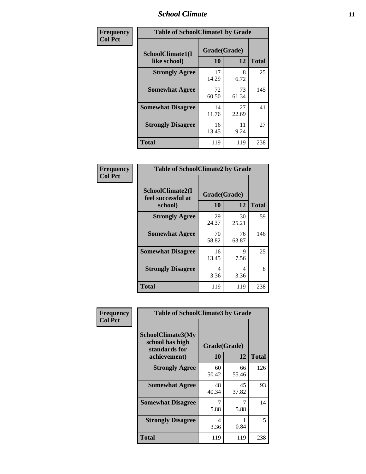### *School Climate* **11**

| Frequency      | <b>Table of SchoolClimate1 by Grade</b> |                    |             |              |  |  |  |
|----------------|-----------------------------------------|--------------------|-------------|--------------|--|--|--|
| <b>Col Pct</b> | SchoolClimate1(I<br>like school)        | Grade(Grade)<br>10 | 12          | <b>Total</b> |  |  |  |
|                | <b>Strongly Agree</b>                   | 17<br>14.29        | 8<br>6.72   | 25           |  |  |  |
|                | <b>Somewhat Agree</b>                   | 72<br>60.50        | 73<br>61.34 | 145          |  |  |  |
|                | <b>Somewhat Disagree</b>                | 14<br>11.76        | 27<br>22.69 | 41           |  |  |  |
|                | <b>Strongly Disagree</b>                | 16<br>13.45        | 11<br>9.24  | 27           |  |  |  |
|                | <b>Total</b>                            | 119                | 119         | 238          |  |  |  |

| Frequency      | <b>Table of SchoolClimate2 by Grade</b>           |                    |             |              |
|----------------|---------------------------------------------------|--------------------|-------------|--------------|
| <b>Col Pct</b> | SchoolClimate2(I<br>feel successful at<br>school) | Grade(Grade)<br>10 | 12          | <b>Total</b> |
|                | <b>Strongly Agree</b>                             | 29<br>24.37        | 30<br>25.21 | 59           |
|                | <b>Somewhat Agree</b>                             | 70<br>58.82        | 76<br>63.87 | 146          |
|                | <b>Somewhat Disagree</b>                          | 16<br>13.45        | 9<br>7.56   | 25           |
|                | <b>Strongly Disagree</b>                          | 4<br>3.36          | 4<br>3.36   | 8            |
|                | <b>Total</b>                                      | 119                | 119         | 238          |

| Frequency      | <b>Table of SchoolClimate3 by Grade</b>                                      |                    |             |              |
|----------------|------------------------------------------------------------------------------|--------------------|-------------|--------------|
| <b>Col Pct</b> | <b>SchoolClimate3(My</b><br>school has high<br>standards for<br>achievement) | Grade(Grade)<br>10 | 12          | <b>Total</b> |
|                | <b>Strongly Agree</b>                                                        | 60<br>50.42        | 66<br>55.46 | 126          |
|                | <b>Somewhat Agree</b>                                                        | 48<br>40.34        | 45<br>37.82 | 93           |
|                | <b>Somewhat Disagree</b>                                                     | 7<br>5.88          | 7<br>5.88   | 14           |
|                | <b>Strongly Disagree</b>                                                     | 4<br>3.36          | 0.84        | 5            |
|                | Total                                                                        | 119                | 119         | 238          |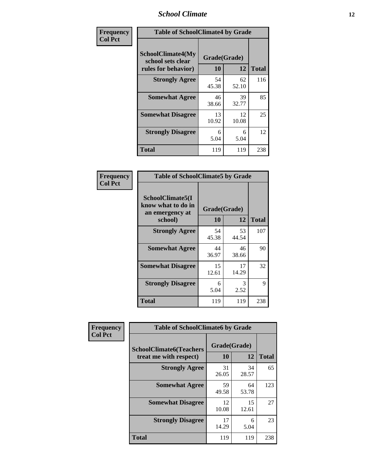### *School Climate* **12**

| Frequency      |                                                               | <b>Table of SchoolClimate4 by Grade</b> |             |              |  |
|----------------|---------------------------------------------------------------|-----------------------------------------|-------------|--------------|--|
| <b>Col Pct</b> | SchoolClimate4(My<br>school sets clear<br>rules for behavior) | Grade(Grade)<br>10                      | 12          | <b>Total</b> |  |
|                | <b>Strongly Agree</b>                                         | 54<br>45.38                             | 62<br>52.10 | 116          |  |
|                | <b>Somewhat Agree</b>                                         | 46<br>38.66                             | 39<br>32.77 | 85           |  |
|                | <b>Somewhat Disagree</b>                                      | 13<br>10.92                             | 12<br>10.08 | 25           |  |
|                | <b>Strongly Disagree</b>                                      | 6<br>5.04                               | 6<br>5.04   | 12           |  |
|                | Total                                                         | 119                                     | 119         | 238          |  |

| <b>Table of SchoolClimate5 by Grade</b>                   |                    |             |              |  |  |
|-----------------------------------------------------------|--------------------|-------------|--------------|--|--|
| SchoolClimate5(I<br>know what to do in<br>an emergency at | Grade(Grade)<br>10 | 12          | <b>Total</b> |  |  |
| school)                                                   |                    |             |              |  |  |
| <b>Strongly Agree</b>                                     | 54<br>45.38        | 53<br>44.54 | 107          |  |  |
| <b>Somewhat Agree</b>                                     | 44<br>36.97        | 46<br>38.66 | 90           |  |  |
| <b>Somewhat Disagree</b>                                  | 15<br>12.61        | 17<br>14.29 | 32           |  |  |
| <b>Strongly Disagree</b>                                  | 6<br>5.04          | 3<br>2.52   | 9            |  |  |
| <b>Total</b>                                              | 119                | 119         | 238          |  |  |

| Frequency      | <b>Table of SchoolClimate6 by Grade</b>                  |                    |             |              |
|----------------|----------------------------------------------------------|--------------------|-------------|--------------|
| <b>Col Pct</b> | <b>SchoolClimate6(Teachers</b><br>treat me with respect) | Grade(Grade)<br>10 | 12          | <b>Total</b> |
|                | <b>Strongly Agree</b>                                    | 31<br>26.05        | 34<br>28.57 | 65           |
|                | <b>Somewhat Agree</b>                                    | 59<br>49.58        | 64<br>53.78 | 123          |
|                | <b>Somewhat Disagree</b>                                 | 12<br>10.08        | 15<br>12.61 | 27           |
|                | <b>Strongly Disagree</b>                                 | 17<br>14.29        | 6<br>5.04   | 23           |
|                | <b>Total</b>                                             | 119                | 119         | 238          |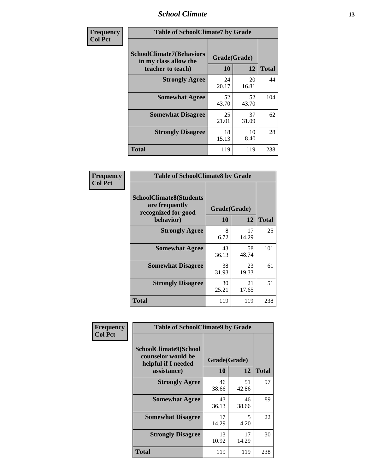### *School Climate* **13**

| Frequency      | <b>Table of SchoolClimate7 by Grade</b>                                       |                           |             |              |
|----------------|-------------------------------------------------------------------------------|---------------------------|-------------|--------------|
| <b>Col Pct</b> | <b>SchoolClimate7(Behaviors</b><br>in my class allow the<br>teacher to teach) | Grade(Grade)<br><b>10</b> | 12          | <b>Total</b> |
|                | <b>Strongly Agree</b>                                                         | 24<br>20.17               | 20<br>16.81 | 44           |
|                | <b>Somewhat Agree</b>                                                         | 52<br>43.70               | 52<br>43.70 | 104          |
|                | <b>Somewhat Disagree</b>                                                      | 25<br>21.01               | 37<br>31.09 | 62           |
|                | <b>Strongly Disagree</b>                                                      | 18<br>15.13               | 10<br>8.40  | 28           |
|                | <b>Total</b>                                                                  | 119                       | 119         | 238          |

| Frequency      | <b>Table of SchoolClimate8 by Grade</b>                                              |                    |             |              |
|----------------|--------------------------------------------------------------------------------------|--------------------|-------------|--------------|
| <b>Col Pct</b> | <b>SchoolClimate8(Students</b><br>are frequently<br>recognized for good<br>behavior) | Grade(Grade)<br>10 | 12          | <b>Total</b> |
|                | <b>Strongly Agree</b>                                                                | 8<br>6.72          | 17<br>14.29 | 25           |
|                | <b>Somewhat Agree</b>                                                                | 43<br>36.13        | 58<br>48.74 | 101          |
|                | <b>Somewhat Disagree</b>                                                             | 38<br>31.93        | 23<br>19.33 | 61           |
|                | <b>Strongly Disagree</b>                                                             | 30<br>25.21        | 21<br>17.65 | 51           |
|                | <b>Total</b>                                                                         | 119                | 119         | 238          |

| Frequency<br><b>Col Pct</b> | <b>Table of SchoolClimate9 by Grade</b>                                           |                    |             |              |
|-----------------------------|-----------------------------------------------------------------------------------|--------------------|-------------|--------------|
|                             | SchoolClimate9(School<br>counselor would be<br>helpful if I needed<br>assistance) | Grade(Grade)<br>10 | 12          | <b>Total</b> |
|                             | <b>Strongly Agree</b>                                                             | 46<br>38.66        | 51<br>42.86 | 97           |
|                             | <b>Somewhat Agree</b>                                                             | 43<br>36.13        | 46<br>38.66 | 89           |
|                             | <b>Somewhat Disagree</b>                                                          | 17<br>14.29        | 5<br>4.20   | 22           |
|                             | <b>Strongly Disagree</b>                                                          | 13<br>10.92        | 17<br>14.29 | 30           |
|                             | <b>Total</b>                                                                      | 119                | 119         | 238          |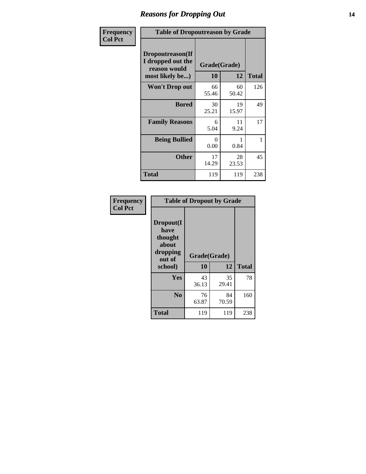### *Reasons for Dropping Out* **14**

| Frequency      | <b>Table of Dropoutreason by Grade</b>                                   |                  |                    |              |
|----------------|--------------------------------------------------------------------------|------------------|--------------------|--------------|
| <b>Col Pct</b> | Dropoutreason(If<br>I dropped out the<br>reason would<br>most likely be) | 10               | Grade(Grade)<br>12 | <b>Total</b> |
|                | Won't Drop out                                                           | 66<br>55.46      | 60<br>50.42        | 126          |
|                | <b>Bored</b>                                                             | 30<br>25.21      | 19<br>15.97        | 49           |
|                | <b>Family Reasons</b>                                                    | 6<br>5.04        | 11<br>9.24         | 17           |
|                | <b>Being Bullied</b>                                                     | $\Omega$<br>0.00 | 1<br>0.84          | 1            |
|                | <b>Other</b>                                                             | 17<br>14.29      | 28<br>23.53        | 45           |
|                | Total                                                                    | 119              | 119                | 238          |

| Frequency      | <b>Table of Dropout by Grade</b>                                       |             |                    |     |  |
|----------------|------------------------------------------------------------------------|-------------|--------------------|-----|--|
| <b>Col Pct</b> | Dropout(I<br>have<br>thought<br>about<br>dropping<br>out of<br>school) | 10          | Grade(Grade)<br>12 |     |  |
|                | Yes                                                                    | 43<br>36.13 | 35<br>29.41        | 78  |  |
|                | N <sub>0</sub>                                                         | 76<br>63.87 | 84<br>70.59        | 160 |  |
|                | <b>Total</b>                                                           | 119         | 119                | 238 |  |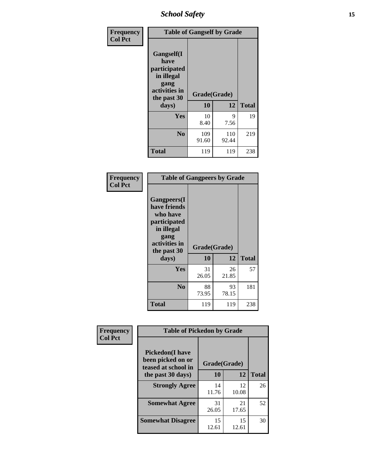*School Safety* **15**

| Frequency      |                                                                                                   | <b>Table of Gangself by Grade</b> |              |              |
|----------------|---------------------------------------------------------------------------------------------------|-----------------------------------|--------------|--------------|
| <b>Col Pct</b> | Gangself(I<br>have<br>participated<br>in illegal<br>gang<br>activities in<br>the past 30<br>days) | Grade(Grade)<br>10                | 12           | <b>Total</b> |
|                | Yes                                                                                               | 10<br>8.40                        | 9<br>7.56    | 19           |
|                | N <sub>o</sub>                                                                                    | 109<br>91.60                      | 110<br>92.44 | 219          |
|                | Total                                                                                             | 119                               | 119          | 238          |

| Frequency<br><b>Col Pct</b> | <b>Table of Gangpeers by Grade</b>                                                                                             |                    |             |              |
|-----------------------------|--------------------------------------------------------------------------------------------------------------------------------|--------------------|-------------|--------------|
|                             | <b>Gangpeers</b> (I<br>have friends<br>who have<br>participated<br>in illegal<br>gang<br>activities in<br>the past 30<br>days) | Grade(Grade)<br>10 | 12          | <b>Total</b> |
|                             | <b>Yes</b>                                                                                                                     | 31<br>26.05        | 26<br>21.85 | 57           |
|                             | N <sub>0</sub>                                                                                                                 | 88<br>73.95        | 93<br>78.15 | 181          |
|                             | <b>Total</b>                                                                                                                   | 119                | 119         | 238          |

| Frequency      | <b>Table of Pickedon by Grade</b>                                  |              |             |              |
|----------------|--------------------------------------------------------------------|--------------|-------------|--------------|
| <b>Col Pct</b> | <b>Pickedon(I have</b><br>been picked on or<br>teased at school in | Grade(Grade) |             |              |
|                | the past 30 days)                                                  | 10           | 12          | <b>Total</b> |
|                | <b>Strongly Agree</b>                                              | 14<br>11.76  | 12<br>10.08 | 26           |
|                | <b>Somewhat Agree</b>                                              | 31<br>26.05  | 21<br>17.65 | 52           |
|                | <b>Somewhat Disagree</b>                                           | 15<br>12.61  | 15<br>12.61 | 30           |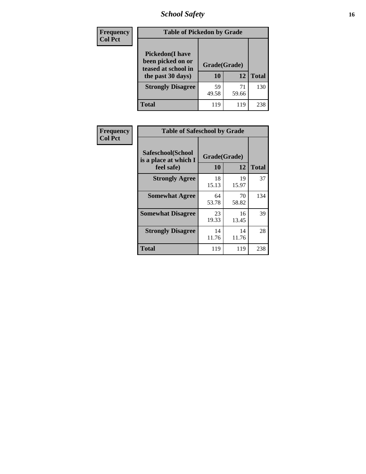# *School Safety* **16**

| <b>Frequency</b> |                                                                                          | <b>Table of Pickedon by Grade</b> |             |              |  |  |  |  |  |  |  |
|------------------|------------------------------------------------------------------------------------------|-----------------------------------|-------------|--------------|--|--|--|--|--|--|--|
| <b>Col Pct</b>   | <b>Pickedon</b> (I have<br>been picked on or<br>teased at school in<br>the past 30 days) | Grade(Grade)<br>10                | 12          | <b>Total</b> |  |  |  |  |  |  |  |
|                  | <b>Strongly Disagree</b>                                                                 | 59<br>49.58                       | 71<br>59.66 | 130          |  |  |  |  |  |  |  |
|                  | Total                                                                                    | 119                               | 119         | 238          |  |  |  |  |  |  |  |

| Frequency      | <b>Table of Safeschool by Grade</b>                      |                    |              |     |
|----------------|----------------------------------------------------------|--------------------|--------------|-----|
| <b>Col Pct</b> | Safeschool(School<br>is a place at which I<br>feel safe) | Grade(Grade)<br>10 | <b>Total</b> |     |
|                | <b>Strongly Agree</b>                                    | 18<br>15.13        | 19<br>15.97  | 37  |
|                | <b>Somewhat Agree</b>                                    | 64<br>53.78        | 70<br>58.82  | 134 |
|                | <b>Somewhat Disagree</b>                                 | 23<br>19.33        | 16<br>13.45  | 39  |
|                | <b>Strongly Disagree</b>                                 | 14<br>11.76        | 14<br>11.76  | 28  |
|                | <b>Total</b>                                             | 119                | 119          | 238 |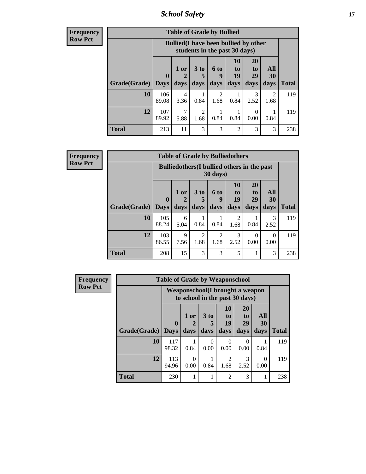*School Safety* **17**

|              | <b>Table of Grade by Bullied</b> |                                                                               |                              |                        |                        |                               |                                  |              |  |  |  |
|--------------|----------------------------------|-------------------------------------------------------------------------------|------------------------------|------------------------|------------------------|-------------------------------|----------------------------------|--------------|--|--|--|
|              |                                  | <b>Bullied</b> (I have been bullied by other<br>students in the past 30 days) |                              |                        |                        |                               |                                  |              |  |  |  |
| Grade(Grade) | 0<br><b>Days</b>                 | 1 or<br>days                                                                  | 3 <sub>to</sub><br>5<br>days | 6 to<br>9<br>days      | 10<br>to<br>19<br>days | <b>20</b><br>to<br>29<br>days | All<br><b>30</b><br>days         | <b>Total</b> |  |  |  |
| 10           | 106<br>89.08                     | 4<br>3.36                                                                     | 0.84                         | $\mathfrak{D}$<br>1.68 | 0.84                   | 3<br>2.52                     | $\overline{\mathcal{L}}$<br>1.68 | 119          |  |  |  |
| 12           | 107<br>89.92                     | 7<br>5.88                                                                     | 2<br>1.68                    | 0.84                   | 0.84                   | $\Omega$<br>0.00              | 0.84                             | 119          |  |  |  |
| <b>Total</b> | 213                              | 11                                                                            | 3                            | 3                      | $\overline{2}$         | 3                             | 3                                | 238          |  |  |  |

| <b>Frequency</b><br>Row Pct |
|-----------------------------|

| <b>Table of Grade by Bulliedothers</b> |                        |                                                                |                   |                        |                               |                               |                   |              |  |  |  |
|----------------------------------------|------------------------|----------------------------------------------------------------|-------------------|------------------------|-------------------------------|-------------------------------|-------------------|--------------|--|--|--|
|                                        |                        | <b>Bulliedothers</b> (I bullied others in the past<br>30 days) |                   |                        |                               |                               |                   |              |  |  |  |
| Grade(Grade)                           | $\mathbf{0}$<br>  Days | 1 or<br>2<br>days                                              | 3 to<br>5<br>days | 6 to<br>q<br>days      | <b>10</b><br>to<br>19<br>days | <b>20</b><br>to<br>29<br>days | All<br>30<br>days | <b>Total</b> |  |  |  |
| 10                                     | 105<br>88.24           | 6<br>5.04                                                      | 0.84              | 0.84                   | 2<br>1.68                     | 0.84                          | 3<br>2.52         | 119          |  |  |  |
| 12                                     | 103<br>86.55           | 9<br>7.56                                                      | 2<br>1.68         | $\overline{c}$<br>1.68 | 3<br>2.52                     | $\Omega$<br>0.00              | 0<br>0.00         | 119          |  |  |  |
| <b>Total</b>                           | 208                    | 15                                                             | 3                 | 3                      | 5                             |                               | 3                 | 238          |  |  |  |

| <b>Frequency</b> |                                                                   | <b>Table of Grade by Weaponschool</b> |                  |                      |                        |                                   |                  |              |  |
|------------------|-------------------------------------------------------------------|---------------------------------------|------------------|----------------------|------------------------|-----------------------------------|------------------|--------------|--|
| <b>Row Pct</b>   | Weaponschool(I brought a weapon<br>to school in the past 30 days) |                                       |                  |                      |                        |                                   |                  |              |  |
|                  |                                                                   | $\mathbf{0}$                          | 1 or             | 3 <sub>to</sub><br>5 | <b>10</b><br>to<br>19  | <b>20</b><br>t <sub>0</sub><br>29 | All<br>30        |              |  |
|                  | Grade(Grade)                                                      | <b>Days</b>                           | days             | days                 | days                   | days                              | days             | <b>Total</b> |  |
|                  | 10                                                                | 117<br>98.32                          | 0.84             | $\Omega$<br>0.00     | 0<br>0.00              | $\Omega$<br>0.00                  | 0.84             | 119          |  |
|                  | 12                                                                | 113<br>94.96                          | $\Omega$<br>0.00 | 0.84                 | $\overline{2}$<br>1.68 | 3<br>2.52                         | $\Omega$<br>0.00 | 119          |  |
|                  | <b>Total</b>                                                      | 230                                   |                  |                      | $\overline{2}$         | 3                                 | 1                | 238          |  |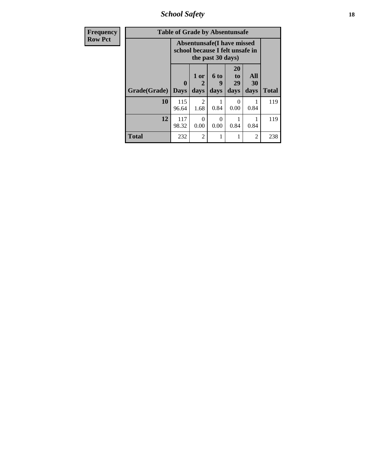*School Safety* **18**

| <b>Frequency</b> |              | <b>Table of Grade by Absentunsafe</b>                                |                   |                   |                        |                   |              |
|------------------|--------------|----------------------------------------------------------------------|-------------------|-------------------|------------------------|-------------------|--------------|
| <b>Row Pct</b>   |              | <b>Absentunsafe(I have missed</b><br>school because I felt unsafe in |                   |                   |                        |                   |              |
|                  | Grade(Grade) | 0<br><b>Days</b>                                                     | 1 or<br>2<br>days | 6 to<br>9<br>days | 20<br>to<br>29<br>days | All<br>30<br>days | <b>Total</b> |
|                  | 10           | 115<br>96.64                                                         | 2<br>1.68         | 0.84              | 0.00                   | 0.84              | 119          |
|                  | 12           | 117<br>98.32                                                         | $\Omega$<br>0.00  | ∩<br>0.00         | 0.84                   | 0.84              | 119          |
|                  | <b>Total</b> | 232                                                                  | $\overline{2}$    |                   |                        | 2                 | 238          |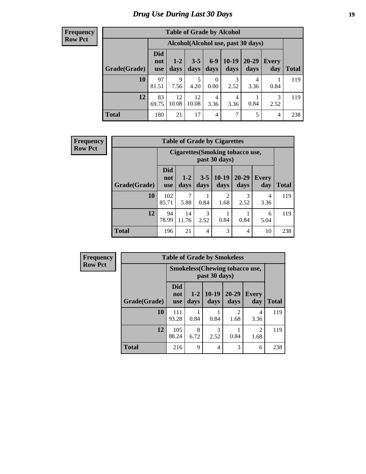# *Drug Use During Last 30 Days* **19**

| <b>Table of Grade by Alcohol</b> |                                 |                                    |                 |                  |                 |                   |              |       |  |  |  |
|----------------------------------|---------------------------------|------------------------------------|-----------------|------------------|-----------------|-------------------|--------------|-------|--|--|--|
|                                  |                                 | Alcohol(Alcohol use, past 30 days) |                 |                  |                 |                   |              |       |  |  |  |
| <b>Grade</b> (Grade)             | <b>Did</b><br>not<br><b>use</b> | $1-2$<br>days                      | $3 - 5$<br>days | $6-9$<br>days    | $10-19$<br>days | $20 - 29$<br>days | Every<br>day | Total |  |  |  |
| 10                               | 97<br>81.51                     | $\mathbf Q$<br>7.56                | 5<br>4.20       | $\theta$<br>0.00 | 3<br>2.52       | 4<br>3.36         | 0.84         | 119   |  |  |  |
| 12                               | 83<br>69.75                     | 12<br>10.08                        | 12<br>10.08     | 4<br>3.36        | 4<br>3.36       | 0.84              | 3<br>2.52    | 119   |  |  |  |
| <b>Total</b>                     | 180                             | 21                                 | 17              | 4                | 7               | 5                 | 4            | 238   |  |  |  |

| <b>Frequency</b> |              | <b>Table of Grade by Cigarettes</b> |               |                 |                                                   |                       |                     |              |  |  |
|------------------|--------------|-------------------------------------|---------------|-----------------|---------------------------------------------------|-----------------------|---------------------|--------------|--|--|
| <b>Row Pct</b>   |              |                                     |               |                 | Cigarettes (Smoking tobacco use,<br>past 30 days) |                       |                     |              |  |  |
|                  | Grade(Grade) | <b>Did</b><br>not<br><b>use</b>     | $1-2$<br>days | $3 - 5$<br>days | $10-19$<br>days                                   | $20 - 29$<br>days     | <b>Every</b><br>day | <b>Total</b> |  |  |
|                  | <b>10</b>    | 102<br>85.71                        | 7<br>5.88     | 0.84            | $\overline{2}$<br>1.68                            | $\mathcal{F}$<br>2.52 | 4<br>3.36           | 119          |  |  |
|                  | 12           | 94<br>78.99                         | 14<br>11.76   | 3<br>2.52       | 0.84                                              | 0.84                  | 6<br>5.04           | 119          |  |  |
|                  | <b>Total</b> | 196                                 | 21            | 4               | 3                                                 | $\overline{4}$        | 10                  | 238          |  |  |

| <b>Frequency</b> | <b>Table of Grade by Smokeless</b> |                                 |                 |                                                        |                                     |                        |              |
|------------------|------------------------------------|---------------------------------|-----------------|--------------------------------------------------------|-------------------------------------|------------------------|--------------|
| <b>Row Pct</b>   |                                    |                                 |                 | <b>Smokeless</b> (Chewing tobaccouse,<br>past 30 days) |                                     |                        |              |
|                  | Grade(Grade)                       | <b>Did</b><br>not<br><b>use</b> | $1 - 2$<br>days | $10-19$<br>days                                        | $20 - 29$<br>days                   | <b>Every</b><br>day    | <b>Total</b> |
|                  | 10                                 | 111<br>93.28                    | 0.84            | 0.84                                                   | $\mathcal{D}_{\mathcal{A}}$<br>1.68 | 4<br>3.36              | 119          |
|                  | 12                                 | 105<br>88.24                    | 8<br>6.72       | 3<br>2.52                                              | 0.84                                | $\overline{c}$<br>1.68 | 119          |
|                  | <b>Total</b>                       | 216                             | 9               | 4                                                      | 3                                   | 6                      | 238          |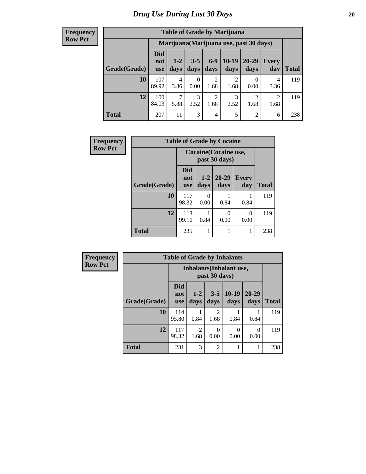| <b>Table of Grade by Marijuana</b> |                                 |                       |                 |                        |                 |                                         |                        |       |  |  |  |
|------------------------------------|---------------------------------|-----------------------|-----------------|------------------------|-----------------|-----------------------------------------|------------------------|-------|--|--|--|
|                                    |                                 |                       |                 |                        |                 | Marijuana (Marijuana use, past 30 days) |                        |       |  |  |  |
| Grade(Grade)                       | <b>Did</b><br>not<br><b>use</b> | $1 - 2$<br>days       | $3 - 5$<br>days | $6-9$<br>days          | $10-19$<br>days | 20-29<br>days                           | Every<br>day           | Total |  |  |  |
| 10                                 | 107<br>89.92                    | 4<br>3.36             | 0<br>0.00       | $\overline{2}$<br>1.68 | 2<br>1.68       | 0<br>0.00                               | 4<br>3.36              | 119   |  |  |  |
| 12                                 | 100<br>84.03                    | $\mathcal{I}$<br>5.88 | 3<br>2.52       | $\overline{2}$<br>1.68 | 3<br>2.52       | $\overline{2}$<br>1.68                  | $\overline{2}$<br>1.68 | 119   |  |  |  |
| <b>Total</b>                       | 207                             | 11                    | 3               | $\overline{4}$         | 5               | 2                                       | 6                      | 238   |  |  |  |

| Frequency      | <b>Table of Grade by Cocaine</b> |                                 |                  |                                        |                     |              |
|----------------|----------------------------------|---------------------------------|------------------|----------------------------------------|---------------------|--------------|
| <b>Row Pct</b> |                                  |                                 |                  | Cocaine (Cocaine use,<br>past 30 days) |                     |              |
|                | Grade(Grade)                     | <b>Did</b><br>not<br><b>use</b> | $1-2$<br>days    | $20 - 29$<br>days                      | <b>Every</b><br>day | <b>Total</b> |
|                | 10                               | 117<br>98.32                    | $\Omega$<br>0.00 | 0.84                                   | 0.84                | 119          |
|                | 12                               | 118<br>99.16                    | 0.84             | 0<br>0.00                              | 0<br>0.00           | 119          |
|                | <b>Total</b>                     | 235                             |                  |                                        |                     | 238          |

| <b>Frequency</b> |              |                                 |                                                  |                        | <b>Table of Grade by Inhalants</b> |                   |              |  |
|------------------|--------------|---------------------------------|--------------------------------------------------|------------------------|------------------------------------|-------------------|--------------|--|
| <b>Row Pct</b>   |              |                                 | <b>Inhalants</b> (Inhalant use,<br>past 30 days) |                        |                                    |                   |              |  |
|                  | Grade(Grade) | <b>Did</b><br>not<br><b>use</b> | $1 - 2$<br>days                                  | $3 - 5$<br>days        | $10-19$<br>days                    | $20 - 29$<br>days | <b>Total</b> |  |
|                  | 10           | 114<br>95.80                    | 0.84                                             | $\overline{c}$<br>1.68 | 0.84                               | 0.84              | 119          |  |
|                  | 12           | 117<br>98.32                    | $\mathfrak{D}$<br>1.68                           | $\Omega$<br>0.00       | 0<br>0.00                          | 0<br>0.00         | 119          |  |
|                  | <b>Total</b> | 231                             | 3                                                | $\overline{c}$         |                                    |                   | 238          |  |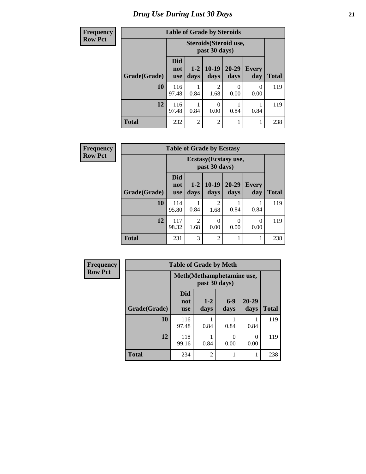### **Frequency Row**

# **Table of Grade by Steroids**

| $\mathbf{r}$ |              |                                 |                                         | THOIC OF OTHER BY DECEDING |                   |                     |              |  |  |
|--------------|--------------|---------------------------------|-----------------------------------------|----------------------------|-------------------|---------------------|--------------|--|--|
| v Pct        |              |                                 | Steroids (Steroid use,<br>past 30 days) |                            |                   |                     |              |  |  |
|              | Grade(Grade) | <b>Did</b><br>not<br><b>use</b> | $1-2$<br>days                           | $10-19$<br>days            | $20 - 29$<br>days | <b>Every</b><br>day | <b>Total</b> |  |  |
|              | 10           | 116<br>97.48                    | 0.84                                    | $\overline{2}$<br>1.68     | 0<br>0.00         | 0<br>0.00           | 119          |  |  |
|              | 12           | 116<br>97.48                    | 0.84                                    | $\Omega$<br>0.00           | 0.84              | 0.84                | 119          |  |  |
|              | <b>Total</b> | 232                             | $\overline{2}$                          | $\overline{2}$             |                   |                     | 238          |  |  |

| <b>Frequency</b> | <b>Table of Grade by Ecstasy</b> |                                 |                                        |                        |                   |                     |              |  |
|------------------|----------------------------------|---------------------------------|----------------------------------------|------------------------|-------------------|---------------------|--------------|--|
| <b>Row Pct</b>   |                                  |                                 | Ecstasy (Ecstasy use,<br>past 30 days) |                        |                   |                     |              |  |
|                  | Grade(Grade)                     | <b>Did</b><br>not<br><b>use</b> | $1 - 2$<br>days                        | $10-19$<br>days        | $20 - 29$<br>days | <b>Every</b><br>day | <b>Total</b> |  |
|                  | 10                               | 114<br>95.80                    | 0.84                                   | $\overline{2}$<br>1.68 | 0.84              | 0.84                | 119          |  |
|                  | 12                               | 117<br>98.32                    | $\mathfrak{D}$<br>1.68                 | $\theta$<br>0.00       | $\Omega$<br>0.00  | 0<br>0.00           | 119          |  |
|                  | <b>Total</b>                     | 231                             | 3                                      | 2                      |                   | 1                   | 238          |  |

| <b>Frequency</b> | <b>Table of Grade by Meth</b><br>Meth(Methamphetamine use,<br>past 30 days) |                                 |                 |                  |               |              |
|------------------|-----------------------------------------------------------------------------|---------------------------------|-----------------|------------------|---------------|--------------|
| <b>Row Pct</b>   |                                                                             |                                 |                 |                  |               |              |
|                  | Grade(Grade)                                                                | <b>Did</b><br>not<br><b>use</b> | $1 - 2$<br>days | $6-9$<br>days    | 20-29<br>days | <b>Total</b> |
|                  | 10                                                                          | 116<br>97.48                    | 0.84            | 0.84             | 0.84          | 119          |
|                  | 12                                                                          | 118<br>99.16                    | 0.84            | $\Omega$<br>0.00 | 0.00          | 119          |
|                  | <b>Total</b>                                                                | 234                             | $\overline{2}$  |                  |               | 238          |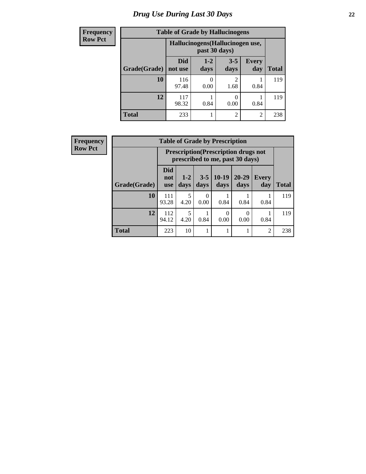# *Drug Use During Last 30 Days* **22**

| <b>Frequency</b> | <b>Table of Grade by Hallucinogens</b> |                                  |                 |                        |                     |              |
|------------------|----------------------------------------|----------------------------------|-----------------|------------------------|---------------------|--------------|
| <b>Row Pct</b>   |                                        | Hallucinogens (Hallucinogen use, |                 |                        |                     |              |
|                  | Grade(Grade)                           | Did<br>not use                   | $1 - 2$<br>days | $3 - 5$<br>days        | <b>Every</b><br>day | <b>Total</b> |
|                  | 10                                     | 116<br>97.48                     | 0.00            | $\mathfrak{D}$<br>1.68 | 0.84                | 119          |
|                  | 12                                     | 117<br>98.32                     | 0.84            | 0<br>0.00              | 0.84                | 119          |
|                  | <b>Total</b>                           | 233                              |                 | $\overline{c}$         | $\overline{c}$      | 238          |

| Frequency      | <b>Table of Grade by Prescription</b> |                                                                                |               |                       |                  |                   |                     |              |
|----------------|---------------------------------------|--------------------------------------------------------------------------------|---------------|-----------------------|------------------|-------------------|---------------------|--------------|
| <b>Row Pct</b> |                                       | <b>Prescription</b> (Prescription drugs not<br>prescribed to me, past 30 days) |               |                       |                  |                   |                     |              |
|                | Grade(Grade)                          | <b>Did</b><br>not<br><b>use</b>                                                | $1-2$<br>days | $3 - 5$<br>days       | $10-19$<br>days  | $20 - 29$<br>days | <b>Every</b><br>day | <b>Total</b> |
|                | 10                                    | 111<br>93.28                                                                   | 5<br>4.20     | $\mathcal{O}$<br>0.00 | 0.84             | 0.84              | 0.84                | 119          |
|                | 12                                    | 112<br>94.12                                                                   | 4.20          | 0.84                  | $\Omega$<br>0.00 | $\Omega$<br>0.00  | 0.84                | 119          |
|                | <b>Total</b>                          | 223                                                                            | 10            |                       |                  |                   | $\overline{2}$      | 238          |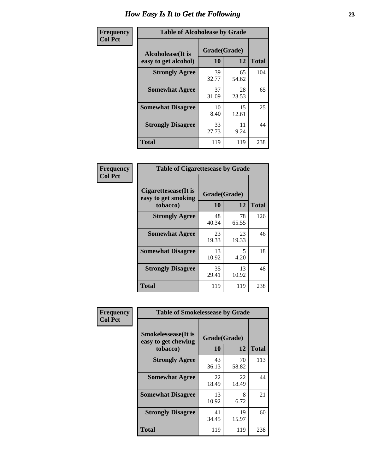| Frequency      | <b>Table of Alcoholease by Grade</b>              |                    |             |              |  |
|----------------|---------------------------------------------------|--------------------|-------------|--------------|--|
| <b>Col Pct</b> | <b>Alcoholease</b> (It is<br>easy to get alcohol) | Grade(Grade)<br>10 | 12          | <b>Total</b> |  |
|                | <b>Strongly Agree</b>                             | 39<br>32.77        | 65<br>54.62 | 104          |  |
|                | <b>Somewhat Agree</b>                             | 37<br>31.09        | 28<br>23.53 | 65           |  |
|                | <b>Somewhat Disagree</b>                          | 10<br>8.40         | 15<br>12.61 | 25           |  |
|                | <b>Strongly Disagree</b>                          | 33<br>27.73        | 11<br>9.24  | 44           |  |
|                | <b>Total</b>                                      | 119                | 119         | 238          |  |

| Frequency      | <b>Table of Cigarettesease by Grade</b>                 |                    |             |              |  |
|----------------|---------------------------------------------------------|--------------------|-------------|--------------|--|
| <b>Col Pct</b> | Cigarettesease(It is<br>easy to get smoking<br>tobacco) | Grade(Grade)<br>10 | 12          | <b>Total</b> |  |
|                | <b>Strongly Agree</b>                                   | 48<br>40.34        | 78<br>65.55 | 126          |  |
|                | <b>Somewhat Agree</b>                                   | 23<br>19.33        | 23<br>19.33 | 46           |  |
|                | <b>Somewhat Disagree</b>                                | 13<br>10.92        | 5<br>4.20   | 18           |  |
|                | <b>Strongly Disagree</b>                                | 35<br>29.41        | 13<br>10.92 | 48           |  |
|                | <b>Total</b>                                            | 119                | 119         | 238          |  |

| Frequency      | <b>Table of Smokelessease by Grade</b>             |              |             |              |
|----------------|----------------------------------------------------|--------------|-------------|--------------|
| <b>Col Pct</b> | <b>Smokelessease</b> (It is<br>easy to get chewing | Grade(Grade) |             |              |
|                | tobacco)                                           | <b>10</b>    | 12          | <b>Total</b> |
|                | <b>Strongly Agree</b>                              | 43<br>36.13  | 70<br>58.82 | 113          |
|                | <b>Somewhat Agree</b>                              | 22<br>18.49  | 22<br>18.49 | 44           |
|                | <b>Somewhat Disagree</b>                           | 13<br>10.92  | 8<br>6.72   | 21           |
|                | <b>Strongly Disagree</b>                           | 41<br>34.45  | 19<br>15.97 | 60           |
|                | <b>Total</b>                                       | 119          | 119         | 238          |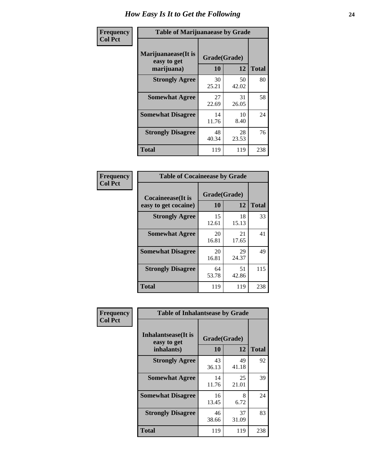| Frequency      | <b>Table of Marijuanaease by Grade</b>           |                    |             |              |  |
|----------------|--------------------------------------------------|--------------------|-------------|--------------|--|
| <b>Col Pct</b> | Marijuanaease(It is<br>easy to get<br>marijuana) | Grade(Grade)<br>10 | 12          | <b>Total</b> |  |
|                | <b>Strongly Agree</b>                            | 30<br>25.21        | 50<br>42.02 | 80           |  |
|                | <b>Somewhat Agree</b>                            | 27<br>22.69        | 31<br>26.05 | 58           |  |
|                | <b>Somewhat Disagree</b>                         | 14<br>11.76        | 10<br>8.40  | 24           |  |
|                | <b>Strongly Disagree</b>                         | 48<br>40.34        | 28<br>23.53 | 76           |  |
|                | <b>Total</b>                                     | 119                | 119         | 238          |  |

| <b>Table of Cocaineease by Grade</b> |              |             |              |  |  |  |
|--------------------------------------|--------------|-------------|--------------|--|--|--|
| <b>Cocaineease</b> (It is            | Grade(Grade) |             |              |  |  |  |
| easy to get cocaine)                 | 10           | 12          | <b>Total</b> |  |  |  |
| <b>Strongly Agree</b>                | 15<br>12.61  | 18<br>15.13 | 33           |  |  |  |
| <b>Somewhat Agree</b>                | 20<br>16.81  | 21<br>17.65 | 41           |  |  |  |
| <b>Somewhat Disagree</b>             | 20<br>16.81  | 29<br>24.37 | 49           |  |  |  |
| <b>Strongly Disagree</b>             | 64<br>53.78  | 51<br>42.86 | 115          |  |  |  |
| <b>Total</b>                         | 119          | 119         | 238          |  |  |  |

| Frequency      | <b>Table of Inhalantsease by Grade</b>                   |                    |             |              |
|----------------|----------------------------------------------------------|--------------------|-------------|--------------|
| <b>Col Pct</b> | <b>Inhalantsease</b> (It is<br>easy to get<br>inhalants) | Grade(Grade)<br>10 | 12          | <b>Total</b> |
|                | <b>Strongly Agree</b>                                    | 43<br>36.13        | 49<br>41.18 | 92           |
|                | <b>Somewhat Agree</b>                                    | 14<br>11.76        | 25<br>21.01 | 39           |
|                | <b>Somewhat Disagree</b>                                 | 16<br>13.45        | 8<br>6.72   | 24           |
|                | <b>Strongly Disagree</b>                                 | 46<br>38.66        | 37<br>31.09 | 83           |
|                | <b>Total</b>                                             | 119                | 119         | 238          |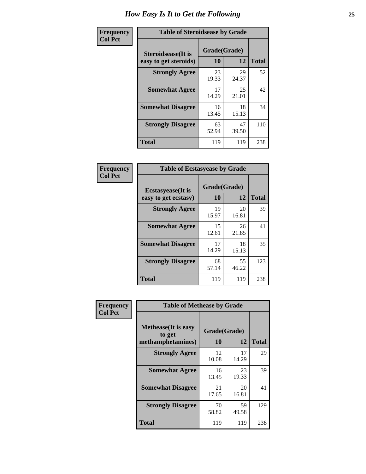| Frequency      |                                                     | <b>Table of Steroidsease by Grade</b> |             |              |  |  |  |  |  |  |
|----------------|-----------------------------------------------------|---------------------------------------|-------------|--------------|--|--|--|--|--|--|
| <b>Col Pct</b> | <b>Steroidsease</b> (It is<br>easy to get steroids) | Grade(Grade)<br>10                    | 12          | <b>Total</b> |  |  |  |  |  |  |
|                | <b>Strongly Agree</b>                               | 23<br>19.33                           | 29<br>24.37 | 52           |  |  |  |  |  |  |
|                | <b>Somewhat Agree</b>                               | 17<br>14.29                           | 25<br>21.01 | 42           |  |  |  |  |  |  |
|                | <b>Somewhat Disagree</b>                            | 16<br>13.45                           | 18<br>15.13 | 34           |  |  |  |  |  |  |
|                | <b>Strongly Disagree</b>                            | 63<br>52.94                           | 47<br>39.50 | 110          |  |  |  |  |  |  |
|                | <b>Total</b>                                        | 119                                   | 119         | 238          |  |  |  |  |  |  |

| Frequency      | <b>Table of Ecstasyease by Grade</b>              |                           |              |     |
|----------------|---------------------------------------------------|---------------------------|--------------|-----|
| <b>Col Pct</b> | <b>Ecstasyease</b> (It is<br>easy to get ecstasy) | Grade(Grade)<br><b>10</b> | <b>Total</b> |     |
|                | <b>Strongly Agree</b>                             | 19<br>15.97               | 20<br>16.81  | 39  |
|                | <b>Somewhat Agree</b>                             | 15<br>12.61               | 26<br>21.85  | 41  |
|                | <b>Somewhat Disagree</b>                          | 17<br>14.29               | 18<br>15.13  | 35  |
|                | <b>Strongly Disagree</b>                          | 68<br>57.14               | 55<br>46.22  | 123 |
|                | <b>Total</b>                                      | 119                       | 119          | 238 |

| Frequency      | <b>Table of Methease by Grade</b>                          |                    |             |              |
|----------------|------------------------------------------------------------|--------------------|-------------|--------------|
| <b>Col Pct</b> | <b>Methease</b> (It is easy<br>to get<br>methamphetamines) | Grade(Grade)<br>10 | 12          | <b>Total</b> |
|                | <b>Strongly Agree</b>                                      | 12<br>10.08        | 17<br>14.29 | 29           |
|                | <b>Somewhat Agree</b>                                      | 16<br>13.45        | 23<br>19.33 | 39           |
|                | <b>Somewhat Disagree</b>                                   | 21<br>17.65        | 20<br>16.81 | 41           |
|                | <b>Strongly Disagree</b>                                   | 70<br>58.82        | 59<br>49.58 | 129          |
|                | Total                                                      | 119                | 119         | 238          |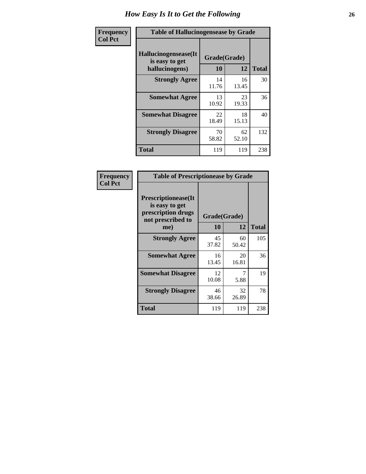| <b>Frequency</b> | <b>Table of Hallucinogensease by Grade</b>               |                    |             |              |
|------------------|----------------------------------------------------------|--------------------|-------------|--------------|
| <b>Col Pct</b>   | Hallucinogensease(It<br>is easy to get<br>hallucinogens) | Grade(Grade)<br>10 | 12          | <b>Total</b> |
|                  | <b>Strongly Agree</b>                                    | 14<br>11.76        | 16<br>13.45 | 30           |
|                  | <b>Somewhat Agree</b>                                    | 13<br>10.92        | 23<br>19.33 | 36           |
|                  | <b>Somewhat Disagree</b>                                 | 22<br>18.49        | 18<br>15.13 | 40           |
|                  | <b>Strongly Disagree</b>                                 | 70<br>58.82        | 62<br>52.10 | 132          |
|                  | <b>Total</b>                                             | 119                | 119         | 238          |

| <b>Table of Prescriptionease by Grade</b>                                                       |             |                    |              |
|-------------------------------------------------------------------------------------------------|-------------|--------------------|--------------|
| <b>Prescriptionease</b> (It<br>is easy to get<br>prescription drugs<br>not prescribed to<br>me) | 10          | Grade(Grade)<br>12 | <b>Total</b> |
| <b>Strongly Agree</b>                                                                           | 45<br>37.82 | 60<br>50.42        | 105          |
| <b>Somewhat Agree</b>                                                                           | 16<br>13.45 | 20<br>16.81        | 36           |
| <b>Somewhat Disagree</b>                                                                        | 12<br>10.08 | 5.88               | 19           |
| <b>Strongly Disagree</b>                                                                        | 46<br>38.66 | 32<br>26.89        | 78           |
| <b>Total</b>                                                                                    | 119         | 119                | 238          |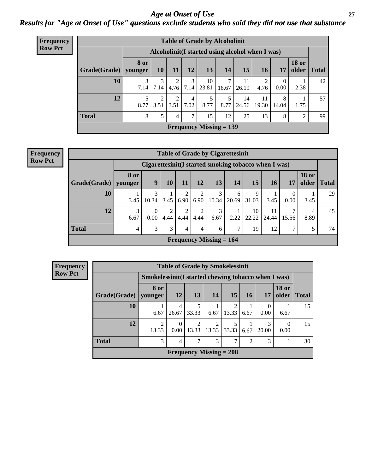### *Age at Onset of Use* **27** *Results for "Age at Onset of Use" questions exclude students who said they did not use that substance*

| <b>Frequency</b> |                                                  |             |                        |      |           | <b>Table of Grade by Alcoholinit</b> |            |             |             |                  |                       |              |
|------------------|--------------------------------------------------|-------------|------------------------|------|-----------|--------------------------------------|------------|-------------|-------------|------------------|-----------------------|--------------|
| <b>Row Pct</b>   | Alcoholinit (I started using alcohol when I was) |             |                        |      |           |                                      |            |             |             |                  |                       |              |
|                  | Grade(Grade)   younger                           | <b>8</b> or | 10                     | 11   | 12        | 13                                   | 14         | 15          | <b>16</b>   | 17               | <b>18 or</b><br>older | <b>Total</b> |
|                  | 10                                               | 7.14        | 7.14                   | 4.76 | 3<br>7.14 | 10<br>23.81                          | 7<br>16.67 | 11<br>26.19 | 2<br>4.76   | $\Omega$<br>0.00 | 2.38                  | 42           |
|                  | 12                                               | 8.77        | $\mathfrak{D}$<br>3.51 | 3.51 | 4<br>7.02 | 5<br>8.77                            | 8.77       | 14<br>24.56 | 11<br>19.30 | 8<br>14.04       | 1.75                  | 57           |
|                  | <b>Total</b>                                     | 8           | 5                      | 4    | 7         | 15                                   | 12         | 25          | 13          | 8                | 2                     | 99           |
|                  |                                                  |             |                        |      |           | Frequency Missing $= 139$            |            |             |             |                  |                       |              |

| <b>Table of Grade by Cigarettesinit</b> |                 |                                                      |           |      |           |                           |            |             |             |                  |                       |              |
|-----------------------------------------|-----------------|------------------------------------------------------|-----------|------|-----------|---------------------------|------------|-------------|-------------|------------------|-----------------------|--------------|
|                                         |                 | Cigarettesinit(I started smoking tobacco when I was) |           |      |           |                           |            |             |             |                  |                       |              |
| Grade(Grade)                            | 8 or<br>vounger | 9                                                    | 10        | 11   | 12        | 13                        | 14         | 15          | 16          | 17               | <b>18 or</b><br>older | <b>Total</b> |
| 10                                      | 3.45            | 3<br>10.34                                           | 3.45      | 6.90 | 2<br>6.90 | 3<br>10.34                | 6<br>20.69 | 9<br>31.03  | 3.45        | $\Omega$<br>0.00 | 3.45                  | 29           |
| 12                                      | 3<br>6.67       | $\Omega$<br>0.00                                     | 2<br>4.44 | 4.44 | 2<br>4.44 | 3<br>6.67                 | 2.22       | 10<br>22.22 | 11<br>24.44 | 7<br>15.56       | 4<br>8.89             | 45           |
| <b>Total</b>                            | $\overline{4}$  | 3                                                    | 3         | 4    | 4         | 6                         | 7          | 19          | 12          | 7                | 5                     | 74           |
|                                         |                 |                                                      |           |      |           | Frequency Missing $= 164$ |            |             |             |                  |                       |              |

| <b>Frequency</b> |                        |                                                     |            |           |                           | <b>Table of Grade by Smokelessinit</b> |           |            |                       |              |  |  |
|------------------|------------------------|-----------------------------------------------------|------------|-----------|---------------------------|----------------------------------------|-----------|------------|-----------------------|--------------|--|--|
| <b>Row Pct</b>   |                        | Smokelessinit(I started chewing tobacco when I was) |            |           |                           |                                        |           |            |                       |              |  |  |
|                  | Grade(Grade)   younger | 8 or                                                | <b>12</b>  | <b>13</b> | 14                        | 15                                     | <b>16</b> | 17         | <b>18 or</b><br>older | <b>Total</b> |  |  |
|                  | 10                     | 6.67                                                | 4<br>26.67 | 33.33     | 6.67                      | 2<br>13.33                             | 6.67      | 0<br>0.00  | 6.67                  | 15           |  |  |
|                  | 12                     | $\mathcal{D}$<br>13.33                              | 0<br>0.00  | 13.33     | $\mathfrak{D}$<br>13.33   | 5<br>33.33                             | 6.67      | 3<br>20.00 | $\Omega$<br>0.00      | 15           |  |  |
|                  | <b>Total</b>           | 3<br>3<br>3<br>7<br>7<br>$\mathfrak{D}$<br>30<br>4  |            |           |                           |                                        |           |            |                       |              |  |  |
|                  |                        |                                                     |            |           | Frequency Missing $= 208$ |                                        |           |            |                       |              |  |  |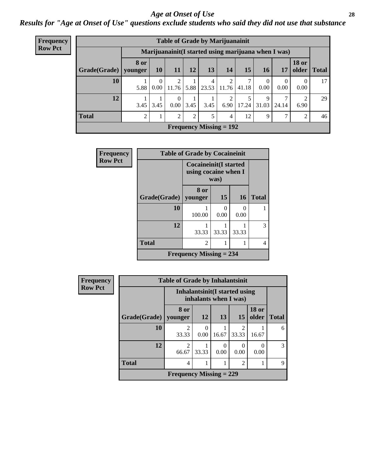#### *Age at Onset of Use* **28**

*Results for "Age at Onset of Use" questions exclude students who said they did not use that substance*

| Frequency      |              | <b>Table of Grade by Marijuanainit</b>               |           |                      |           |                                |       |            |                  |                  |                        |              |
|----------------|--------------|------------------------------------------------------|-----------|----------------------|-----------|--------------------------------|-------|------------|------------------|------------------|------------------------|--------------|
| <b>Row Pct</b> |              | Marijuanainit (I started using marijuana when I was) |           |                      |           |                                |       |            |                  |                  |                        |              |
|                | Grade(Grade) | <b>8 or</b><br>younger                               | <b>10</b> | 11                   | <b>12</b> | 13                             | 14    | 15         | <b>16</b>        | 17               | <b>18 or</b><br>older  | <b>Total</b> |
|                | 10           | 5.88                                                 | 0<br>0.00 | 2<br>11.76           | 5.88      | 4<br>23.53                     | 11.76 | 7<br>41.18 | $\theta$<br>0.00 | $\theta$<br>0.00 | $\Omega$<br>0.00       | 17           |
|                | 12           | 3.45                                                 | 3.45      | $\Omega$<br>$0.00\,$ | 3.45      | 3.45                           | 6.90  | 17.24      | 9<br>31.03       | 24.14            | $\overline{2}$<br>6.90 | 29           |
|                | <b>Total</b> | $\mathcal{D}$                                        |           | $\overline{2}$       | 2         | 5                              | 4     | 12         | 9                | 7                | 2                      | 46           |
|                |              |                                                      |           |                      |           | <b>Frequency Missing = 192</b> |       |            |                  |                  |                        |              |

| Frequency      |                        | <b>Table of Grade by Cocaineinit</b>                  |       |                  |              |  |  |  |  |  |
|----------------|------------------------|-------------------------------------------------------|-------|------------------|--------------|--|--|--|--|--|
| <b>Row Pct</b> |                        | <b>Cocaineinit</b> (I started<br>using cocaine when I | was)  |                  |              |  |  |  |  |  |
|                | Grade(Grade)   younger | 8 or                                                  | 15    | <b>16</b>        | <b>Total</b> |  |  |  |  |  |
|                | 10                     | 100.00                                                | 0.00  | $\Omega$<br>0.00 |              |  |  |  |  |  |
|                | 12                     | 33.33                                                 | 33.33 | 33.33            | 3            |  |  |  |  |  |
|                | <b>Total</b>           | $\overline{2}$                                        |       |                  | 4            |  |  |  |  |  |
|                |                        | <b>Frequency Missing = 234</b>                        |       |                  |              |  |  |  |  |  |

| <b>Frequency</b> |              | <b>Table of Grade by Inhalantsinit</b> |                                                               |           |                         |                       |              |  |  |  |
|------------------|--------------|----------------------------------------|---------------------------------------------------------------|-----------|-------------------------|-----------------------|--------------|--|--|--|
| <b>Row Pct</b>   |              |                                        | <b>Inhalantsinit(I started using</b><br>inhalants when I was) |           |                         |                       |              |  |  |  |
|                  | Grade(Grade) | 8 or<br>younger                        | <b>12</b>                                                     | 13        | 15                      | <b>18 or</b><br>older | <b>Total</b> |  |  |  |
|                  | 10           | $\mathfrak{D}$<br>33.33                | 0.00                                                          | 16.67     | $\overline{c}$<br>33.33 | 16.67                 | 6            |  |  |  |
|                  | 12           | $\mathfrak{D}$<br>66.67                | 33.33                                                         | 0<br>0.00 | 0<br>0.00               | 0.00                  | 3            |  |  |  |
|                  | <b>Total</b> | 4                                      | $\overline{2}$                                                |           |                         |                       |              |  |  |  |
|                  |              | Frequency Missing $= 229$              |                                                               |           |                         |                       |              |  |  |  |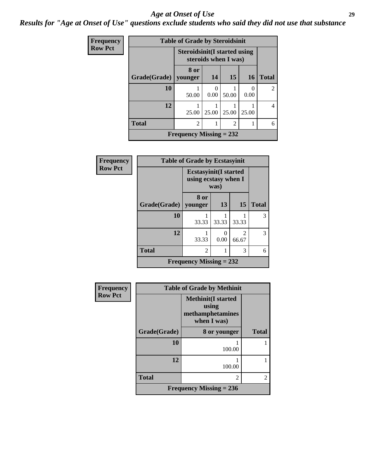#### *Age at Onset of Use* **29**

### *Results for "Age at Onset of Use" questions exclude students who said they did not use that substance*

| <b>Frequency</b> | <b>Table of Grade by Steroidsinit</b> |                                      |                  |                      |           |                |  |
|------------------|---------------------------------------|--------------------------------------|------------------|----------------------|-----------|----------------|--|
| <b>Row Pct</b>   |                                       | <b>Steroidsinit (I started using</b> |                  | steroids when I was) |           |                |  |
|                  | Grade(Grade)                          | 8 or<br>younger                      | 14               | 15                   | <b>16</b> | <b>Total</b>   |  |
|                  | 10                                    | 50.00                                | $\Omega$<br>0.00 | 50.00                | 0.00      | $\mathfrak{D}$ |  |
|                  | 12                                    | 25.00                                | 25.00            | 25.00                | 25.00     | 4              |  |
|                  | <b>Total</b>                          | $\overline{2}$                       |                  | $\overline{2}$       |           | 6              |  |
|                  |                                       | Frequency Missing $= 232$            |                  |                      |           |                |  |

| <b>Frequency</b> | <b>Table of Grade by Ecstasyinit</b>                         |                           |           |                         |              |
|------------------|--------------------------------------------------------------|---------------------------|-----------|-------------------------|--------------|
| <b>Row Pct</b>   | <b>Ecstasyinit(I started</b><br>using ecstasy when I<br>was) |                           |           |                         |              |
|                  | Grade(Grade)                                                 | 8 or<br>younger           | 13        | 15                      | <b>Total</b> |
|                  | 10                                                           | 33.33                     | 33.33     | 33.33                   | 3            |
|                  | 12                                                           | 33.33                     | 0<br>0.00 | $\mathfrak{D}$<br>66.67 | 3            |
|                  | <b>Total</b>                                                 | $\mathfrak{D}$            | 6         |                         |              |
|                  |                                                              | Frequency Missing $= 232$ |           |                         |              |

| <b>Frequency</b> | <b>Table of Grade by Methinit</b> |                                                                       |              |  |
|------------------|-----------------------------------|-----------------------------------------------------------------------|--------------|--|
| <b>Row Pct</b>   |                                   | <b>Methinit(I started</b><br>using<br>methamphetamines<br>when I was) |              |  |
|                  | Grade(Grade)                      | 8 or younger                                                          | <b>Total</b> |  |
|                  | 10                                | 100.00                                                                |              |  |
|                  | 12                                | 100.00                                                                |              |  |
|                  | <b>Total</b>                      | 2                                                                     |              |  |
|                  |                                   | Frequency Missing $= 236$                                             |              |  |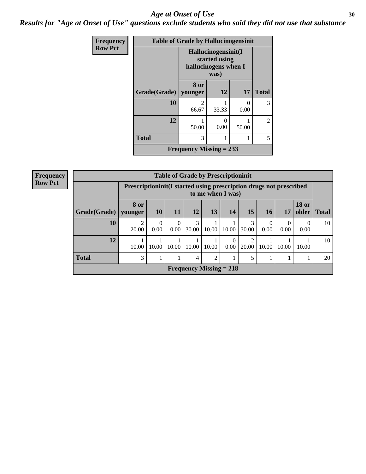#### Age at Onset of Use **30**

*Results for "Age at Onset of Use" questions exclude students who said they did not use that substance*

| <b>Frequency</b> | <b>Table of Grade by Hallucinogensinit</b>                           |                                      |       |           |                |  |
|------------------|----------------------------------------------------------------------|--------------------------------------|-------|-----------|----------------|--|
| <b>Row Pct</b>   | Hallucinogensinit(I<br>started using<br>hallucinogens when I<br>was) |                                      |       |           |                |  |
|                  | Grade(Grade)   younger                                               | 8 or                                 | 12    | <b>17</b> | <b>Total</b>   |  |
|                  | 10                                                                   | $\mathcal{D}_{\mathcal{L}}$<br>66.67 | 33.33 | 0<br>0.00 | 3              |  |
|                  | 12                                                                   | 50.00                                | 0.00  | 50.00     | $\mathfrak{D}$ |  |
|                  | <b>Total</b>                                                         | 3                                    |       |           | 5              |  |
|                  |                                                                      | Frequency Missing $= 233$            |       |           |                |  |

| Frequency      |                                                                                         | <b>Table of Grade by Prescriptioninit</b> |           |                  |                                |                |                  |                         |           |                  |                       |              |
|----------------|-----------------------------------------------------------------------------------------|-------------------------------------------|-----------|------------------|--------------------------------|----------------|------------------|-------------------------|-----------|------------------|-----------------------|--------------|
| <b>Row Pct</b> | Prescriptioninit(I started using prescription drugs not prescribed<br>to me when I was) |                                           |           |                  |                                |                |                  |                         |           |                  |                       |              |
|                | Grade(Grade)                                                                            | <b>8 or</b><br>younger                    | 10        | 11               | 12                             | 13             | 14               | 15                      | <b>16</b> | 17               | <b>18 or</b><br>older | <b>Total</b> |
|                | 10                                                                                      | 2<br>20.00                                | 0<br>0.00 | $\Omega$<br>0.00 | 3<br>30.00                     | 10.00          | 10.00            | 3<br>30.00              | 0.00      | $\theta$<br>0.00 | $\Omega$<br>0.00      | 10           |
|                | 12                                                                                      | 10.00                                     | 10.00     | 10.00            | 10.00                          | 10.00          | $\Omega$<br>0.00 | $\overline{c}$<br>20.00 | 10.00     | 10.00            | 10.00                 | 10           |
|                | <b>Total</b>                                                                            | 3                                         |           |                  | 4                              | $\overline{2}$ |                  | 5                       |           |                  |                       | 20           |
|                |                                                                                         |                                           |           |                  | <b>Frequency Missing = 218</b> |                |                  |                         |           |                  |                       |              |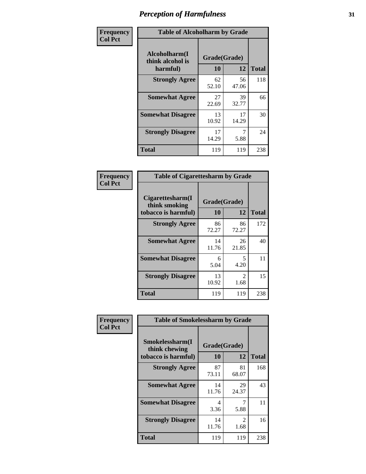| Frequency      | <b>Table of Alcoholharm by Grade</b>          |                    |             |              |
|----------------|-----------------------------------------------|--------------------|-------------|--------------|
| <b>Col Pct</b> | Alcoholharm(I<br>think alcohol is<br>harmful) | Grade(Grade)<br>10 | 12          | <b>Total</b> |
|                | <b>Strongly Agree</b>                         | 62<br>52.10        | 56<br>47.06 | 118          |
|                | <b>Somewhat Agree</b>                         | 27<br>22.69        | 39<br>32.77 | 66           |
|                | <b>Somewhat Disagree</b>                      | 13<br>10.92        | 17<br>14.29 | 30           |
|                | <b>Strongly Disagree</b>                      | 17<br>14.29        | 7<br>5.88   | 24           |
|                | <b>Total</b>                                  | 119                | 119         | 238          |

| <b>Table of Cigarettesharm by Grade</b>                  |                    |                        |     |  |  |  |
|----------------------------------------------------------|--------------------|------------------------|-----|--|--|--|
| Cigarettesharm(I<br>think smoking<br>tobacco is harmful) | Grade(Grade)<br>10 | <b>Total</b>           |     |  |  |  |
| <b>Strongly Agree</b>                                    | 86<br>72.27        | 86<br>72.27            | 172 |  |  |  |
| <b>Somewhat Agree</b>                                    | 14<br>11.76        | 26<br>21.85            | 40  |  |  |  |
| <b>Somewhat Disagree</b>                                 | 6<br>5.04          | 5<br>4.20              | 11  |  |  |  |
| <b>Strongly Disagree</b>                                 | 13<br>10.92        | $\mathfrak{D}$<br>1.68 | 15  |  |  |  |
| <b>Total</b>                                             | 119                | 119                    | 238 |  |  |  |

| Frequency      | <b>Table of Smokelessharm by Grade</b>                  |                           |             |              |  |
|----------------|---------------------------------------------------------|---------------------------|-------------|--------------|--|
| <b>Col Pct</b> | Smokelessharm(I<br>think chewing<br>tobacco is harmful) | Grade(Grade)<br><b>10</b> | 12          | <b>Total</b> |  |
|                | <b>Strongly Agree</b>                                   | 87<br>73.11               | 81<br>68.07 | 168          |  |
|                | <b>Somewhat Agree</b>                                   | 14<br>11.76               | 29<br>24.37 | 43           |  |
|                | <b>Somewhat Disagree</b>                                | 4<br>3.36                 | 5.88        | 11           |  |
|                | <b>Strongly Disagree</b>                                | 14<br>11.76               | 2<br>1.68   | 16           |  |
|                | <b>Total</b>                                            | 119                       | 119         | 238          |  |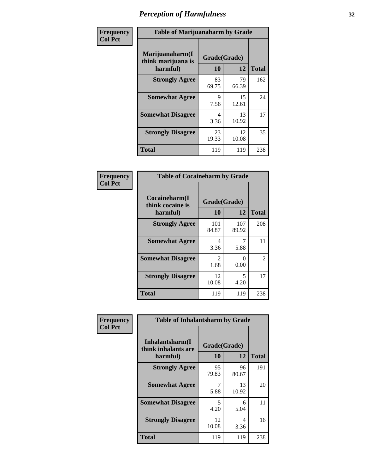| Frequency      |                                                   | <b>Table of Marijuanaharm by Grade</b> |             |              |  |  |
|----------------|---------------------------------------------------|----------------------------------------|-------------|--------------|--|--|
| <b>Col Pct</b> | Marijuanaharm(I<br>think marijuana is<br>harmful) | Grade(Grade)<br>10                     | 12          | <b>Total</b> |  |  |
|                | <b>Strongly Agree</b>                             | 83<br>69.75                            | 79<br>66.39 | 162          |  |  |
|                | <b>Somewhat Agree</b>                             | 9<br>7.56                              | 15<br>12.61 | 24           |  |  |
|                | <b>Somewhat Disagree</b>                          | 4<br>3.36                              | 13<br>10.92 | 17           |  |  |
|                | <b>Strongly Disagree</b>                          | 23<br>19.33                            | 12<br>10.08 | 35           |  |  |
|                | <b>Total</b>                                      | 119                                    | 119         | 238          |  |  |

| <b>Table of Cocaineharm by Grade</b>          |                    |                           |     |  |  |  |
|-----------------------------------------------|--------------------|---------------------------|-----|--|--|--|
| Cocaineharm(I<br>think cocaine is<br>harmful) | Grade(Grade)<br>10 | <b>Total</b>              |     |  |  |  |
| <b>Strongly Agree</b>                         | 101<br>84.87       | 107<br>89.92              | 208 |  |  |  |
| <b>Somewhat Agree</b>                         | 4<br>3.36          | 5.88                      | 11  |  |  |  |
| <b>Somewhat Disagree</b>                      | 2<br>1.68          | $\mathbf{\Omega}$<br>0.00 | 2   |  |  |  |
| <b>Strongly Disagree</b>                      | 12<br>10.08        | 5<br>4.20                 | 17  |  |  |  |
| <b>Total</b>                                  | 119                | 119                       | 238 |  |  |  |

| Frequency      | <b>Table of Inhalantsharm by Grade</b>              |                          |             |              |  |  |  |
|----------------|-----------------------------------------------------|--------------------------|-------------|--------------|--|--|--|
| <b>Col Pct</b> | Inhalantsharm(I)<br>think inhalants are<br>harmful) | Grade(Grade)<br>12<br>10 |             | <b>Total</b> |  |  |  |
|                | <b>Strongly Agree</b>                               | 95<br>79.83              | 96<br>80.67 | 191          |  |  |  |
|                | <b>Somewhat Agree</b>                               | 5.88                     | 13<br>10.92 | 20           |  |  |  |
|                | <b>Somewhat Disagree</b>                            | 5<br>4.20                | 6<br>5.04   | 11           |  |  |  |
|                | <b>Strongly Disagree</b>                            | 12<br>10.08              | 4<br>3.36   | 16           |  |  |  |
|                | <b>Total</b>                                        | 119                      | 119         | 238          |  |  |  |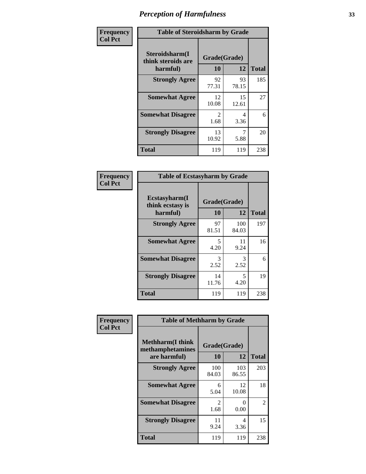| Frequency      | <b>Table of Steroidsharm by Grade</b>            |                        |             |              |
|----------------|--------------------------------------------------|------------------------|-------------|--------------|
| <b>Col Pct</b> | Steroidsharm(I<br>think steroids are<br>harmful) | Grade(Grade)<br>10     | 12          | <b>Total</b> |
|                | <b>Strongly Agree</b>                            | 92<br>77.31            | 93<br>78.15 | 185          |
|                | <b>Somewhat Agree</b>                            | 12<br>10.08            | 15<br>12.61 | 27           |
|                | <b>Somewhat Disagree</b>                         | $\mathfrak{D}$<br>1.68 | 4<br>3.36   | 6            |
|                | <b>Strongly Disagree</b>                         | 13<br>10.92            | 7<br>5.88   | 20           |
|                | <b>Total</b>                                     | 119                    | 119         | 238          |

| <b>Table of Ecstasyharm by Grade</b>          |                    |              |              |  |
|-----------------------------------------------|--------------------|--------------|--------------|--|
| Ecstasyharm(I<br>think ecstasy is<br>harmful) | Grade(Grade)<br>10 | 12           | <b>Total</b> |  |
| <b>Strongly Agree</b>                         | 97<br>81.51        | 100<br>84.03 | 197          |  |
| <b>Somewhat Agree</b>                         | 5<br>4.20          | 11<br>9.24   | 16           |  |
| <b>Somewhat Disagree</b>                      | 3<br>2.52          | 3<br>2.52    | 6            |  |
| <b>Strongly Disagree</b>                      | 14<br>11.76        | 5<br>4.20    | 19           |  |
| <b>Total</b>                                  | 119                | 119          | 238          |  |

| Frequency      | <b>Table of Methharm by Grade</b>                            |                           |              |              |
|----------------|--------------------------------------------------------------|---------------------------|--------------|--------------|
| <b>Col Pct</b> | <b>Methharm</b> (I think<br>methamphetamines<br>are harmful) | Grade(Grade)<br><b>10</b> | 12           | <b>Total</b> |
|                | <b>Strongly Agree</b>                                        | 100<br>84.03              | 103<br>86.55 | 203          |
|                | <b>Somewhat Agree</b>                                        | 6<br>5.04                 | 12<br>10.08  | 18           |
|                | <b>Somewhat Disagree</b>                                     | $\mathfrak{D}$<br>1.68    | 0<br>0.00    | 2            |
|                | <b>Strongly Disagree</b>                                     | 11<br>9.24                | 4<br>3.36    | 15           |
|                | <b>Total</b>                                                 | 119                       | 119          | 238          |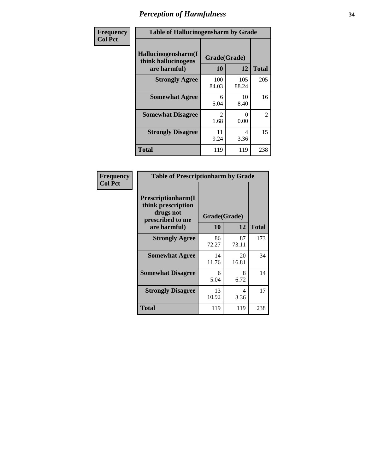| Frequency      | <b>Table of Hallucinogensharm by Grade</b>                 |                        |              |                |
|----------------|------------------------------------------------------------|------------------------|--------------|----------------|
| <b>Col Pct</b> | Hallucinogensharm(I<br>think hallucinogens<br>are harmful) | Grade(Grade)<br>10     | 12           | <b>Total</b>   |
|                | <b>Strongly Agree</b>                                      | 100<br>84.03           | 105<br>88.24 | 205            |
|                | <b>Somewhat Agree</b>                                      | 6<br>5.04              | 10<br>8.40   | 16             |
|                | <b>Somewhat Disagree</b>                                   | $\mathfrak{D}$<br>1.68 | 0<br>0.00    | $\overline{2}$ |
|                | <b>Strongly Disagree</b>                                   | 11<br>9.24             | 4<br>3.36    | 15             |
|                | <b>Total</b>                                               | 119                    | 119          | 238            |

| <b>Table of Prescriptionharm by Grade</b>                                 |              |             |              |  |
|---------------------------------------------------------------------------|--------------|-------------|--------------|--|
| Prescriptionharm(I<br>think prescription<br>drugs not<br>prescribed to me | Grade(Grade) |             |              |  |
| are harmful)                                                              | 10           | 12          | <b>Total</b> |  |
| <b>Strongly Agree</b>                                                     | 86<br>72.27  | 87<br>73.11 | 173          |  |
| <b>Somewhat Agree</b>                                                     | 14<br>11.76  | 20<br>16.81 | 34           |  |
| <b>Somewhat Disagree</b>                                                  | 6<br>5.04    | 8<br>6.72   | 14           |  |
| <b>Strongly Disagree</b>                                                  | 13<br>10.92  | 4<br>3.36   | 17           |  |
| <b>Total</b>                                                              | 119          | 119         | 238          |  |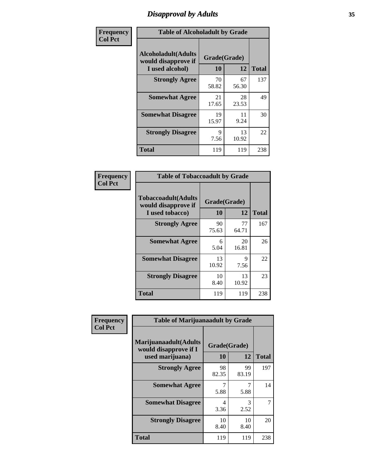# *Disapproval by Adults* **35**

| Frequency      | <b>Table of Alcoholadult by Grade</b>                                 |                    |             |              |
|----------------|-----------------------------------------------------------------------|--------------------|-------------|--------------|
| <b>Col Pct</b> | <b>Alcoholadult</b> (Adults<br>would disapprove if<br>I used alcohol) | Grade(Grade)<br>10 | 12          | <b>Total</b> |
|                | <b>Strongly Agree</b>                                                 | 70<br>58.82        | 67<br>56.30 | 137          |
|                | <b>Somewhat Agree</b>                                                 | 21<br>17.65        | 28<br>23.53 | 49           |
|                | <b>Somewhat Disagree</b>                                              | 19<br>15.97        | 11<br>9.24  | 30           |
|                | <b>Strongly Disagree</b>                                              | 9<br>7.56          | 13<br>10.92 | 22           |
|                | <b>Total</b>                                                          | 119                | 119         | 238          |

| <b>Table of Tobaccoadult by Grade</b>                                 |                    |             |              |  |  |
|-----------------------------------------------------------------------|--------------------|-------------|--------------|--|--|
| <b>Tobaccoadult</b> (Adults<br>would disapprove if<br>I used tobacco) | Grade(Grade)<br>10 | 12          | <b>Total</b> |  |  |
| <b>Strongly Agree</b>                                                 | 90<br>75.63        | 77<br>64.71 | 167          |  |  |
| <b>Somewhat Agree</b>                                                 | 6<br>5.04          | 20<br>16.81 | 26           |  |  |
| <b>Somewhat Disagree</b>                                              | 13<br>10.92        | 9<br>7.56   | 22           |  |  |
| <b>Strongly Disagree</b>                                              | 10<br>8.40         | 13<br>10.92 | 23           |  |  |
| Total                                                                 | 119                | 119         | 238          |  |  |

| Frequency<br><b>Col Pct</b> | <b>Table of Marijuanaadult by Grade</b>                           |                    |             |              |
|-----------------------------|-------------------------------------------------------------------|--------------------|-------------|--------------|
|                             | Marijuanaadult(Adults<br>would disapprove if I<br>used marijuana) | Grade(Grade)<br>10 | 12          | <b>Total</b> |
|                             | <b>Strongly Agree</b>                                             | 98<br>82.35        | 99<br>83.19 | 197          |
|                             | <b>Somewhat Agree</b>                                             | 7<br>5.88          | 7<br>5.88   | 14           |
|                             | <b>Somewhat Disagree</b>                                          | 4<br>3.36          | 3<br>2.52   |              |
|                             | <b>Strongly Disagree</b>                                          | 10<br>8.40         | 10<br>8.40  | 20           |
|                             | <b>Total</b>                                                      | 119                | 119         | 238          |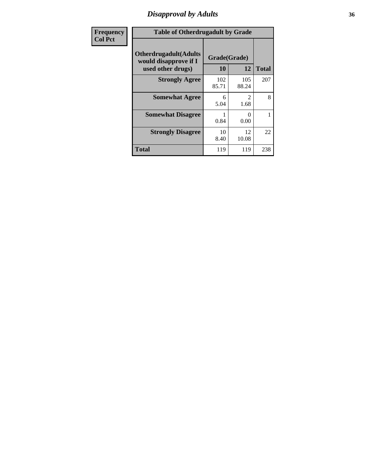# *Disapproval by Adults* **36**

| <b>Frequency</b> | <b>Table of Otherdrugadult by Grade</b>                                     |                    |              |              |
|------------------|-----------------------------------------------------------------------------|--------------------|--------------|--------------|
| <b>Col Pct</b>   | <b>Otherdrugadult</b> (Adults<br>would disapprove if I<br>used other drugs) | Grade(Grade)<br>10 | 12           | <b>Total</b> |
|                  | <b>Strongly Agree</b>                                                       | 102<br>85.71       | 105<br>88.24 | 207          |
|                  | <b>Somewhat Agree</b>                                                       | 6<br>5.04          | 2<br>1.68    | 8            |
|                  | <b>Somewhat Disagree</b>                                                    | 0.84               | 0<br>0.00    |              |
|                  | <b>Strongly Disagree</b>                                                    | 10<br>8.40         | 12<br>10.08  | 22           |
|                  | <b>Total</b>                                                                | 119                | 119          | 238          |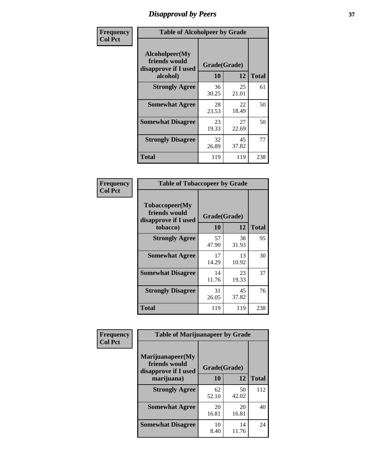# *Disapproval by Peers* **37**

| Frequency      | <b>Table of Alcoholpeer by Grade</b>                    |              |             |              |  |
|----------------|---------------------------------------------------------|--------------|-------------|--------------|--|
| <b>Col Pct</b> | Alcoholpeer(My<br>friends would<br>disapprove if I used | Grade(Grade) |             |              |  |
|                | alcohol)                                                | 10           | 12          | <b>Total</b> |  |
|                | <b>Strongly Agree</b>                                   | 36<br>30.25  | 25<br>21.01 | 61           |  |
|                | <b>Somewhat Agree</b>                                   | 28<br>23.53  | 22<br>18.49 | 50           |  |
|                | <b>Somewhat Disagree</b>                                | 23<br>19.33  | 27<br>22.69 | 50           |  |
|                | <b>Strongly Disagree</b>                                | 32<br>26.89  | 45<br>37.82 | 77           |  |
|                | Total                                                   | 119          | 119         | 238          |  |

| Frequency      | <b>Table of Tobaccopeer by Grade</b>                                |                    |             |              |
|----------------|---------------------------------------------------------------------|--------------------|-------------|--------------|
| <b>Col Pct</b> | Tobaccopeer(My<br>friends would<br>disapprove if I used<br>tobacco) | Grade(Grade)<br>10 | 12          | <b>Total</b> |
|                | <b>Strongly Agree</b>                                               | 57<br>47.90        | 38<br>31.93 | 95           |
|                | <b>Somewhat Agree</b>                                               | 17<br>14.29        | 13<br>10.92 | 30           |
|                | <b>Somewhat Disagree</b>                                            | 14<br>11.76        | 23<br>19.33 | 37           |
|                | <b>Strongly Disagree</b>                                            | 31<br>26.05        | 45<br>37.82 | 76           |
|                | Total                                                               | 119                | 119         | 238          |

| Frequency      | <b>Table of Marijuanapeer by Grade</b> |              |             |              |
|----------------|----------------------------------------|--------------|-------------|--------------|
| <b>Col Pct</b> | Marijuanapeer(My<br>friends would      | Grade(Grade) |             |              |
|                | disapprove if I used<br>marijuana)     | 10           | 12          | <b>Total</b> |
|                | <b>Strongly Agree</b>                  | 62<br>52.10  | 50<br>42.02 | 112          |
|                | <b>Somewhat Agree</b>                  | 20<br>16.81  | 20<br>16.81 | 40           |
|                | <b>Somewhat Disagree</b>               | 10<br>8.40   | 14<br>11.76 | 24           |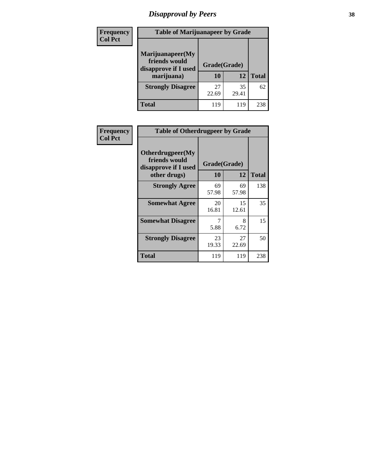# *Disapproval by Peers* **38**

| <b>Frequency</b> | <b>Table of Marijuanapeer by Grade</b>                                  |                           |             |              |  |
|------------------|-------------------------------------------------------------------------|---------------------------|-------------|--------------|--|
| <b>Col Pct</b>   | Marijuanapeer(My<br>friends would<br>disapprove if I used<br>marijuana) | Grade(Grade)<br><b>10</b> | 12          | <b>Total</b> |  |
|                  | <b>Strongly Disagree</b>                                                | 27<br>22.69               | 35<br>29.41 | 62           |  |
|                  | <b>Total</b>                                                            | 119                       | 119         | 238          |  |

| <b>Frequency</b> | <b>Table of Otherdrugpeer by Grade</b>                                    |                           |             |              |
|------------------|---------------------------------------------------------------------------|---------------------------|-------------|--------------|
| <b>Col Pct</b>   | Otherdrugpeer(My<br>friends would<br>disapprove if I used<br>other drugs) | Grade(Grade)<br><b>10</b> | 12          | <b>Total</b> |
|                  | <b>Strongly Agree</b>                                                     | 69<br>57.98               | 69<br>57.98 | 138          |
|                  | <b>Somewhat Agree</b>                                                     | 20<br>16.81               | 15<br>12.61 | 35           |
|                  | <b>Somewhat Disagree</b>                                                  | 7<br>5.88                 | 8<br>6.72   | 15           |
|                  | <b>Strongly Disagree</b>                                                  | 23<br>19.33               | 27<br>22.69 | 50           |
|                  | <b>Total</b>                                                              | 119                       | 119         | 238          |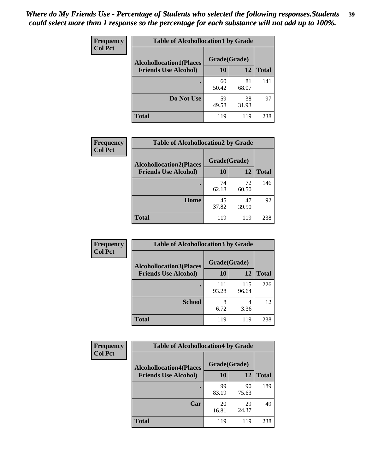| Frequency      | <b>Table of Alcohollocation1 by Grade</b> |              |             |              |
|----------------|-------------------------------------------|--------------|-------------|--------------|
| <b>Col Pct</b> | <b>Alcohollocation1(Places</b>            | Grade(Grade) |             |              |
|                | <b>Friends Use Alcohol)</b>               | 10           | 12          | <b>Total</b> |
|                |                                           | 60<br>50.42  | 81<br>68.07 | 141          |
|                | Do Not Use                                | 59<br>49.58  | 38<br>31.93 | 97           |
|                | <b>Total</b>                              | 119          | 119         | 238          |

| <b>Frequency</b> | <b>Table of Alcohollocation2 by Grade</b>                     |                    |             |              |
|------------------|---------------------------------------------------------------|--------------------|-------------|--------------|
| <b>Col Pct</b>   | <b>Alcohollocation2(Places</b><br><b>Friends Use Alcohol)</b> | Grade(Grade)<br>10 | 12          | <b>Total</b> |
|                  |                                                               | 74<br>62.18        | 72<br>60.50 | 146          |
|                  | Home                                                          | 45<br>37.82        | 47<br>39.50 | 92           |
|                  | <b>Total</b>                                                  | 119                | 119         | 238          |

| Frequency<br><b>Col Pct</b> | <b>Table of Alcohollocation 3 by Grade</b>                    |                    |              |              |
|-----------------------------|---------------------------------------------------------------|--------------------|--------------|--------------|
|                             | <b>Alcohollocation3(Places</b><br><b>Friends Use Alcohol)</b> | Grade(Grade)<br>10 | 12           | <b>Total</b> |
|                             |                                                               | 111<br>93.28       | 115<br>96.64 | 226          |
|                             | <b>School</b>                                                 | 8<br>6.72          | 4<br>3.36    | 12           |
|                             | <b>Total</b>                                                  | 119                | 119          | 238          |

| <b>Frequency</b> | <b>Table of Alcohollocation4 by Grade</b> |              |             |              |  |
|------------------|-------------------------------------------|--------------|-------------|--------------|--|
| <b>Col Pct</b>   | <b>Alcohollocation4(Places</b>            | Grade(Grade) |             |              |  |
|                  | <b>Friends Use Alcohol)</b>               | 10           | 12          | <b>Total</b> |  |
|                  |                                           | 99<br>83.19  | 90<br>75.63 | 189          |  |
|                  | Car                                       | 20<br>16.81  | 29<br>24.37 | 49           |  |
|                  | <b>Total</b>                              | 119          | 119         | 238          |  |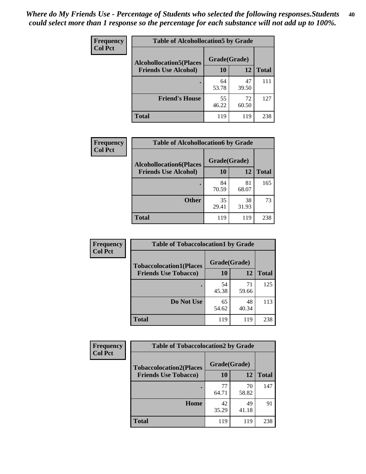| Frequency<br><b>Col Pct</b> | <b>Table of Alcohollocation5 by Grade</b> |              |             |              |
|-----------------------------|-------------------------------------------|--------------|-------------|--------------|
|                             | <b>Alcohollocation5(Places</b>            | Grade(Grade) |             |              |
|                             | <b>Friends Use Alcohol)</b>               | 10           | 12          | <b>Total</b> |
|                             |                                           | 64<br>53.78  | 47<br>39.50 | 111          |
|                             | <b>Friend's House</b>                     | 55<br>46.22  | 72<br>60.50 | 127          |
|                             | <b>Total</b>                              | 119          | 119         | 238          |

| <b>Frequency</b>                                                                | <b>Table of Alcohollocation6 by Grade</b> |             |             |              |
|---------------------------------------------------------------------------------|-------------------------------------------|-------------|-------------|--------------|
| <b>Col Pct</b><br><b>Alcohollocation6(Places</b><br><b>Friends Use Alcohol)</b> | Grade(Grade)                              |             |             |              |
|                                                                                 |                                           | 10          | 12          | <b>Total</b> |
|                                                                                 |                                           | 84<br>70.59 | 81<br>68.07 | 165          |
|                                                                                 | <b>Other</b>                              | 35<br>29.41 | 38<br>31.93 | 73           |
|                                                                                 | <b>Total</b>                              | 119         | 119         | 238          |

| Frequency      | <b>Table of Tobaccolocation1 by Grade</b> |              |             |              |
|----------------|-------------------------------------------|--------------|-------------|--------------|
| <b>Col Pct</b> | <b>Tobaccolocation1(Places</b>            | Grade(Grade) |             |              |
|                | <b>Friends Use Tobacco)</b>               | 10           | 12          | <b>Total</b> |
|                |                                           | 54<br>45.38  | 71<br>59.66 | 125          |
|                | Do Not Use                                | 65<br>54.62  | 48<br>40.34 | 113          |
|                | <b>Total</b>                              | 119          | 119         | 238          |

| <b>Frequency</b> | <b>Table of Tobaccolocation2 by Grade</b> |              |             |              |  |
|------------------|-------------------------------------------|--------------|-------------|--------------|--|
| <b>Col Pct</b>   | <b>Tobaccolocation2(Places</b>            | Grade(Grade) |             |              |  |
|                  | <b>Friends Use Tobacco)</b>               | 10           | 12          | <b>Total</b> |  |
|                  |                                           | 77<br>64.71  | 70<br>58.82 | 147          |  |
|                  | Home                                      | 42<br>35.29  | 49<br>41.18 | 91           |  |
|                  | <b>Total</b>                              | 119          | 119         | 238          |  |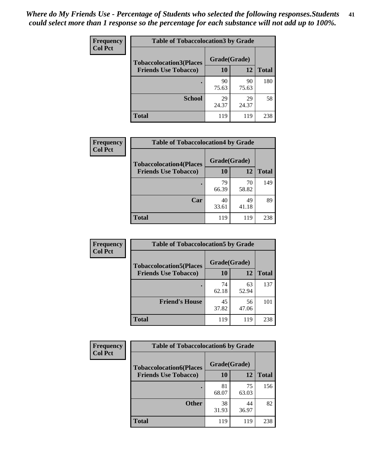| Frequency      | <b>Table of Tobaccolocation 3 by Grade</b> |              |             |              |
|----------------|--------------------------------------------|--------------|-------------|--------------|
| <b>Col Pct</b> | <b>Tobaccolocation3(Places</b>             | Grade(Grade) |             |              |
|                | <b>Friends Use Tobacco)</b>                | 10           | 12          | <b>Total</b> |
|                |                                            | 90<br>75.63  | 90<br>75.63 | 180          |
|                | <b>School</b>                              | 29<br>24.37  | 29<br>24.37 | 58           |
|                | <b>Total</b>                               | 119          | 119         | 238          |

| <b>Frequency</b>            | <b>Table of Tobaccolocation4 by Grade</b> |              |              |     |
|-----------------------------|-------------------------------------------|--------------|--------------|-----|
| <b>Col Pct</b>              | <b>Tobaccolocation4(Places</b>            | Grade(Grade) |              |     |
| <b>Friends Use Tobacco)</b> | 10                                        | 12           | <b>Total</b> |     |
|                             |                                           | 79<br>66.39  | 70<br>58.82  | 149 |
|                             | Car                                       | 40<br>33.61  | 49<br>41.18  | 89  |
|                             | <b>Total</b>                              | 119          | 119          | 238 |

| Frequency      | <b>Table of Tobaccolocation5 by Grade</b> |              |             |              |
|----------------|-------------------------------------------|--------------|-------------|--------------|
| <b>Col Pct</b> | <b>Tobaccolocation5(Places</b>            | Grade(Grade) |             |              |
|                | <b>Friends Use Tobacco)</b>               | 10           | <b>12</b>   | <b>Total</b> |
|                |                                           | 74<br>62.18  | 63<br>52.94 | 137          |
|                | <b>Friend's House</b>                     | 45<br>37.82  | 56<br>47.06 | 101          |
|                | <b>Total</b>                              | 119          | 119         | 238          |

| Frequency      | <b>Table of Tobaccolocation6 by Grade</b> |              |             |              |  |
|----------------|-------------------------------------------|--------------|-------------|--------------|--|
| <b>Col Pct</b> | <b>Tobaccolocation6(Places</b>            | Grade(Grade) |             |              |  |
|                | <b>Friends Use Tobacco)</b>               | 10           | 12          | <b>Total</b> |  |
|                |                                           | 81<br>68.07  | 75<br>63.03 | 156          |  |
|                | <b>Other</b>                              | 38<br>31.93  | 44<br>36.97 | 82           |  |
|                | <b>Total</b>                              | 119          | 119         | 238          |  |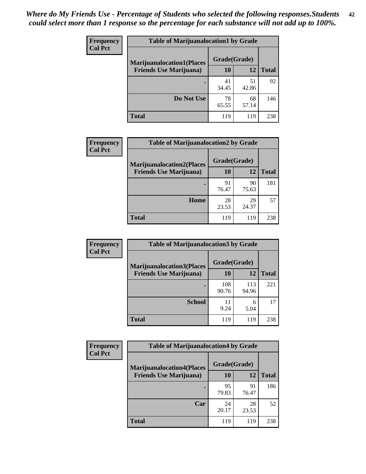| <b>Frequency</b> | <b>Table of Marijuanalocation1 by Grade</b> |              |             |              |
|------------------|---------------------------------------------|--------------|-------------|--------------|
| <b>Col Pct</b>   | <b>Marijuanalocation1(Places</b>            | Grade(Grade) |             |              |
|                  | <b>Friends Use Marijuana</b> )              | 10           | 12          | <b>Total</b> |
|                  |                                             | 41<br>34.45  | 51<br>42.86 | 92           |
|                  | Do Not Use                                  | 78<br>65.55  | 68<br>57.14 | 146          |
|                  | Total                                       | 119          | 119         | 238          |

| <b>Frequency</b> | <b>Table of Marijuanalocation2 by Grade</b>                        |                    |             |              |
|------------------|--------------------------------------------------------------------|--------------------|-------------|--------------|
| <b>Col Pct</b>   | <b>Marijuanalocation2(Places</b><br><b>Friends Use Marijuana</b> ) | Grade(Grade)<br>10 | 12          | <b>Total</b> |
|                  |                                                                    | 91<br>76.47        | 90<br>75.63 | 181          |
|                  | <b>Home</b>                                                        | 28<br>23.53        | 29<br>24.37 | 57           |
|                  | <b>Total</b>                                                       | 119                | 119         | 238          |

| Frequency<br><b>Col Pct</b> | <b>Table of Marijuanalocation3 by Grade</b> |              |              |              |
|-----------------------------|---------------------------------------------|--------------|--------------|--------------|
|                             | <b>Marijuanalocation3</b> (Places           | Grade(Grade) |              |              |
|                             | <b>Friends Use Marijuana</b> )              | <b>10</b>    | 12           | <b>Total</b> |
|                             |                                             | 108<br>90.76 | 113<br>94.96 | 221          |
|                             | <b>School</b>                               | 11<br>9.24   | 6<br>5.04    | 17           |
|                             | <b>Total</b>                                | 119          | 119          | 238          |

| <b>Frequency</b> | <b>Table of Marijuanalocation4 by Grade</b> |              |             |              |  |
|------------------|---------------------------------------------|--------------|-------------|--------------|--|
| <b>Col Pct</b>   | <b>Marijuanalocation4(Places</b>            | Grade(Grade) |             |              |  |
|                  | <b>Friends Use Marijuana</b> )              | <b>10</b>    | 12          | <b>Total</b> |  |
|                  |                                             | 95<br>79.83  | 91<br>76.47 | 186          |  |
|                  | Car                                         | 24<br>20.17  | 28<br>23.53 | 52           |  |
|                  | <b>Total</b>                                | 119          | 119         | 238          |  |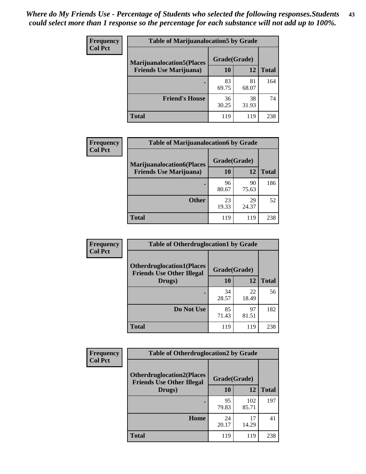| <b>Frequency</b> | <b>Table of Marijuanalocation5 by Grade</b> |              |             |              |
|------------------|---------------------------------------------|--------------|-------------|--------------|
| <b>Col Pct</b>   | <b>Marijuanalocation5</b> (Places           | Grade(Grade) |             |              |
|                  | <b>Friends Use Marijuana</b> )              | 10           | 12          | <b>Total</b> |
|                  |                                             | 83<br>69.75  | 81<br>68.07 | 164          |
|                  | <b>Friend's House</b>                       | 36<br>30.25  | 38<br>31.93 | 74           |
|                  | <b>Total</b>                                | 119          | 119         | 238          |

| <b>Frequency</b> | <b>Table of Marijuanalocation6 by Grade</b>                        |                    |             |              |
|------------------|--------------------------------------------------------------------|--------------------|-------------|--------------|
| <b>Col Pct</b>   | <b>Marijuanalocation6(Places</b><br><b>Friends Use Marijuana</b> ) | Grade(Grade)<br>10 | 12          | <b>Total</b> |
|                  |                                                                    | 96<br>80.67        | 90<br>75.63 | 186          |
|                  | <b>Other</b>                                                       | 23<br>19.33        | 29<br>24.37 | 52           |
|                  | <b>Total</b>                                                       | 119                | 119         | 238          |

| Frequency      | <b>Table of Otherdruglocation1 by Grade</b>                          |              |             |              |
|----------------|----------------------------------------------------------------------|--------------|-------------|--------------|
| <b>Col Pct</b> | <b>Otherdruglocation1(Places</b><br><b>Friends Use Other Illegal</b> | Grade(Grade) |             |              |
|                | Drugs)                                                               | 10           | 12          | <b>Total</b> |
|                |                                                                      | 34<br>28.57  | 22<br>18.49 | 56           |
|                | Do Not Use                                                           | 85<br>71.43  | 97<br>81.51 | 182          |
|                | <b>Total</b>                                                         | 119          | 119         | 238          |

| Frequency      | <b>Table of Otherdruglocation2 by Grade</b>                          |              |              |              |
|----------------|----------------------------------------------------------------------|--------------|--------------|--------------|
| <b>Col Pct</b> | <b>Otherdruglocation2(Places</b><br><b>Friends Use Other Illegal</b> | Grade(Grade) |              |              |
|                | Drugs)                                                               | 10           | 12           | <b>Total</b> |
|                |                                                                      | 95<br>79.83  | 102<br>85.71 | 197          |
|                | Home                                                                 | 24<br>20.17  | 17<br>14.29  | 41           |
|                | <b>Total</b>                                                         | 119          | 119          | 238          |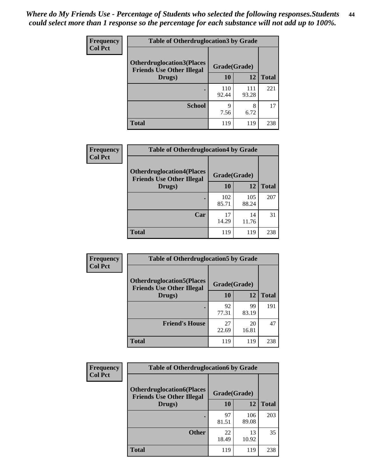| <b>Frequency</b> | <b>Table of Otherdruglocation 3 by Grade</b>                         |              |              |              |
|------------------|----------------------------------------------------------------------|--------------|--------------|--------------|
| <b>Col Pct</b>   | <b>Otherdruglocation3(Places</b><br><b>Friends Use Other Illegal</b> | Grade(Grade) |              |              |
|                  | Drugs)                                                               | 10           | 12           | <b>Total</b> |
|                  |                                                                      | 110<br>92.44 | 111<br>93.28 | 221          |
|                  | <b>School</b>                                                        | q<br>7.56    | 8<br>6.72    | 17           |
|                  | <b>Total</b>                                                         | 119          | 119          | 238          |

| <b>Frequency</b> | <b>Table of Otherdruglocation4 by Grade</b>                          |              |              |              |
|------------------|----------------------------------------------------------------------|--------------|--------------|--------------|
| <b>Col Pct</b>   | <b>Otherdruglocation4(Places</b><br><b>Friends Use Other Illegal</b> | Grade(Grade) |              |              |
|                  | Drugs)                                                               | 10           | 12           | <b>Total</b> |
|                  |                                                                      | 102<br>85.71 | 105<br>88.24 | 207          |
|                  | Car                                                                  | 17<br>14.29  | 14<br>11.76  | 31           |
|                  | <b>Total</b>                                                         | 119          | 119          | 238          |

| <b>Frequency</b> | <b>Table of Otherdruglocation5 by Grade</b>                          |              |             |              |
|------------------|----------------------------------------------------------------------|--------------|-------------|--------------|
| <b>Col Pct</b>   | <b>Otherdruglocation5(Places</b><br><b>Friends Use Other Illegal</b> | Grade(Grade) |             |              |
|                  | Drugs)                                                               | 10           | 12          | <b>Total</b> |
|                  |                                                                      | 92<br>77.31  | 99<br>83.19 | 191          |
|                  | <b>Friend's House</b>                                                | 27<br>22.69  | 20<br>16.81 | 47           |
|                  | <b>Total</b>                                                         | 119          | 119         | 238          |

| <b>Frequency</b> | <b>Table of Otherdruglocation6 by Grade</b>                          |              |              |              |
|------------------|----------------------------------------------------------------------|--------------|--------------|--------------|
| <b>Col Pct</b>   | <b>Otherdruglocation6(Places</b><br><b>Friends Use Other Illegal</b> | Grade(Grade) |              |              |
|                  | Drugs)                                                               | <b>10</b>    | 12           | <b>Total</b> |
|                  |                                                                      | 97<br>81.51  | 106<br>89.08 | 203          |
|                  | <b>Other</b>                                                         | 22<br>18.49  | 13<br>10.92  | 35           |
|                  | <b>Total</b>                                                         | 119          | 119          | 238          |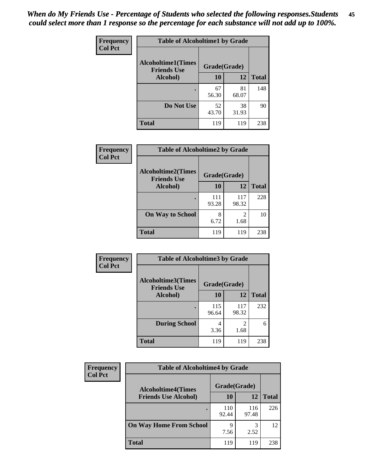| Frequency      | <b>Table of Alcoholtime1 by Grade</b>           |              |             |              |
|----------------|-------------------------------------------------|--------------|-------------|--------------|
| <b>Col Pct</b> | <b>Alcoholtime1(Times</b><br><b>Friends Use</b> | Grade(Grade) |             |              |
|                | Alcohol)                                        | 10           | 12          | <b>Total</b> |
|                |                                                 | 67<br>56.30  | 81<br>68.07 | 148          |
|                | Do Not Use                                      | 52<br>43.70  | 38<br>31.93 | 90           |
|                | <b>Total</b>                                    | 119          | 119         | 238          |

| Frequency      | <b>Table of Alcoholtime2 by Grade</b>           |              |                        |              |
|----------------|-------------------------------------------------|--------------|------------------------|--------------|
| <b>Col Pct</b> | <b>Alcoholtime2(Times</b><br><b>Friends Use</b> | Grade(Grade) |                        |              |
|                | Alcohol)                                        | 10           | 12                     | <b>Total</b> |
|                |                                                 | 111<br>93.28 | 117<br>98.32           | 228          |
|                | <b>On Way to School</b>                         | 8<br>6.72    | $\overline{2}$<br>1.68 | 10           |
|                | <b>Total</b>                                    | 119          | 119                    | 238          |

| Frequency<br><b>Col Pct</b> | <b>Table of Alcoholtime3 by Grade</b>           |              |                        |              |
|-----------------------------|-------------------------------------------------|--------------|------------------------|--------------|
|                             | <b>Alcoholtime3(Times</b><br><b>Friends Use</b> | Grade(Grade) |                        |              |
|                             | Alcohol)                                        | 10           | 12                     | <b>Total</b> |
|                             |                                                 | 115<br>96.64 | 117<br>98.32           | 232          |
|                             | <b>During School</b>                            | 4<br>3.36    | $\mathfrak{D}$<br>1.68 | 6            |
|                             | <b>Total</b>                                    | 119          | 119                    | 238          |

| <b>Frequency</b><br><b>Col Pct</b> | <b>Table of Alcoholtime4 by Grade</b> |              |              |              |
|------------------------------------|---------------------------------------|--------------|--------------|--------------|
|                                    | <b>Alcoholtime4(Times</b>             | Grade(Grade) |              |              |
|                                    | <b>Friends Use Alcohol)</b>           | 10           | 12           | <b>Total</b> |
|                                    |                                       | 110<br>92.44 | 116<br>97.48 | 226          |
|                                    | <b>On Way Home From School</b>        | 7.56         | 3<br>2.52    | 12           |
|                                    | <b>Total</b>                          | 119          | 119          | 238          |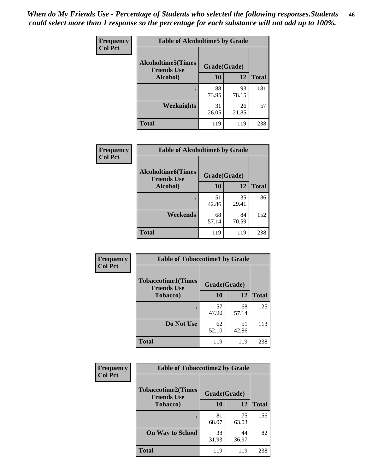*When do My Friends Use - Percentage of Students who selected the following responses.Students could select more than 1 response so the percentage for each substance will not add up to 100%.* **46**

| <b>Frequency</b> | <b>Table of Alcoholtime5 by Grade</b>           |              |             |              |
|------------------|-------------------------------------------------|--------------|-------------|--------------|
| <b>Col Pct</b>   | <b>Alcoholtime5(Times</b><br><b>Friends Use</b> | Grade(Grade) |             |              |
|                  | Alcohol)                                        | 10           | 12          | <b>Total</b> |
|                  |                                                 | 88<br>73.95  | 93<br>78.15 | 181          |
|                  | Weeknights                                      | 31<br>26.05  | 26<br>21.85 | 57           |
|                  | <b>Total</b>                                    | 119          | 119         | 238          |

| <b>Frequency</b> | <b>Table of Alcoholtime6 by Grade</b>           |              |             |              |
|------------------|-------------------------------------------------|--------------|-------------|--------------|
| <b>Col Pct</b>   | <b>Alcoholtime6(Times</b><br><b>Friends Use</b> | Grade(Grade) |             |              |
|                  | Alcohol)                                        | 10           | 12          | <b>Total</b> |
|                  |                                                 | 51<br>42.86  | 35<br>29.41 | 86           |
|                  | Weekends                                        | 68<br>57.14  | 84<br>70.59 | 152          |
|                  | <b>Total</b>                                    | 119          | 119         | 238          |

| Frequency      | <b>Table of Tobaccotime1 by Grade</b>           |              |             |              |
|----------------|-------------------------------------------------|--------------|-------------|--------------|
| <b>Col Pct</b> | <b>Tobaccotime1(Times</b><br><b>Friends Use</b> | Grade(Grade) |             |              |
|                | <b>Tobacco</b> )                                | 10           | 12          | <b>Total</b> |
|                | $\bullet$                                       | 57<br>47.90  | 68<br>57.14 | 125          |
|                | Do Not Use                                      | 62<br>52.10  | 51<br>42.86 | 113          |
|                | <b>Total</b>                                    | 119          | 119         | 238          |

| <b>Frequency</b> | <b>Table of Tobaccotime2 by Grade</b>           |              |             |              |  |
|------------------|-------------------------------------------------|--------------|-------------|--------------|--|
| <b>Col Pct</b>   | <b>Tobaccotime2(Times</b><br><b>Friends Use</b> | Grade(Grade) |             |              |  |
|                  | <b>Tobacco</b> )                                | <b>10</b>    | 12          | <b>Total</b> |  |
|                  |                                                 | 81<br>68.07  | 75<br>63.03 | 156          |  |
|                  | <b>On Way to School</b>                         | 38<br>31.93  | 44<br>36.97 | 82           |  |
|                  | <b>Total</b>                                    | 119          | 119         | 238          |  |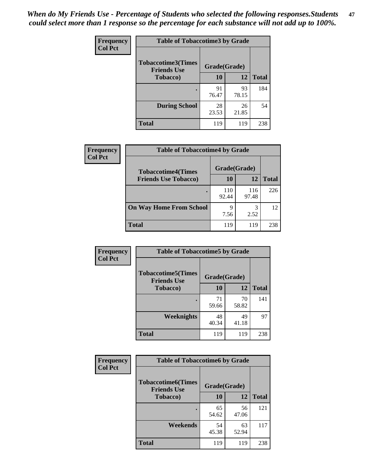*When do My Friends Use - Percentage of Students who selected the following responses.Students could select more than 1 response so the percentage for each substance will not add up to 100%.* **47**

| <b>Frequency</b> | <b>Table of Tobaccotime3 by Grade</b>           |              |             |              |  |
|------------------|-------------------------------------------------|--------------|-------------|--------------|--|
| <b>Col Pct</b>   | <b>Tobaccotime3(Times</b><br><b>Friends Use</b> | Grade(Grade) |             |              |  |
|                  | <b>Tobacco</b> )                                | 10           | 12          | <b>Total</b> |  |
|                  |                                                 | 91<br>76.47  | 93<br>78.15 | 184          |  |
|                  | <b>During School</b>                            | 28<br>23.53  | 26<br>21.85 | 54           |  |
|                  | <b>Total</b>                                    | 119          | 119         | 238          |  |

| <b>Frequency</b> | <b>Table of Tobaccotime4 by Grade</b>                    |              |              |              |
|------------------|----------------------------------------------------------|--------------|--------------|--------------|
| <b>Col Pct</b>   | <b>Tobaccotime4(Times</b><br><b>Friends Use Tobacco)</b> | Grade(Grade) |              |              |
|                  |                                                          | 10           | 12           | <b>Total</b> |
|                  |                                                          | 110<br>92.44 | 116<br>97.48 | 226          |
|                  | <b>On Way Home From School</b>                           | 9<br>7.56    | 3<br>2.52    | 12           |
|                  | <b>Total</b>                                             | 119          | 119          | 238          |

| Frequency      | <b>Table of Tobaccotime5 by Grade</b>           |              |             |              |
|----------------|-------------------------------------------------|--------------|-------------|--------------|
| <b>Col Pct</b> | <b>Tobaccotime5(Times</b><br><b>Friends Use</b> | Grade(Grade) |             |              |
|                | <b>Tobacco</b> )                                | 10           | 12          | <b>Total</b> |
|                |                                                 | 71<br>59.66  | 70<br>58.82 | 141          |
|                | Weeknights                                      | 48<br>40.34  | 49<br>41.18 | 97           |
|                | <b>Total</b>                                    | 119          | 119         | 238          |

| Frequency      | <b>Table of Tobaccotime6 by Grade</b>                           |             |             |              |
|----------------|-----------------------------------------------------------------|-------------|-------------|--------------|
| <b>Col Pct</b> | <b>Tobaccotime6(Times</b><br>Grade(Grade)<br><b>Friends Use</b> |             |             |              |
|                | <b>Tobacco</b> )                                                | 10          | 12          | <b>Total</b> |
|                | $\bullet$                                                       | 65<br>54.62 | 56<br>47.06 | 121          |
|                | Weekends                                                        | 54<br>45.38 | 63<br>52.94 | 117          |
|                | <b>Total</b>                                                    | 119         | 119         | 238          |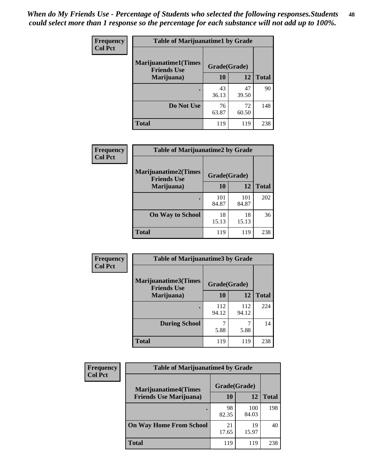| Frequency      | <b>Table of Marijuanatime1 by Grade</b>           |              |             |              |
|----------------|---------------------------------------------------|--------------|-------------|--------------|
| <b>Col Pct</b> | <b>Marijuanatime1(Times</b><br><b>Friends Use</b> | Grade(Grade) |             |              |
|                | Marijuana)                                        | 10           | 12          | <b>Total</b> |
|                |                                                   | 43<br>36.13  | 47<br>39.50 | 90           |
|                | Do Not Use                                        | 76<br>63.87  | 72<br>60.50 | 148          |
|                | <b>Total</b>                                      | 119          | 119         | 238          |

| <b>Frequency</b> | <b>Table of Marijuanatime2 by Grade</b>           |              |              |              |
|------------------|---------------------------------------------------|--------------|--------------|--------------|
| <b>Col Pct</b>   | <b>Marijuanatime2(Times</b><br><b>Friends Use</b> | Grade(Grade) |              |              |
|                  | Marijuana)                                        | 10           | 12           | <b>Total</b> |
|                  |                                                   | 101<br>84.87 | 101<br>84.87 | 202          |
|                  | <b>On Way to School</b>                           | 18<br>15.13  | 18<br>15.13  | 36           |
|                  | <b>Total</b>                                      | 119          | 119          | 238          |

| Frequency      | <b>Table of Marijuanatime3 by Grade</b>    |              |              |              |
|----------------|--------------------------------------------|--------------|--------------|--------------|
| <b>Col Pct</b> | Marijuanatime3(Times<br><b>Friends Use</b> | Grade(Grade) |              |              |
|                | Marijuana)                                 | 10           | 12           | <b>Total</b> |
|                |                                            | 112<br>94.12 | 112<br>94.12 | 224          |
|                | <b>During School</b>                       | 5.88         | 7<br>5.88    | 14           |
|                | <b>Total</b>                               | 119          | 119          | 238          |

| <b>Frequency</b> | <b>Table of Marijuanatime4 by Grade</b> |              |              |       |
|------------------|-----------------------------------------|--------------|--------------|-------|
| <b>Col Pct</b>   | <b>Marijuanatime4(Times</b>             | Grade(Grade) |              |       |
|                  | <b>Friends Use Marijuana</b> )          | 10           | 12           | Total |
|                  |                                         | 98<br>82.35  | 100<br>84.03 | 198   |
|                  | <b>On Way Home From School</b>          | 21<br>17.65  | 19<br>15.97  | 40    |
|                  | <b>Total</b>                            | 119          | 119          | 238   |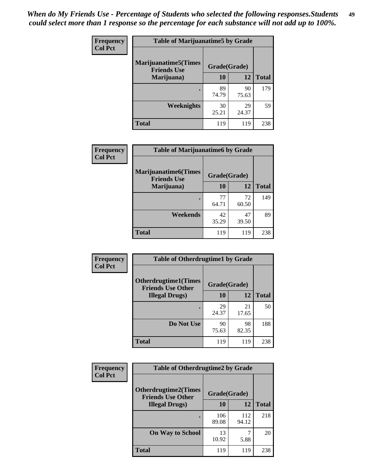| Frequency      | <b>Table of Marijuanatime5 by Grade</b>            |              |             |              |
|----------------|----------------------------------------------------|--------------|-------------|--------------|
| <b>Col Pct</b> | <b>Marijuanatime5</b> (Times<br><b>Friends Use</b> | Grade(Grade) |             |              |
|                | Marijuana)                                         | 10           | 12          | <b>Total</b> |
|                |                                                    | 89<br>74.79  | 90<br>75.63 | 179          |
|                | Weeknights                                         | 30<br>25.21  | 29<br>24.37 | 59           |
|                | <b>Total</b>                                       | 119          | 119         | 238          |

| Frequency      | <b>Table of Marijuanatime6 by Grade</b>            |              |             |              |
|----------------|----------------------------------------------------|--------------|-------------|--------------|
| <b>Col Pct</b> | <b>Marijuanatime6</b> (Times<br><b>Friends Use</b> | Grade(Grade) |             |              |
|                | Marijuana)                                         | 10           | 12          | <b>Total</b> |
|                |                                                    | 77<br>64.71  | 72<br>60.50 | 149          |
|                | Weekends                                           | 42<br>35.29  | 47<br>39.50 | 89           |
|                | <b>Total</b>                                       | 119          | 119         | 238          |

| <b>Frequency</b><br><b>Col Pct</b> | <b>Table of Otherdrugtime1 by Grade</b>                  |              |             |              |  |
|------------------------------------|----------------------------------------------------------|--------------|-------------|--------------|--|
|                                    | <b>Otherdrugtime1</b> (Times<br><b>Friends Use Other</b> | Grade(Grade) |             |              |  |
|                                    | <b>Illegal Drugs</b> )                                   | 10           | 12          | <b>Total</b> |  |
|                                    |                                                          | 29<br>24.37  | 21<br>17.65 | 50           |  |
|                                    | Do Not Use                                               | 90<br>75.63  | 98<br>82.35 | 188          |  |
|                                    | <b>Total</b>                                             | 119          | 119         | 238          |  |

| Frequency      | <b>Table of Otherdrugtime2 by Grade</b>                 |              |              |              |  |  |
|----------------|---------------------------------------------------------|--------------|--------------|--------------|--|--|
| <b>Col Pct</b> | <b>Otherdrugtime2(Times</b><br><b>Friends Use Other</b> | Grade(Grade) |              |              |  |  |
|                | <b>Illegal Drugs</b> )                                  | 10           | 12           | <b>Total</b> |  |  |
|                |                                                         | 106<br>89.08 | 112<br>94.12 | 218          |  |  |
|                | <b>On Way to School</b>                                 | 13<br>10.92  | 5.88         | 20           |  |  |
|                | Total                                                   | 119          | 119          | 238          |  |  |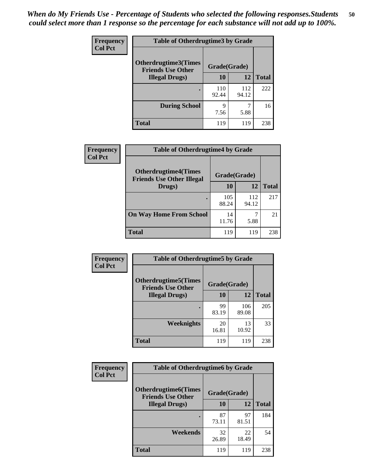| <b>Frequency</b> | <b>Table of Otherdrugtime3 by Grade</b>          |              |              |              |  |  |
|------------------|--------------------------------------------------|--------------|--------------|--------------|--|--|
| <b>Col Pct</b>   | Otherdrugtime3(Times<br><b>Friends Use Other</b> | Grade(Grade) |              |              |  |  |
|                  | <b>Illegal Drugs</b> )                           | 10           | 12           | <b>Total</b> |  |  |
|                  |                                                  | 110<br>92.44 | 112<br>94.12 | 222          |  |  |
|                  | <b>During School</b>                             | 9<br>7.56    | 5.88         | 16           |  |  |
|                  | Total                                            | 119          | 119          | 238          |  |  |

| Frequency      | <b>Table of Otherdrugtime4 by Grade</b>                         |              |              |              |  |  |
|----------------|-----------------------------------------------------------------|--------------|--------------|--------------|--|--|
| <b>Col Pct</b> | <b>Otherdrugtime4(Times</b><br><b>Friends Use Other Illegal</b> | Grade(Grade) |              |              |  |  |
|                | Drugs)                                                          | 10           | 12           | <b>Total</b> |  |  |
|                | $\bullet$                                                       | 105<br>88.24 | 112<br>94.12 | 217          |  |  |
|                | <b>On Way Home From School</b>                                  | 14<br>11.76  | 5.88         | 21           |  |  |
|                | <b>Total</b>                                                    | 119          | 119          | 238          |  |  |

| <b>Frequency</b> | <b>Table of Otherdrugtime5 by Grade</b>                  |              |              |              |  |  |
|------------------|----------------------------------------------------------|--------------|--------------|--------------|--|--|
| <b>Col Pct</b>   | <b>Otherdrugtime5</b> (Times<br><b>Friends Use Other</b> | Grade(Grade) |              |              |  |  |
|                  | <b>Illegal Drugs</b> )                                   | 10           | 12           | <b>Total</b> |  |  |
|                  |                                                          | 99<br>83.19  | 106<br>89.08 | 205          |  |  |
|                  | <b>Weeknights</b>                                        | 20<br>16.81  | 13<br>10.92  | 33           |  |  |
|                  | Total                                                    | 119          | 119          | 238          |  |  |

| Frequency      | <b>Table of Otherdrugtime6 by Grade</b>                 |              |             |              |  |  |  |
|----------------|---------------------------------------------------------|--------------|-------------|--------------|--|--|--|
| <b>Col Pct</b> | <b>Otherdrugtime6(Times</b><br><b>Friends Use Other</b> | Grade(Grade) |             |              |  |  |  |
|                | <b>Illegal Drugs</b> )                                  | 10           | 12          | <b>Total</b> |  |  |  |
|                |                                                         | 87<br>73.11  | 97<br>81.51 | 184          |  |  |  |
|                | Weekends                                                | 32<br>26.89  | 22<br>18.49 | 54           |  |  |  |
|                | Total                                                   | 119          | 119         | 238          |  |  |  |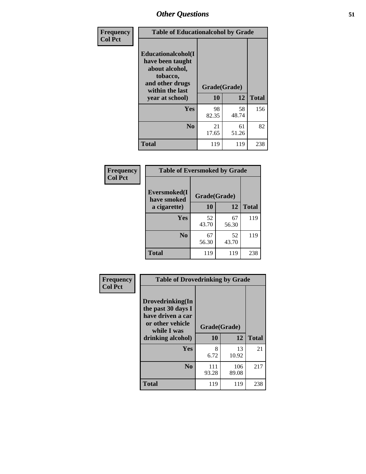| Frequency      | <b>Table of Educationalcohol by Grade</b>                                                                  |              |             |              |  |
|----------------|------------------------------------------------------------------------------------------------------------|--------------|-------------|--------------|--|
| <b>Col Pct</b> | Educationalcohol(I<br>have been taught<br>about alcohol,<br>tobacco,<br>and other drugs<br>within the last | Grade(Grade) |             |              |  |
|                | year at school)                                                                                            | 10           | 12          | <b>Total</b> |  |
|                | <b>Yes</b>                                                                                                 | 98<br>82.35  | 58<br>48.74 | 156          |  |
|                | N <sub>0</sub>                                                                                             | 21<br>17.65  | 61<br>51.26 | 82           |  |
|                | <b>Total</b>                                                                                               | 119          | 119         | 238          |  |

| Frequency      | <b>Table of Eversmoked by Grade</b> |              |             |              |  |  |
|----------------|-------------------------------------|--------------|-------------|--------------|--|--|
| <b>Col Pct</b> | Eversmoked(I<br>have smoked         | Grade(Grade) |             |              |  |  |
|                | a cigarette)                        | 10           | 12          | <b>Total</b> |  |  |
|                | <b>Yes</b>                          | 52<br>43.70  | 67<br>56.30 | 119          |  |  |
|                | N <sub>0</sub>                      | 67<br>56.30  | 52<br>43.70 | 119          |  |  |
|                | <b>Total</b>                        | 119          | 119         | 238          |  |  |

| Frequency      | <b>Table of Drovedrinking by Grade</b>                                                                              |                    |              |     |  |  |
|----------------|---------------------------------------------------------------------------------------------------------------------|--------------------|--------------|-----|--|--|
| <b>Col Pct</b> | Drovedrinking(In<br>the past 30 days I<br>have driven a car<br>or other vehicle<br>while I was<br>drinking alcohol) | Grade(Grade)<br>10 | <b>Total</b> |     |  |  |
|                | <b>Yes</b>                                                                                                          | 8<br>6.72          | 13<br>10.92  | 21  |  |  |
|                | N <sub>0</sub>                                                                                                      | 111<br>93.28       | 106<br>89.08 | 217 |  |  |
|                | <b>Total</b>                                                                                                        | 119                | 119          | 238 |  |  |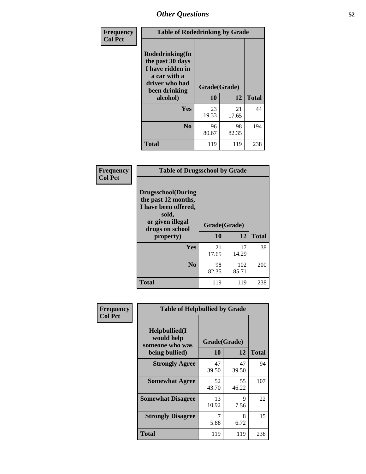| Frequency      | <b>Table of Rodedrinking by Grade</b>                                                                                  |                    |              |     |  |  |
|----------------|------------------------------------------------------------------------------------------------------------------------|--------------------|--------------|-----|--|--|
| <b>Col Pct</b> | Rodedrinking(In<br>the past 30 days<br>I have ridden in<br>a car with a<br>driver who had<br>been drinking<br>alcohol) | Grade(Grade)<br>10 | <b>Total</b> |     |  |  |
|                |                                                                                                                        |                    | 12           |     |  |  |
|                | <b>Yes</b>                                                                                                             | 23<br>19.33        | 21<br>17.65  | 44  |  |  |
|                | N <sub>0</sub>                                                                                                         | 96<br>80.67        | 98<br>82.35  | 194 |  |  |
|                | <b>Total</b>                                                                                                           | 119                | 119          | 238 |  |  |

#### **Frequency Col Pct**

| <b>Table of Drugsschool by Grade</b>                                                                                      |              |              |              |  |  |  |
|---------------------------------------------------------------------------------------------------------------------------|--------------|--------------|--------------|--|--|--|
| <b>Drugsschool</b> (During<br>the past 12 months,<br>I have been offered,<br>sold,<br>or given illegal<br>drugs on school | Grade(Grade) |              |              |  |  |  |
| property)                                                                                                                 | 10           | 12           | <b>Total</b> |  |  |  |
| Yes                                                                                                                       | 21<br>17.65  | 17<br>14.29  | 38           |  |  |  |
| N <sub>0</sub>                                                                                                            | 98<br>82.35  | 102<br>85.71 | 200          |  |  |  |
| <b>Total</b>                                                                                                              | 119          | 119          | 238          |  |  |  |

| Frequency      | <b>Table of Helpbullied by Grade</b>                 |              |             |              |  |  |  |  |  |
|----------------|------------------------------------------------------|--------------|-------------|--------------|--|--|--|--|--|
| <b>Col Pct</b> | $Helpb$ ullied $(I$<br>would help<br>someone who was | Grade(Grade) |             |              |  |  |  |  |  |
|                | being bullied)                                       | 10           | 12          | <b>Total</b> |  |  |  |  |  |
|                | <b>Strongly Agree</b>                                | 47<br>39.50  | 47<br>39.50 | 94           |  |  |  |  |  |
|                | <b>Somewhat Agree</b>                                | 52<br>43.70  | 55<br>46.22 | 107          |  |  |  |  |  |
|                | <b>Somewhat Disagree</b>                             | 13<br>10.92  | 9<br>7.56   | 22           |  |  |  |  |  |
|                | <b>Strongly Disagree</b>                             | 5.88         | 8<br>6.72   | 15           |  |  |  |  |  |
|                | <b>Total</b>                                         | 119          | 119         | 238          |  |  |  |  |  |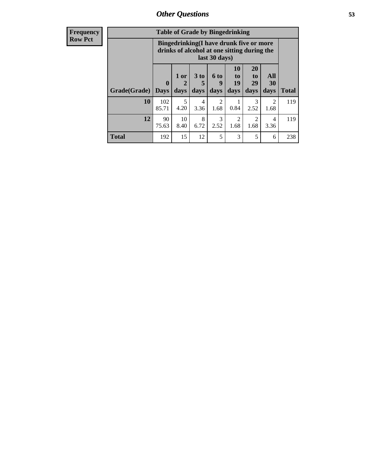| <b>Frequency</b> | <b>Table of Grade by Bingedrinking</b> |                                                                                                         |                                |                              |                        |                        |                                     |                        |              |
|------------------|----------------------------------------|---------------------------------------------------------------------------------------------------------|--------------------------------|------------------------------|------------------------|------------------------|-------------------------------------|------------------------|--------------|
| <b>Row Pct</b>   |                                        | Bingedrinking(I have drunk five or more<br>drinks of alcohol at one sitting during the<br>last 30 days) |                                |                              |                        |                        |                                     |                        |              |
|                  | Grade(Grade)                           | $\mathbf{0}$<br><b>Days</b>                                                                             | 1 or<br>$\overline{2}$<br>days | 3 <sub>to</sub><br>5<br>days | 6 to<br>9<br>days      | 10<br>to<br>19<br>days | <b>20</b><br>to<br>29<br>days       | All<br>30<br>days      | <b>Total</b> |
|                  | 10                                     | 102<br>85.71                                                                                            | 5<br>4.20                      | 4<br>3.36                    | $\overline{2}$<br>1.68 | 0.84                   | 3<br>2.52                           | $\mathfrak{D}$<br>1.68 | 119          |
|                  | 12                                     | 90<br>75.63                                                                                             | 10<br>8.40                     | 8<br>6.72                    | 3<br>2.52              | 1.68                   | $\mathcal{D}_{\mathcal{L}}$<br>1.68 | 4<br>3.36              | 119          |
|                  | <b>Total</b>                           | 192                                                                                                     | 15                             | 12                           | 5                      | 3                      | 5                                   | 6                      | 238          |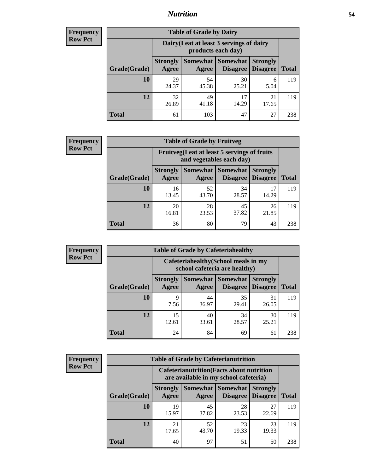### *Nutrition* **54**

| <b>Frequency</b><br>Row Pct |
|-----------------------------|
|                             |

| <b>Table of Grade by Dairy</b> |                          |                                                                 |                                    |                                    |              |  |  |
|--------------------------------|--------------------------|-----------------------------------------------------------------|------------------------------------|------------------------------------|--------------|--|--|
|                                |                          | Dairy (I eat at least 3 servings of dairy<br>products each day) |                                    |                                    |              |  |  |
| Grade(Grade)                   | <b>Strongly</b><br>Agree | <b>Somewhat</b><br>Agree                                        | <b>Somewhat</b><br><b>Disagree</b> | <b>Strongly</b><br><b>Disagree</b> | <b>Total</b> |  |  |
| 10                             | 29<br>24.37              | 54<br>45.38                                                     | 30<br>25.21                        | 6<br>5.04                          | 119          |  |  |
| 12                             | 32<br>26.89              | 49<br>41.18                                                     | 17<br>14.29                        | 21<br>17.65                        | 119          |  |  |
| <b>Total</b>                   | 61                       | 103                                                             | 47                                 | 27                                 | 238          |  |  |

| <b>Frequency</b> |  |
|------------------|--|
| <b>Row Pct</b>   |  |

| <b>Table of Grade by Fruitveg</b>                                                                                                           |             |             |             |             |     |  |  |
|---------------------------------------------------------------------------------------------------------------------------------------------|-------------|-------------|-------------|-------------|-----|--|--|
| Fruitveg(I eat at least 5 servings of fruits<br>and vegetables each day)                                                                    |             |             |             |             |     |  |  |
| Somewhat  <br><b>Somewhat</b><br><b>Strongly</b><br><b>Strongly</b><br><b>Disagree</b><br>Grade(Grade)<br>Agree<br><b>Disagree</b><br>Agree |             |             |             |             |     |  |  |
| 10                                                                                                                                          | 16<br>13.45 | 52<br>43.70 | 34<br>28.57 | 17<br>14.29 | 119 |  |  |
| 12                                                                                                                                          | 20<br>16.81 | 28<br>23.53 | 45<br>37.82 | 26<br>21.85 | 119 |  |  |
| <b>Total</b>                                                                                                                                | 36          | 80          | 79          | 43          | 238 |  |  |

| <b>Frequency</b> | <b>Table of Grade by Cafeteriahealthy</b> |                          |                     |                                                                       |                                    |              |  |  |
|------------------|-------------------------------------------|--------------------------|---------------------|-----------------------------------------------------------------------|------------------------------------|--------------|--|--|
| <b>Row Pct</b>   |                                           |                          |                     | Cafeteriahealthy (School meals in my<br>school cafeteria are healthy) |                                    |              |  |  |
|                  | Grade(Grade)                              | <b>Strongly</b><br>Agree | Somewhat  <br>Agree | Somewhat<br><b>Disagree</b>                                           | <b>Strongly</b><br><b>Disagree</b> | <b>Total</b> |  |  |
|                  | 10                                        | q<br>7.56                | 44<br>36.97         | 35<br>29.41                                                           | 31<br>26.05                        | 119          |  |  |
|                  | 12                                        | 15<br>12.61              | 40<br>33.61         | 34<br>28.57                                                           | 30<br>25.21                        | 119          |  |  |
|                  | Total                                     | 24                       | 84                  | 69                                                                    | 61                                 | 238          |  |  |

| <b>Frequency</b> |
|------------------|
| <b>Row Pct</b>   |

| <b>Table of Grade by Cafeterianutrition</b>                                                                                                                 |             |             |             |             |     |  |  |
|-------------------------------------------------------------------------------------------------------------------------------------------------------------|-------------|-------------|-------------|-------------|-----|--|--|
| <b>Cafeterianutrition</b> (Facts about nutrition<br>are available in my school cafeteria)                                                                   |             |             |             |             |     |  |  |
| Somewhat  <br><b>Somewhat</b><br><b>Strongly</b><br><b>Strongly</b><br><b>Disagree</b><br>Agree<br>Grade(Grade)<br><b>Disagree</b><br><b>Total</b><br>Agree |             |             |             |             |     |  |  |
| 10                                                                                                                                                          | 19<br>15.97 | 45<br>37.82 | 28<br>23.53 | 27<br>22.69 | 119 |  |  |
| 12                                                                                                                                                          | 21<br>17.65 | 52<br>43.70 | 23<br>19.33 | 23<br>19.33 | 119 |  |  |
| <b>Total</b>                                                                                                                                                | 40          | 97          | 51          | 50          | 238 |  |  |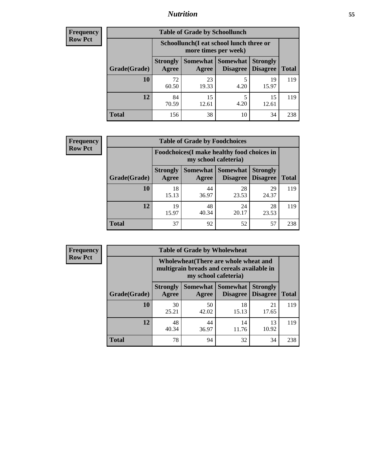### *Nutrition* **55**

| Frequency |
|-----------|
| Row Pct   |

| <b>Table of Grade by Schoollunch</b> |                                                                                                          |                                                                 |           |             |     |  |  |  |
|--------------------------------------|----------------------------------------------------------------------------------------------------------|-----------------------------------------------------------------|-----------|-------------|-----|--|--|--|
|                                      |                                                                                                          | Schoollunch(I eat school lunch three or<br>more times per week) |           |             |     |  |  |  |
| Grade(Grade)                         | Somewhat Somewhat<br><b>Strongly</b><br><b>Strongly</b><br><b>Disagree</b><br>Disagree<br>Agree<br>Agree |                                                                 |           |             |     |  |  |  |
| 10                                   | 72<br>60.50                                                                                              | 23<br>19.33                                                     | 5<br>4.20 | 19<br>15.97 | 119 |  |  |  |
| 12                                   | 84<br>70.59                                                                                              | 15<br>12.61                                                     | 5<br>4.20 | 15<br>12.61 | 119 |  |  |  |
| <b>Total</b>                         | 156                                                                                                      | 38                                                              | 10        | 34          | 238 |  |  |  |

| <b>Frequency</b> |  |
|------------------|--|
| <b>Row Pct</b>   |  |

| V | <b>Table of Grade by Foodchoices</b>                                                                                         |             |             |             |             |              |  |
|---|------------------------------------------------------------------------------------------------------------------------------|-------------|-------------|-------------|-------------|--------------|--|
|   | <b>Foodchoices</b> (I make healthy food choices in<br>my school cafeteria)                                                   |             |             |             |             |              |  |
|   | Somewhat   Somewhat  <br><b>Strongly</b><br><b>Strongly</b><br><b>Disagree</b><br>Grade(Grade)<br>Agree<br>Disagree<br>Agree |             |             |             |             | <b>Total</b> |  |
|   | 10                                                                                                                           | 18<br>15.13 | 44<br>36.97 | 28<br>23.53 | 29<br>24.37 | 119          |  |
|   | 12                                                                                                                           | 19<br>15.97 | 48<br>40.34 | 24<br>20.17 | 28<br>23.53 | 119          |  |
|   | <b>Total</b>                                                                                                                 | 37          | 92          | 52          | 57          | 238          |  |

| Frequency      | <b>Table of Grade by Wholewheat</b> |                          |             |                                                                                                             |                                    |              |  |  |  |
|----------------|-------------------------------------|--------------------------|-------------|-------------------------------------------------------------------------------------------------------------|------------------------------------|--------------|--|--|--|
| <b>Row Pct</b> |                                     |                          |             | Wholewheat (There are whole wheat and<br>multigrain breads and cereals available in<br>my school cafeteria) |                                    |              |  |  |  |
|                | Grade(Grade)                        | <b>Strongly</b><br>Agree | Agree       | Somewhat   Somewhat  <br><b>Disagree</b>                                                                    | <b>Strongly</b><br><b>Disagree</b> | <b>Total</b> |  |  |  |
|                | 10                                  | 30<br>25.21              | 50<br>42.02 | 18<br>15.13                                                                                                 | 21<br>17.65                        | 119          |  |  |  |
|                | 12                                  | 48<br>40.34              | 44<br>36.97 | 14<br>11.76                                                                                                 | 13<br>10.92                        | 119          |  |  |  |
|                | <b>Total</b>                        | 78                       | 94          | 32                                                                                                          | 34                                 | 238          |  |  |  |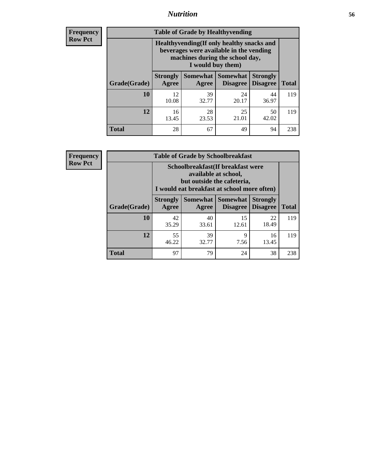### *Nutrition* **56**

**Frequency Row Pct**

| <b>Table of Grade by Healthyvending</b> |                                                                                                                                               |                          |                                    |                                    |              |  |
|-----------------------------------------|-----------------------------------------------------------------------------------------------------------------------------------------------|--------------------------|------------------------------------|------------------------------------|--------------|--|
|                                         | Healthyvending (If only healthy snacks and<br>beverages were available in the vending<br>machines during the school day,<br>I would buy them) |                          |                                    |                                    |              |  |
| Grade(Grade)                            | <b>Strongly</b><br>Agree                                                                                                                      | <b>Somewhat</b><br>Agree | <b>Somewhat</b><br><b>Disagree</b> | <b>Strongly</b><br><b>Disagree</b> | <b>Total</b> |  |
| 10                                      | 12<br>10.08                                                                                                                                   | 39<br>32.77              | 24<br>20.17                        | 44<br>36.97                        | 119          |  |
| 12                                      | 16<br>13.45                                                                                                                                   | 28<br>23.53              | 25<br>21.01                        | 50<br>42.02                        | 119          |  |
| <b>Total</b>                            | 28                                                                                                                                            | 67                       | 49                                 | 94                                 | 238          |  |

**Frequency Row Pct**

| <b>Table of Grade by Schoolbreakfast</b> |                                                                                                                                        |             |                                 |                                    |              |  |
|------------------------------------------|----------------------------------------------------------------------------------------------------------------------------------------|-------------|---------------------------------|------------------------------------|--------------|--|
|                                          | Schoolbreakfast(If breakfast were<br>available at school,<br>but outside the cafeteria,<br>I would eat breakfast at school more often) |             |                                 |                                    |              |  |
| Grade(Grade)                             | <b>Strongly</b><br>Agree                                                                                                               | Agree       | Somewhat   Somewhat<br>Disagree | <b>Strongly</b><br><b>Disagree</b> | <b>Total</b> |  |
| <b>10</b>                                | 42<br>35.29                                                                                                                            | 40<br>33.61 | 15<br>12.61                     | 22<br>18.49                        | 119          |  |
| 12                                       | 55<br>39<br>9<br>16<br>32.77<br>46.22<br>7.56<br>13.45                                                                                 |             |                                 |                                    |              |  |
| <b>Total</b>                             | 97                                                                                                                                     | 79          | 24                              | 38                                 | 238          |  |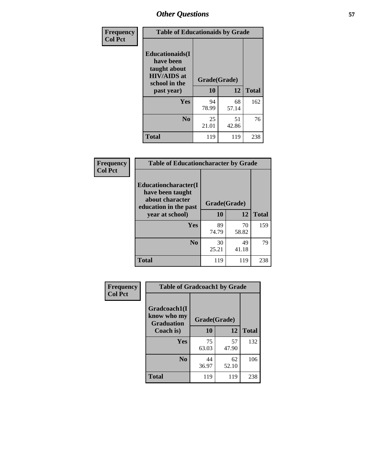| Frequency<br><b>Col Pct</b> | <b>Table of Educationaids by Grade</b>                                                                    |                    |             |              |
|-----------------------------|-----------------------------------------------------------------------------------------------------------|--------------------|-------------|--------------|
|                             | <b>Educationaids</b> (I<br>have been<br>taught about<br><b>HIV/AIDS</b> at<br>school in the<br>past year) | Grade(Grade)<br>10 | 12          | <b>Total</b> |
|                             | Yes                                                                                                       | 94<br>78.99        | 68<br>57.14 | 162          |
|                             | N <sub>0</sub>                                                                                            | 25<br>21.01        | 51<br>42.86 | 76           |
|                             | <b>Total</b>                                                                                              | 119                | 119         | 238          |

| Frequency      | <b>Table of Educationcharacter by Grade</b>                         |              |             |              |  |
|----------------|---------------------------------------------------------------------|--------------|-------------|--------------|--|
| <b>Col Pct</b> | <b>Educationcharacter(I)</b><br>have been taught<br>about character | Grade(Grade) |             |              |  |
|                | education in the past<br>year at school)                            | 10           | 12          | <b>Total</b> |  |
|                | Yes                                                                 | 89<br>74.79  | 70<br>58.82 | 159          |  |
|                | N <sub>0</sub>                                                      | 30<br>25.21  | 49<br>41.18 | 79           |  |
|                | <b>Total</b>                                                        | 119          | 119         | 238          |  |

| Frequency      | <b>Table of Gradcoach1 by Grade</b> |              |             |              |
|----------------|-------------------------------------|--------------|-------------|--------------|
| <b>Col Pct</b> | Gradcoach1(I<br>know who my         | Grade(Grade) |             |              |
|                | <b>Graduation</b><br>Coach is)      | 10           | 12          | <b>Total</b> |
|                | <b>Yes</b>                          | 75<br>63.03  | 57<br>47.90 | 132          |
|                | N <sub>0</sub>                      | 44<br>36.97  | 62<br>52.10 | 106          |
|                | <b>Total</b>                        | 119          | 119         | 238          |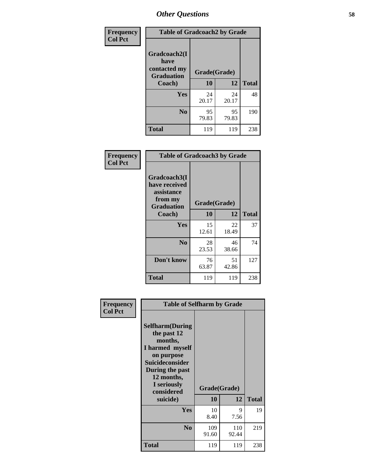| Frequency      | <b>Table of Gradcoach2 by Grade</b> |             |              |              |
|----------------|-------------------------------------|-------------|--------------|--------------|
| <b>Col Pct</b> |                                     |             |              |              |
|                | Gradcoach2(I<br>have                |             |              |              |
|                | contacted my<br><b>Graduation</b>   |             | Grade(Grade) |              |
|                | Coach)                              | 10          | 12           | <b>Total</b> |
|                | Yes                                 | 24<br>20.17 | 24<br>20.17  | 48           |
|                | N <sub>0</sub>                      | 95<br>79.83 | 95<br>79.83  | 190          |
|                | <b>Total</b>                        | 119         | 119          | 238          |

| Frequency<br><b>Col Pct</b> |                                                                             | <b>Table of Gradcoach3 by Grade</b> |             |              |  |
|-----------------------------|-----------------------------------------------------------------------------|-------------------------------------|-------------|--------------|--|
|                             | Gradcoach3(I<br>have received<br>assistance<br>from my<br><b>Graduation</b> | Grade(Grade)                        |             |              |  |
|                             | Coach)                                                                      | 10                                  | 12          | <b>Total</b> |  |
|                             | Yes                                                                         | 15<br>12.61                         | 22<br>18.49 | 37           |  |
|                             | N <sub>0</sub>                                                              | 28<br>23.53                         | 46<br>38.66 | 74           |  |
|                             | Don't know                                                                  | 76<br>63.87                         | 51<br>42.86 | 127          |  |
|                             | <b>Total</b>                                                                | 119                                 | 119         | 238          |  |

| Frequency      | <b>Table of Selfharm by Grade</b>                                                                                                                                                      |                    |              |              |
|----------------|----------------------------------------------------------------------------------------------------------------------------------------------------------------------------------------|--------------------|--------------|--------------|
| <b>Col Pct</b> | <b>Selfharm</b> (During<br>the past 12<br>months,<br>I harmed myself<br>on purpose<br><b>Suicideconsider</b><br>During the past<br>12 months,<br>I seriously<br>considered<br>suicide) | Grade(Grade)<br>10 | 12           | <b>Total</b> |
|                | Yes                                                                                                                                                                                    | 10<br>8.40         | 9<br>7.56    | 19           |
|                | N <sub>0</sub>                                                                                                                                                                         | 109<br>91.60       | 110<br>92.44 | 219          |
|                | <b>Total</b>                                                                                                                                                                           | 119                | 119          | 238          |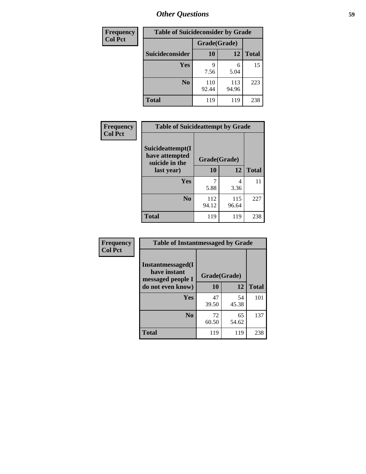| <b>Frequency</b> | <b>Table of Suicideconsider by Grade</b> |              |              |              |
|------------------|------------------------------------------|--------------|--------------|--------------|
| <b>Col Pct</b>   |                                          | Grade(Grade) |              |              |
|                  | Suicideconsider                          | <b>10</b>    | 12           | <b>Total</b> |
|                  | Yes                                      | q<br>7.56    | 6<br>5.04    | 15           |
|                  | N <sub>0</sub>                           | 110<br>92.44 | 113<br>94.96 | 223          |
|                  | <b>Total</b>                             | 119          | 119          | 238          |

| Frequency      | <b>Table of Suicideattempt by Grade</b>              |              |              |              |
|----------------|------------------------------------------------------|--------------|--------------|--------------|
| <b>Col Pct</b> | Suicideattempt(I<br>have attempted<br>suicide in the | Grade(Grade) |              |              |
|                | last year)                                           | 10           | 12           | <b>Total</b> |
|                | Yes                                                  | 5.88         | 4<br>3.36    | 11           |
|                | N <sub>0</sub>                                       | 112<br>94.12 | 115<br>96.64 | 227          |
|                | <b>Total</b>                                         | 119          | 119          | 238          |

| Frequency      | <b>Table of Instantmessaged by Grade</b>               |              |             |              |
|----------------|--------------------------------------------------------|--------------|-------------|--------------|
| <b>Col Pct</b> | Instantmessaged(I<br>have instant<br>messaged people I | Grade(Grade) |             |              |
|                | do not even know)                                      | 10           | 12          | <b>Total</b> |
|                | Yes                                                    | 47<br>39.50  | 54<br>45.38 | 101          |
|                | N <sub>0</sub>                                         | 72<br>60.50  | 65<br>54.62 | 137          |
|                | <b>Total</b>                                           | 119          | 119         | 238          |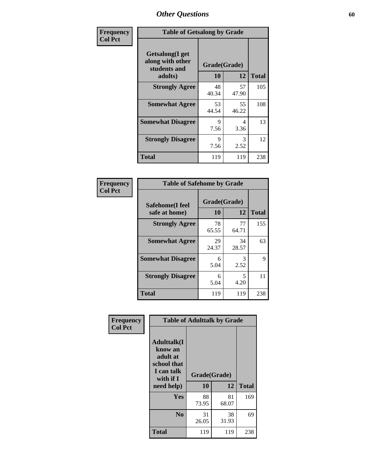| Frequency      | <b>Table of Getsalong by Grade</b>                                     |                    |             |              |
|----------------|------------------------------------------------------------------------|--------------------|-------------|--------------|
| <b>Col Pct</b> | <b>Getsalong</b> (I get<br>along with other<br>students and<br>adults) | Grade(Grade)<br>10 | 12          | <b>Total</b> |
|                | <b>Strongly Agree</b>                                                  | 48<br>40.34        | 57<br>47.90 | 105          |
|                | <b>Somewhat Agree</b>                                                  | 53<br>44.54        | 55<br>46.22 | 108          |
|                | <b>Somewhat Disagree</b>                                               | 9<br>7.56          | 4<br>3.36   | 13           |
|                | <b>Strongly Disagree</b>                                               | 9<br>7.56          | 3<br>2.52   | 12           |
|                | <b>Total</b>                                                           | 119                | 119         | 238          |

| Frequency      | <b>Table of Safehome by Grade</b> |                    |             |              |
|----------------|-----------------------------------|--------------------|-------------|--------------|
| <b>Col Pct</b> | Safehome(I feel<br>safe at home)  | Grade(Grade)<br>10 | 12          | <b>Total</b> |
|                | <b>Strongly Agree</b>             | 78<br>65.55        | 77<br>64.71 | 155          |
|                | <b>Somewhat Agree</b>             | 29<br>24.37        | 34<br>28.57 | 63           |
|                | <b>Somewhat Disagree</b>          | 6<br>5.04          | 3<br>2.52   | 9            |
|                | <b>Strongly Disagree</b>          | 6<br>5.04          | 5<br>4.20   | 11           |
|                | <b>Total</b>                      | 119                | 119         | 238          |

| Frequency      |                                                                                     | <b>Table of Adulttalk by Grade</b> |             |              |  |  |  |  |
|----------------|-------------------------------------------------------------------------------------|------------------------------------|-------------|--------------|--|--|--|--|
| <b>Col Pct</b> | <b>Adulttalk(I</b><br>know an<br>adult at<br>school that<br>I can talk<br>with if I | Grade(Grade)                       |             |              |  |  |  |  |
|                | need help)                                                                          | 10                                 | 12          | <b>Total</b> |  |  |  |  |
|                | Yes                                                                                 | 88<br>73.95                        | 81<br>68.07 | 169          |  |  |  |  |
|                | N <sub>0</sub>                                                                      | 31<br>26.05                        | 38<br>31.93 | 69           |  |  |  |  |
|                | <b>Total</b>                                                                        | 119                                | 119         | 238          |  |  |  |  |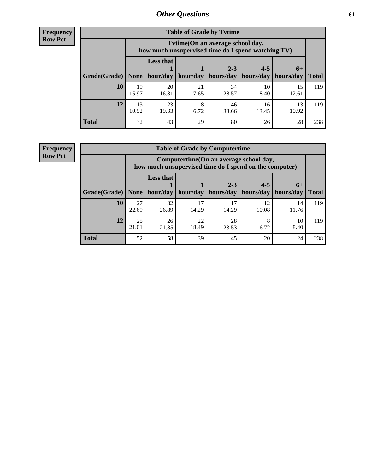**Frequency Row Pct**

| <b>Table of Grade by Tvtime</b> |             |                                                                                                                                |             |             |             |             |     |  |  |  |
|---------------------------------|-------------|--------------------------------------------------------------------------------------------------------------------------------|-------------|-------------|-------------|-------------|-----|--|--|--|
|                                 |             | Tytime (On an average school day,<br>how much unsupervised time do I spend watching TV)                                        |             |             |             |             |     |  |  |  |
| Grade(Grade)   None             |             | <b>Less that</b><br>$2 - 3$<br>$4 - 5$<br>$6+$<br>hour/day   hour/day<br>hours/day<br>hours/day<br>  hours/day<br><b>Total</b> |             |             |             |             |     |  |  |  |
| <b>10</b>                       | 19<br>15.97 | 20<br>16.81                                                                                                                    | 21<br>17.65 | 34<br>28.57 | 10<br>8.40  | 15<br>12.61 | 119 |  |  |  |
| 12                              | 13<br>10.92 | 23<br>19.33                                                                                                                    | 8<br>6.72   | 46<br>38.66 | 16<br>13.45 | 13<br>10.92 | 119 |  |  |  |
| <b>Total</b>                    | 32          | 43                                                                                                                             | 29          | 80          | 26          | 28          | 238 |  |  |  |

**Frequency Row Pct**

| <b>Table of Grade by Computertime</b> |             |                                                                                                   |             |                      |                      |                   |              |  |  |
|---------------------------------------|-------------|---------------------------------------------------------------------------------------------------|-------------|----------------------|----------------------|-------------------|--------------|--|--|
|                                       |             | Computertime (On an average school day,<br>how much unsupervised time do I spend on the computer) |             |                      |                      |                   |              |  |  |
| Grade(Grade)                          | None $ $    | <b>Less that</b><br>hour/day                                                                      | hour/day    | $2 - 3$<br>hours/day | $4 - 5$<br>hours/day | $6+$<br>hours/day | <b>Total</b> |  |  |
| 10                                    | 27<br>22.69 | 32<br>26.89                                                                                       | 17<br>14.29 | 17<br>14.29          | 12<br>10.08          | 14<br>11.76       | 119          |  |  |
| 12                                    | 25<br>21.01 | 28<br>26<br>22<br>8<br>10<br>18.49<br>21.85<br>8.40<br>23.53<br>6.72                              |             |                      |                      |                   |              |  |  |
| <b>Total</b>                          | 52          | 58                                                                                                | 39          | 45                   | 20                   | 24                | 238          |  |  |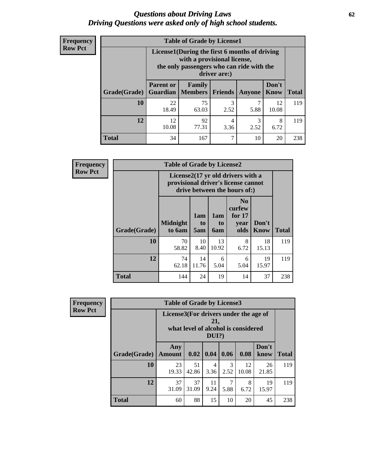#### *Questions about Driving Laws* **62** *Driving Questions were asked only of high school students.*

| <b>Frequency</b> |
|------------------|
| <b>Row Pct</b>   |

| <b>Table of Grade by License1</b> |                                                                   |                                                                                                                                           |           |        |               |              |  |  |  |
|-----------------------------------|-------------------------------------------------------------------|-------------------------------------------------------------------------------------------------------------------------------------------|-----------|--------|---------------|--------------|--|--|--|
|                                   |                                                                   | License1(During the first 6 months of driving<br>with a provisional license,<br>the only passengers who can ride with the<br>driver are:) |           |        |               |              |  |  |  |
| Grade(Grade)                      | <b>Parent or</b>                                                  | Family<br><b>Guardian</b>   Members                                                                                                       | Friends   | Anyone | Don't<br>Know | <b>Total</b> |  |  |  |
| 10                                | 22<br>18.49                                                       | 75<br>63.03                                                                                                                               | 3<br>2.52 | 5.88   | 12<br>10.08   | 119          |  |  |  |
| 12                                | 92<br>12<br>3<br>8<br>4<br>10.08<br>77.31<br>2.52<br>3.36<br>6.72 |                                                                                                                                           |           |        |               |              |  |  |  |
| Total                             | 34                                                                | 167                                                                                                                                       | 7         | 10     | 20            | 238          |  |  |  |

| <b>Frequency</b> | <b>Table of Grade by License2</b> |                                                                                                          |                  |                  |                                                      |                      |              |  |
|------------------|-----------------------------------|----------------------------------------------------------------------------------------------------------|------------------|------------------|------------------------------------------------------|----------------------|--------------|--|
| <b>Row Pct</b>   |                                   | License2(17 yr old drivers with a<br>provisional driver's license cannot<br>drive between the hours of:) |                  |                  |                                                      |                      |              |  |
|                  | Grade(Grade)                      | <b>Midnight</b><br>to 6am                                                                                | 1am<br>to<br>5am | 1am<br>to<br>6am | N <sub>0</sub><br>curfew<br>for $17$<br>year<br>olds | Don't<br><b>Know</b> | <b>Total</b> |  |
|                  | 10                                | 70<br>58.82                                                                                              | 10<br>8.40       | 13<br>10.92      | 8<br>6.72                                            | 18<br>15.13          | 119          |  |
|                  | 12                                | 74<br>62.18                                                                                              | 14<br>11.76      | 6<br>5.04        | 6<br>5.04                                            | 19<br>15.97          | 119          |  |
|                  | <b>Total</b>                      | 144                                                                                                      | 24               | 19               | 14                                                   | 37                   | 238          |  |

| Frequency      | <b>Table of Grade by License3</b> |                                       |             |              |           |                                     |               |              |
|----------------|-----------------------------------|---------------------------------------|-------------|--------------|-----------|-------------------------------------|---------------|--------------|
| <b>Row Pct</b> |                                   | License3(For drivers under the age of |             | 21,<br>DUI?) |           | what level of alcohol is considered |               |              |
|                | Grade(Grade)                      | Any<br><b>Amount</b>                  |             | 0.02   0.04  | 0.06      | 0.08                                | Don't<br>know | <b>Total</b> |
|                | 10                                | 23<br>19.33                           | 51<br>42.86 | 4<br>3.36    | 3<br>2.52 | 12<br>10.08                         | 26<br>21.85   | 119          |
|                | 12                                | 37<br>31.09                           | 37<br>31.09 | 11<br>9.24   | 7<br>5.88 | 8<br>6.72                           | 19<br>15.97   | 119          |
|                | <b>Total</b>                      | 60                                    | 88          | 15           | 10        | 20                                  | 45            | 238          |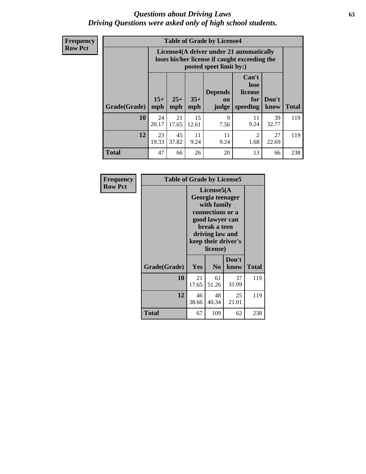#### *Questions about Driving Laws* **63** *Driving Questions were asked only of high school students.*

**Frequency Row Pct**

| <b>Table of Grade by License4</b> |              |                                                                                                                                               |             |            |            |             |     |  |
|-----------------------------------|--------------|-----------------------------------------------------------------------------------------------------------------------------------------------|-------------|------------|------------|-------------|-----|--|
|                                   |              | License4(A driver under 21 automatically<br>loses his/her license if caught exceeding the<br>posted speet limit by:)                          |             |            |            |             |     |  |
| Grade(Grade)                      | $15+$<br>mph | Can't<br>lose<br><b>Depends</b><br>license<br>$25+$<br>$35+$<br>Don't<br>for<br>on<br><b>Total</b><br>mph<br>speeding<br>know<br>mph<br>judge |             |            |            |             |     |  |
| 10                                | 24<br>20.17  | 21<br>17.65                                                                                                                                   | 15<br>12.61 | 9<br>7.56  | 11<br>9.24 | 39<br>32.77 | 119 |  |
| 12                                | 23<br>19.33  | 45<br>37.82                                                                                                                                   | 11<br>9.24  | 11<br>9.24 | 2<br>1.68  | 27<br>22.69 | 119 |  |
| <b>Total</b>                      | 47           | 66                                                                                                                                            | 26          | 20         | 13         | 66          | 238 |  |

| Frequency      | <b>Table of Grade by License5</b> |                                                                                                                                                             |                |               |              |  |
|----------------|-----------------------------------|-------------------------------------------------------------------------------------------------------------------------------------------------------------|----------------|---------------|--------------|--|
| <b>Row Pct</b> |                                   | License5(A)<br>Georgia teenager<br>with family<br>connections or a<br>good lawyer can<br>break a teen<br>driving law and<br>keep their driver's<br>license) |                |               |              |  |
|                | Grade(Grade)                      | <b>Yes</b>                                                                                                                                                  | N <sub>0</sub> | Don't<br>know | <b>Total</b> |  |
|                | 10                                | 21<br>17.65                                                                                                                                                 | 61<br>51.26    | 37<br>31.09   | 119          |  |
|                | 12                                | 46<br>38.66                                                                                                                                                 | 48<br>40.34    | 25<br>21.01   | 119          |  |
|                | Total                             | 67                                                                                                                                                          | 109            | 62            | 238          |  |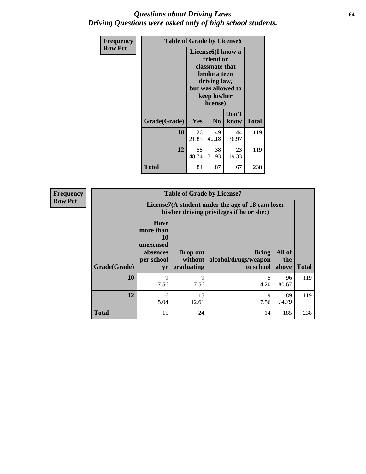#### *Questions about Driving Laws* **64** *Driving Questions were asked only of high school students.*

| <b>Frequency</b> | <b>Table of Grade by License6</b> |             |                                                                                                                           |                    |              |  |
|------------------|-----------------------------------|-------------|---------------------------------------------------------------------------------------------------------------------------|--------------------|--------------|--|
| <b>Row Pct</b>   |                                   |             | License <sub>6</sub> (I know a<br>friend or<br>classmate that<br>broke a teen<br>driving law,<br>keep his/her<br>license) | but was allowed to |              |  |
|                  | Grade(Grade)                      | <b>Yes</b>  | N <sub>0</sub>                                                                                                            | Don't<br>know      | <b>Total</b> |  |
|                  | 10                                | 26<br>21.85 | 49<br>41.18                                                                                                               | 44<br>36.97        | 119          |  |
|                  | 12                                | 58<br>48.74 | 38<br>31.93                                                                                                               | 23<br>19.33        | 119          |  |
|                  | <b>Total</b>                      | 84          | 87                                                                                                                        | 67                 | 238          |  |

| <b>Frequency</b> | <b>Table of Grade by License7</b> |                                                                             |                                   |                                                                                               |                        |              |  |  |
|------------------|-----------------------------------|-----------------------------------------------------------------------------|-----------------------------------|-----------------------------------------------------------------------------------------------|------------------------|--------------|--|--|
| <b>Row Pct</b>   |                                   |                                                                             |                                   | License7(A student under the age of 18 cam loser<br>his/her driving privileges if he or she:) |                        |              |  |  |
| Grade(Grade)     |                                   | <b>Have</b><br>more than<br>10<br>unexcused<br>absences<br>per school<br>yr | Drop out<br>without<br>graduating | Bring<br>alcohol/drugs/weapon<br>to school                                                    | All of<br>the<br>above | <b>Total</b> |  |  |
|                  | 10                                | 9<br>7.56                                                                   | 9<br>7.56                         | 4.20                                                                                          | 96<br>80.67            | 119          |  |  |
|                  | 12                                | 6<br>5.04                                                                   | 15<br>12.61                       | 9<br>7.56                                                                                     | 89<br>74.79            | 119          |  |  |
|                  | <b>Total</b>                      | 15                                                                          | 24                                | 14                                                                                            | 185                    | 238          |  |  |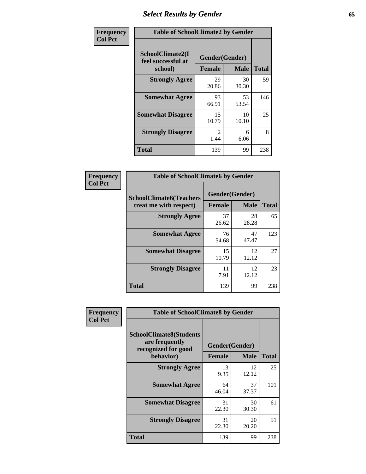# *Select Results by Gender* **65**

| Frequency      | <b>Table of SchoolClimate2 by Gender</b>          |                                     |             |              |  |
|----------------|---------------------------------------------------|-------------------------------------|-------------|--------------|--|
| <b>Col Pct</b> | SchoolClimate2(I<br>feel successful at<br>school) | Gender(Gender)<br><b>Female</b>     | <b>Male</b> | <b>Total</b> |  |
|                | <b>Strongly Agree</b>                             | 29<br>20.86                         | 30<br>30.30 | 59           |  |
|                | <b>Somewhat Agree</b>                             | 93<br>66.91                         | 53<br>53.54 | 146          |  |
|                | <b>Somewhat Disagree</b>                          | 15<br>10.79                         | 10<br>10.10 | 25           |  |
|                | <b>Strongly Disagree</b>                          | $\mathcal{D}_{\mathcal{L}}$<br>1.44 | 6<br>6.06   | 8            |  |
|                | <b>Total</b>                                      | 139                                 | 99          | 238          |  |

| Frequency      | <b>Table of SchoolClimate6 by Gender</b>                 |               |                               |              |  |
|----------------|----------------------------------------------------------|---------------|-------------------------------|--------------|--|
| <b>Col Pct</b> | <b>SchoolClimate6(Teachers</b><br>treat me with respect) | <b>Female</b> | Gender(Gender)<br><b>Male</b> | <b>Total</b> |  |
|                | <b>Strongly Agree</b>                                    | 37<br>26.62   | 28<br>28.28                   | 65           |  |
|                | <b>Somewhat Agree</b>                                    | 76<br>54.68   | 47<br>47.47                   | 123          |  |
|                | <b>Somewhat Disagree</b>                                 | 15<br>10.79   | 12<br>12.12                   | 27           |  |
|                | <b>Strongly Disagree</b>                                 | 11<br>7.91    | 12<br>12.12                   | 23           |  |
|                | <b>Total</b>                                             | 139           | 99                            | 238          |  |

| Frequency      | <b>Table of SchoolClimate8 by Gender</b>                                             |                                 |             |              |
|----------------|--------------------------------------------------------------------------------------|---------------------------------|-------------|--------------|
| <b>Col Pct</b> | <b>SchoolClimate8(Students</b><br>are frequently<br>recognized for good<br>behavior) | Gender(Gender)<br><b>Female</b> | <b>Male</b> | <b>Total</b> |
|                | <b>Strongly Agree</b>                                                                | 13<br>9.35                      | 12<br>12.12 | 25           |
|                | <b>Somewhat Agree</b>                                                                | 64<br>46.04                     | 37<br>37.37 | 101          |
|                | <b>Somewhat Disagree</b>                                                             | 31<br>22.30                     | 30<br>30.30 | 61           |
|                | <b>Strongly Disagree</b>                                                             | 31<br>22.30                     | 20<br>20.20 | 51           |
|                | Total                                                                                | 139                             | 99          | 238          |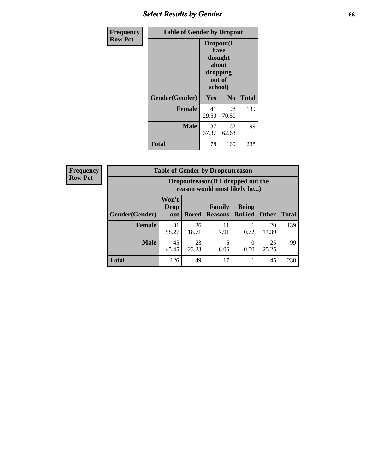# *Select Results by Gender* **66**

| <b>Frequency</b> | <b>Table of Gender by Dropout</b> |                                                                        |                |              |
|------------------|-----------------------------------|------------------------------------------------------------------------|----------------|--------------|
| <b>Row Pct</b>   |                                   | Dropout(I<br>have<br>thought<br>about<br>dropping<br>out of<br>school) |                |              |
|                  | Gender(Gender)                    | Yes                                                                    | N <sub>0</sub> | <b>Total</b> |
|                  | <b>Female</b>                     | 41<br>29.50                                                            | 98<br>70.50    | 139          |
|                  | <b>Male</b>                       | 37<br>37.37                                                            | 62<br>62.63    | 99           |
|                  | <b>Total</b>                      | 78                                                                     | 160            | 238          |

| <b>Frequency</b> | <b>Table of Gender by Dropoutreason</b> |                                                                    |              |                          |                                |              |              |
|------------------|-----------------------------------------|--------------------------------------------------------------------|--------------|--------------------------|--------------------------------|--------------|--------------|
| <b>Row Pct</b>   |                                         | Dropoutreason(If I dropped out the<br>reason would most likely be) |              |                          |                                |              |              |
|                  | <b>Gender</b> (Gender)                  | Won't<br><b>Drop</b><br>out                                        | <b>Bored</b> | Family<br><b>Reasons</b> | <b>Being</b><br><b>Bullied</b> | <b>Other</b> | <b>Total</b> |
|                  | <b>Female</b>                           | 81<br>58.27                                                        | 26<br>18.71  | 11<br>7.91               | 0.72                           | 20<br>14.39  | 139          |
|                  | <b>Male</b>                             | 45<br>45.45                                                        | 23<br>23.23  | 6<br>6.06                | 0.00                           | 25<br>25.25  | 99           |
|                  | <b>Total</b>                            | 126                                                                | 49           | 17                       |                                | 45           | 238          |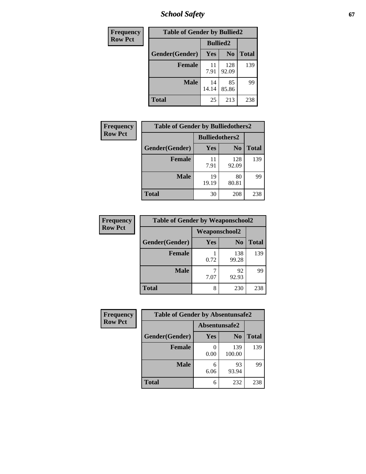*School Safety* **67**

| <b>Frequency</b> | <b>Table of Gender by Bullied2</b> |                 |                |              |
|------------------|------------------------------------|-----------------|----------------|--------------|
| <b>Row Pct</b>   |                                    | <b>Bullied2</b> |                |              |
|                  | Gender(Gender)                     | Yes             | N <sub>0</sub> | <b>Total</b> |
|                  | <b>Female</b>                      | 11<br>7.91      | 128<br>92.09   | 139          |
|                  | <b>Male</b>                        | 14<br>14.14     | 85<br>85.86    | 99           |
|                  | Total                              | 25              | 213            | 238          |

| Frequency      | <b>Table of Gender by Bulliedothers2</b> |                       |                |              |
|----------------|------------------------------------------|-----------------------|----------------|--------------|
| <b>Row Pct</b> |                                          | <b>Bulliedothers2</b> |                |              |
|                | Gender(Gender)                           | <b>Yes</b>            | N <sub>0</sub> | <b>Total</b> |
|                | <b>Female</b>                            | 11<br>7.91            | 128<br>92.09   | 139          |
|                | <b>Male</b>                              | 19<br>19.19           | 80<br>80.81    | 99           |
|                | <b>Total</b>                             | 30                    | 208            | 238          |

| Frequency      | <b>Table of Gender by Weaponschool2</b> |                      |                |              |
|----------------|-----------------------------------------|----------------------|----------------|--------------|
| <b>Row Pct</b> |                                         | <b>Weaponschool2</b> |                |              |
|                | Gender(Gender)                          | Yes                  | N <sub>0</sub> | <b>Total</b> |
|                | <b>Female</b>                           | 0.72                 | 138<br>99.28   | 139          |
|                | <b>Male</b>                             | 7.07                 | 92<br>92.93    | 99           |
|                | <b>Total</b>                            | 8                    | 230            | 238          |

| Frequency      | <b>Table of Gender by Absentunsafe2</b> |               |                |              |  |
|----------------|-----------------------------------------|---------------|----------------|--------------|--|
| <b>Row Pct</b> |                                         | Absentunsafe2 |                |              |  |
|                | Gender(Gender)                          | Yes           | N <sub>0</sub> | <b>Total</b> |  |
|                | <b>Female</b>                           | 0.00          | 139<br>100.00  | 139          |  |
|                | <b>Male</b>                             | 6<br>6.06     | 93<br>93.94    | 99           |  |
|                | <b>Total</b>                            | 6             | 232            | 238          |  |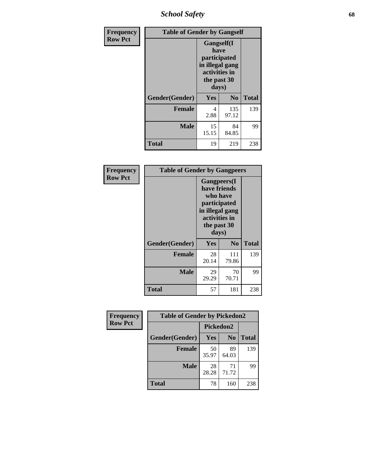*School Safety* **68**

| Frequency      | <b>Table of Gender by Gangself</b> |                                                                                                |                |              |
|----------------|------------------------------------|------------------------------------------------------------------------------------------------|----------------|--------------|
| <b>Row Pct</b> |                                    | Gangself(I<br>have<br>participated<br>in illegal gang<br>activities in<br>the past 30<br>days) |                |              |
|                | Gender(Gender)                     | Yes                                                                                            | N <sub>0</sub> | <b>Total</b> |
|                | <b>Female</b>                      | 4<br>2.88                                                                                      | 135<br>97.12   | 139          |
|                | <b>Male</b>                        | 15<br>15.15                                                                                    | 84<br>84.85    | 99           |
|                | <b>Total</b>                       | 19                                                                                             | 219            | 238          |

| Frequency      | <b>Table of Gender by Gangpeers</b> |                                                                                                                             |                |              |
|----------------|-------------------------------------|-----------------------------------------------------------------------------------------------------------------------------|----------------|--------------|
| <b>Row Pct</b> |                                     | <b>Gangpeers</b> (I<br>have friends<br>who have<br>participated<br>in illegal gang<br>activities in<br>the past 30<br>days) |                |              |
|                | Gender(Gender)                      | <b>Yes</b>                                                                                                                  | N <sub>0</sub> | <b>Total</b> |
|                | <b>Female</b>                       | 28<br>20.14                                                                                                                 | 111<br>79.86   | 139          |
|                | Male                                | 29<br>29.29                                                                                                                 | 70<br>70.71    | 99           |
|                | Total                               | 57                                                                                                                          | 181            | 238          |

| Frequency      | <b>Table of Gender by Pickedon2</b> |             |                |              |
|----------------|-------------------------------------|-------------|----------------|--------------|
| <b>Row Pct</b> |                                     | Pickedon2   |                |              |
|                | Gender(Gender)                      | Yes         | N <sub>0</sub> | <b>Total</b> |
|                | <b>Female</b>                       | 50<br>35.97 | 89<br>64.03    | 139          |
|                | <b>Male</b>                         | 28<br>28.28 | 71<br>71.72    | 99           |
|                | <b>Total</b>                        | 78          | 160            | 238          |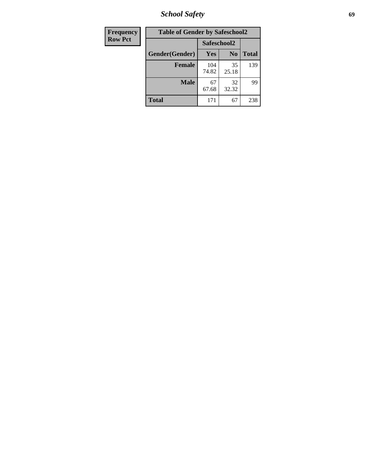*School Safety* **69**

| Frequency      | <b>Table of Gender by Safeschool2</b> |              |                |              |  |
|----------------|---------------------------------------|--------------|----------------|--------------|--|
| <b>Row Pct</b> |                                       | Safeschool2  |                |              |  |
|                | Gender(Gender)                        | <b>Yes</b>   | N <sub>0</sub> | <b>Total</b> |  |
|                | <b>Female</b>                         | 104<br>74.82 | 35<br>25.18    | 139          |  |
|                | <b>Male</b>                           | 67<br>67.68  | 32<br>32.32    | 99           |  |
|                | <b>Total</b>                          | 171          | 67             | 238          |  |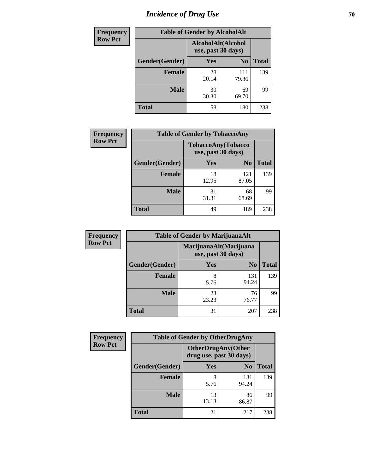# *Incidence of Drug Use* **70**

| <b>Frequency</b> | <b>Table of Gender by AlcoholAlt</b> |                                          |                |              |  |
|------------------|--------------------------------------|------------------------------------------|----------------|--------------|--|
| <b>Row Pct</b>   |                                      | AlcoholAlt(Alcohol<br>use, past 30 days) |                |              |  |
|                  | Gender(Gender)                       | <b>Yes</b>                               | N <sub>0</sub> | <b>Total</b> |  |
|                  | <b>Female</b>                        | 28<br>20.14                              | 111<br>79.86   | 139          |  |
|                  | <b>Male</b>                          | 30<br>30.30                              | 69<br>69.70    | 99           |  |
|                  | <b>Total</b>                         | 58                                       | 180            | 238          |  |

| <b>Frequency</b> | <b>Table of Gender by TobaccoAny</b> |                    |                    |              |  |
|------------------|--------------------------------------|--------------------|--------------------|--------------|--|
| <b>Row Pct</b>   |                                      | use, past 30 days) | TobaccoAny(Tobacco |              |  |
|                  | Gender(Gender)                       | Yes                | N <sub>0</sub>     | <b>Total</b> |  |
|                  | <b>Female</b>                        | 18<br>12.95        | 121<br>87.05       | 139          |  |
|                  | <b>Male</b>                          | 31<br>31.31        | 68<br>68.69        | 99           |  |
|                  | <b>Total</b>                         | 49                 | 189                | 238          |  |

| <b>Frequency</b> | <b>Table of Gender by MarijuanaAlt</b> |                                              |                |              |  |
|------------------|----------------------------------------|----------------------------------------------|----------------|--------------|--|
| <b>Row Pct</b>   |                                        | MarijuanaAlt(Marijuana<br>use, past 30 days) |                |              |  |
|                  | Gender(Gender)                         | Yes                                          | N <sub>0</sub> | <b>Total</b> |  |
|                  | Female                                 | 8<br>5.76                                    | 131<br>94.24   | 139          |  |
|                  | <b>Male</b>                            | 23<br>23.23                                  | 76<br>76.77    | 99           |  |
|                  | <b>Total</b>                           | 31                                           | 207            | 238          |  |

| <b>Frequency</b> | <b>Table of Gender by OtherDrugAny</b> |                         |                           |              |
|------------------|----------------------------------------|-------------------------|---------------------------|--------------|
| <b>Row Pct</b>   |                                        | drug use, past 30 days) | <b>OtherDrugAny(Other</b> |              |
|                  | Gender(Gender)                         | <b>Yes</b>              | N <sub>0</sub>            | <b>Total</b> |
|                  | <b>Female</b>                          | 8<br>5.76               | 131<br>94.24              | 139          |
|                  | <b>Male</b>                            | 13<br>13.13             | 86<br>86.87               | 99           |
|                  | <b>Total</b>                           | 21                      | 217                       | 238          |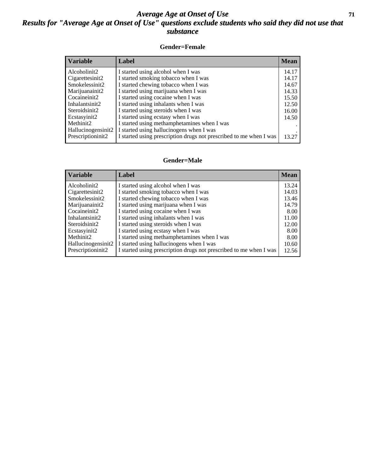#### *Average Age at Onset of Use* **71** *Results for "Average Age at Onset of Use" questions exclude students who said they did not use that substance*

#### **Gender=Female**

| <b>Variable</b>    | <b>Label</b>                                                       | <b>Mean</b> |
|--------------------|--------------------------------------------------------------------|-------------|
| Alcoholinit2       | I started using alcohol when I was                                 | 14.17       |
| Cigarettesinit2    | I started smoking tobacco when I was                               | 14.17       |
| Smokelessinit2     | I started chewing tobacco when I was                               | 14.67       |
| Marijuanainit2     | I started using marijuana when I was                               | 14.33       |
| Cocaineinit2       | I started using cocaine when I was                                 | 15.50       |
| Inhalantsinit2     | I started using inhalants when I was                               | 12.50       |
| Steroidsinit2      | I started using steroids when I was                                | 16.00       |
| Ecstasyinit2       | I started using ecstasy when I was                                 | 14.50       |
| Methinit2          | I started using methamphetamines when I was                        |             |
| Hallucinogensinit2 | I started using hallucinogens when I was                           |             |
| Prescription in t2 | I started using prescription drugs not prescribed to me when I was | 13.27       |

#### **Gender=Male**

| Variable                        | Label                                                              | <b>Mean</b> |
|---------------------------------|--------------------------------------------------------------------|-------------|
| Alcoholinit2                    | I started using alcohol when I was                                 | 13.24       |
| Cigarettesinit2                 | I started smoking tobacco when I was                               | 14.03       |
| Smokelessinit2                  | I started chewing tobacco when I was                               | 13.46       |
| Marijuanainit2                  | I started using marijuana when I was                               | 14.79       |
| Cocaineinit2                    | I started using cocaine when I was                                 | 8.00        |
| Inhalantsinit2                  | I started using inhalants when I was                               | 11.00       |
| Steroidsinit2                   | I started using steroids when I was                                | 12.00       |
| Ecstasyinit2                    | I started using ecstasy when I was                                 | 8.00        |
| Methinit2                       | I started using methamphetamines when I was                        | 8.00        |
| Hallucinogensinit2              | I started using hallucinogens when I was                           | 10.60       |
| Prescription in it <sub>2</sub> | I started using prescription drugs not prescribed to me when I was | 12.56       |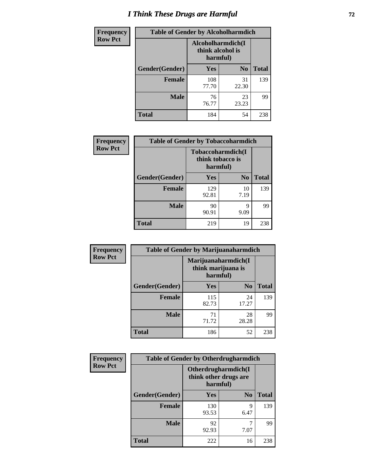# *I Think These Drugs are Harmful* **72**

| <b>Frequency</b> | <b>Table of Gender by Alcoholharmdich</b> |                                                   |                |              |  |
|------------------|-------------------------------------------|---------------------------------------------------|----------------|--------------|--|
| <b>Row Pct</b>   |                                           | Alcoholharmdich(I<br>think alcohol is<br>harmful) |                |              |  |
|                  | Gender(Gender)                            | Yes                                               | N <sub>0</sub> | <b>Total</b> |  |
|                  | <b>Female</b>                             | 108<br>77.70                                      | 31<br>22.30    | 139          |  |
|                  | <b>Male</b>                               | 76<br>76.77                                       | 23<br>23.23    | 99           |  |
|                  | Total                                     | 184                                               | 54             | 238          |  |

| Frequency      | <b>Table of Gender by Tobaccoharmdich</b> |                              |                   |              |  |
|----------------|-------------------------------------------|------------------------------|-------------------|--------------|--|
| <b>Row Pct</b> |                                           | think tobacco is<br>harmful) | Tobaccoharmdich(I |              |  |
|                | Gender(Gender)                            | Yes                          | N <sub>0</sub>    | <b>Total</b> |  |
|                | <b>Female</b>                             | 129<br>92.81                 | 10<br>7.19        | 139          |  |
|                | <b>Male</b>                               | 90<br>90.91                  | 9<br>9.09         | 99           |  |
|                | <b>Total</b>                              | 219                          | 19                | 238          |  |

| Frequency      | <b>Table of Gender by Marijuanaharmdich</b> |                                                       |                |              |  |
|----------------|---------------------------------------------|-------------------------------------------------------|----------------|--------------|--|
| <b>Row Pct</b> |                                             | Marijuanaharmdich(I<br>think marijuana is<br>harmful) |                |              |  |
|                | Gender(Gender)                              | <b>Yes</b>                                            | N <sub>0</sub> | <b>Total</b> |  |
|                | <b>Female</b>                               | 115<br>82.73                                          | 24<br>17.27    | 139          |  |
|                | <b>Male</b>                                 | 71<br>71.72                                           | 28<br>28.28    | 99           |  |
|                | <b>Total</b>                                | 186                                                   | 52             | 238          |  |

| Frequency      | <b>Table of Gender by Otherdrugharmdich</b> |                                   |                     |              |  |
|----------------|---------------------------------------------|-----------------------------------|---------------------|--------------|--|
| <b>Row Pct</b> |                                             | think other drugs are<br>harmful) | Otherdrugharmdich(I |              |  |
|                | Gender(Gender)                              | <b>Yes</b>                        | N <sub>0</sub>      | <b>Total</b> |  |
|                | <b>Female</b>                               | 130<br>93.53                      | 9<br>6.47           | 139          |  |
|                | <b>Male</b>                                 | 92<br>92.93                       | 7.07                | 99           |  |
|                | <b>Total</b>                                | 222                               | 16                  | 238          |  |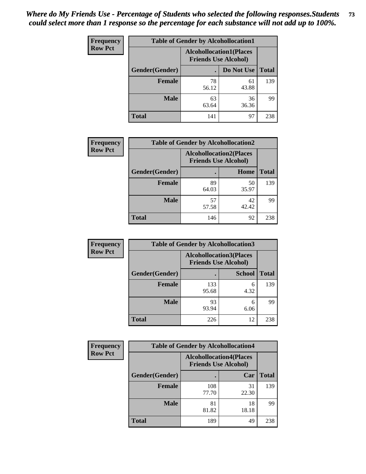| <b>Frequency</b> | <b>Table of Gender by Alcohollocation1</b> |             |                                                               |              |  |
|------------------|--------------------------------------------|-------------|---------------------------------------------------------------|--------------|--|
| <b>Row Pct</b>   |                                            |             | <b>Alcohollocation1(Places</b><br><b>Friends Use Alcohol)</b> |              |  |
|                  | Gender(Gender)                             |             | Do Not Use                                                    | <b>Total</b> |  |
|                  | <b>Female</b>                              | 78<br>56.12 | 61<br>43.88                                                   | 139          |  |
|                  | <b>Male</b>                                | 63<br>63.64 | 36<br>36.36                                                   | 99           |  |
|                  | <b>Total</b>                               | 141         | 97                                                            | 238          |  |

| <b>Frequency</b> | <b>Table of Gender by Alcohollocation2</b> |                                                               |             |              |
|------------------|--------------------------------------------|---------------------------------------------------------------|-------------|--------------|
| <b>Row Pct</b>   |                                            | <b>Alcohollocation2(Places</b><br><b>Friends Use Alcohol)</b> |             |              |
|                  | Gender(Gender)                             |                                                               | Home        | <b>Total</b> |
|                  | <b>Female</b>                              | 89<br>64.03                                                   | 50<br>35.97 | 139          |
|                  | <b>Male</b>                                | 57<br>57.58                                                   | 42<br>42.42 | 99           |
|                  | <b>Total</b>                               | 146                                                           | 92          | 238          |

| Frequency      | <b>Table of Gender by Alcohollocation3</b> |                                                               |               |              |
|----------------|--------------------------------------------|---------------------------------------------------------------|---------------|--------------|
| <b>Row Pct</b> |                                            | <b>Alcohollocation3(Places</b><br><b>Friends Use Alcohol)</b> |               |              |
|                | Gender(Gender)                             |                                                               | <b>School</b> | <b>Total</b> |
|                | <b>Female</b>                              | 133<br>95.68                                                  | 6<br>4.32     | 139          |
|                | <b>Male</b>                                | 93<br>93.94                                                   | 6<br>6.06     | 99           |
|                | <b>Total</b>                               | 226                                                           | 12            | 238          |

| Frequency      | <b>Table of Gender by Alcohollocation4</b> |                                                               |             |              |
|----------------|--------------------------------------------|---------------------------------------------------------------|-------------|--------------|
| <b>Row Pct</b> |                                            | <b>Alcohollocation4(Places</b><br><b>Friends Use Alcohol)</b> |             |              |
|                | Gender(Gender)                             |                                                               | Car         | <b>Total</b> |
|                | Female                                     | 108<br>77.70                                                  | 31<br>22.30 | 139          |
|                | <b>Male</b>                                | 81<br>81.82                                                   | 18<br>18.18 | 99           |
|                | <b>Total</b>                               | 189                                                           | 49          | 238          |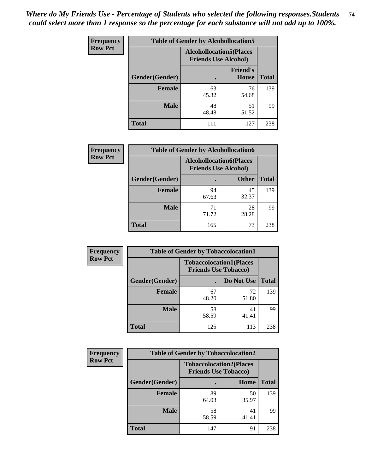| <b>Frequency</b> | <b>Table of Gender by Alcohollocation5</b> |             |                                                                |              |
|------------------|--------------------------------------------|-------------|----------------------------------------------------------------|--------------|
| <b>Row Pct</b>   |                                            |             | <b>Alcohollocation5</b> (Places<br><b>Friends Use Alcohol)</b> |              |
|                  | Gender(Gender)                             | ٠           | <b>Friend's</b><br>House                                       | <b>Total</b> |
|                  | <b>Female</b>                              | 63<br>45.32 | 76<br>54.68                                                    | 139          |
|                  | <b>Male</b>                                | 48<br>48.48 | 51<br>51.52                                                    | 99           |
|                  | <b>Total</b>                               | 111         | 127                                                            | 238          |

| <b>Frequency</b> | <b>Table of Gender by Alcohollocation6</b> |                                                               |              |              |
|------------------|--------------------------------------------|---------------------------------------------------------------|--------------|--------------|
| <b>Row Pct</b>   |                                            | <b>Alcohollocation6(Places</b><br><b>Friends Use Alcohol)</b> |              |              |
|                  | Gender(Gender)                             |                                                               | <b>Other</b> | <b>Total</b> |
|                  | <b>Female</b>                              | 94<br>67.63                                                   | 45<br>32.37  | 139          |
|                  | <b>Male</b>                                | 71<br>71.72                                                   | 28<br>28.28  | 99           |
|                  | <b>Total</b>                               | 165                                                           | 73           | 238          |

| Frequency      | <b>Table of Gender by Tobaccolocation1</b> |                                                               |             |              |  |
|----------------|--------------------------------------------|---------------------------------------------------------------|-------------|--------------|--|
| <b>Row Pct</b> |                                            | <b>Tobaccolocation1(Places</b><br><b>Friends Use Tobacco)</b> |             |              |  |
|                | Gender(Gender)                             |                                                               | Do Not Use  | <b>Total</b> |  |
|                | Female                                     | 67<br>48.20                                                   | 72<br>51.80 | 139          |  |
|                | <b>Male</b>                                | 58<br>58.59                                                   | 41<br>41.41 | 99           |  |
|                | <b>Total</b>                               | 125                                                           | 113         | 238          |  |

| <b>Frequency</b> | <b>Table of Gender by Tobaccolocation2</b> |                                                               |             |              |
|------------------|--------------------------------------------|---------------------------------------------------------------|-------------|--------------|
| <b>Row Pct</b>   |                                            | <b>Tobaccolocation2(Places</b><br><b>Friends Use Tobacco)</b> |             |              |
|                  | Gender(Gender)                             |                                                               | Home        | <b>Total</b> |
|                  | Female                                     | 89<br>64.03                                                   | 50<br>35.97 | 139          |
|                  | <b>Male</b>                                | 58<br>58.59                                                   | 41<br>41.41 | 99           |
|                  | <b>Total</b>                               | 147                                                           | 91          | 238          |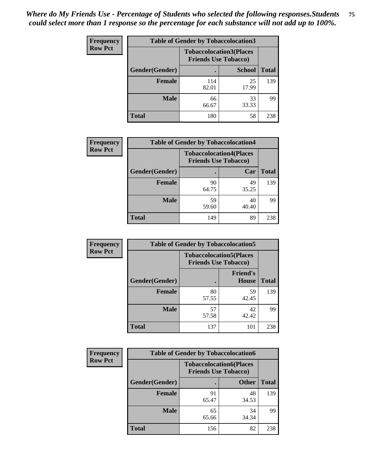| <b>Frequency</b> | <b>Table of Gender by Tobaccolocation3</b> |              |                                                               |              |
|------------------|--------------------------------------------|--------------|---------------------------------------------------------------|--------------|
| <b>Row Pct</b>   |                                            |              | <b>Tobaccolocation3(Places</b><br><b>Friends Use Tobacco)</b> |              |
|                  | Gender(Gender)                             |              | <b>School</b>                                                 | <b>Total</b> |
|                  | <b>Female</b>                              | 114<br>82.01 | 25<br>17.99                                                   | 139          |
|                  | <b>Male</b>                                | 66<br>66.67  | 33<br>33.33                                                   | 99           |
|                  | Total                                      | 180          | 58                                                            | 238          |

| <b>Frequency</b> | <b>Table of Gender by Tobaccolocation4</b> |                                                               |             |              |
|------------------|--------------------------------------------|---------------------------------------------------------------|-------------|--------------|
| <b>Row Pct</b>   |                                            | <b>Tobaccolocation4(Places</b><br><b>Friends Use Tobacco)</b> |             |              |
|                  | Gender(Gender)                             |                                                               | Car         | <b>Total</b> |
|                  | <b>Female</b>                              | 90<br>64.75                                                   | 49<br>35.25 | 139          |
|                  | <b>Male</b>                                | 59<br>59.60                                                   | 40<br>40.40 | 99           |
|                  | <b>Total</b>                               | 149                                                           | 89          | 238          |

| <b>Frequency</b> | <b>Table of Gender by Tobaccolocation5</b> |                                                               |                                 |              |
|------------------|--------------------------------------------|---------------------------------------------------------------|---------------------------------|--------------|
| <b>Row Pct</b>   |                                            | <b>Tobaccolocation5(Places</b><br><b>Friends Use Tobacco)</b> |                                 |              |
|                  | Gender(Gender)                             |                                                               | <b>Friend's</b><br><b>House</b> | <b>Total</b> |
|                  | <b>Female</b>                              | 80<br>57.55                                                   | 59<br>42.45                     | 139          |
|                  | <b>Male</b>                                | 57<br>57.58                                                   | 42<br>42.42                     | 99           |
|                  | <b>Total</b>                               | 137                                                           | 101                             | 238          |

| <b>Frequency</b> | <b>Table of Gender by Tobaccolocation6</b> |                                                               |              |              |
|------------------|--------------------------------------------|---------------------------------------------------------------|--------------|--------------|
| <b>Row Pct</b>   |                                            | <b>Tobaccolocation6(Places</b><br><b>Friends Use Tobacco)</b> |              |              |
|                  | Gender(Gender)                             |                                                               | <b>Other</b> | <b>Total</b> |
|                  | Female                                     | 91<br>65.47                                                   | 48<br>34.53  | 139          |
|                  | <b>Male</b>                                | 65<br>65.66                                                   | 34<br>34.34  | 99           |
|                  | <b>Total</b>                               | 156                                                           | 82           | 238          |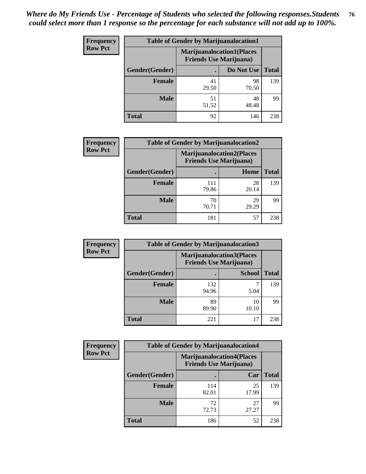| <b>Frequency</b> | <b>Table of Gender by Marijuanalocation1</b> |                                                                    |             |              |
|------------------|----------------------------------------------|--------------------------------------------------------------------|-------------|--------------|
| <b>Row Pct</b>   |                                              | <b>Marijuanalocation1(Places</b><br><b>Friends Use Marijuana</b> ) |             |              |
|                  | Gender(Gender)                               |                                                                    | Do Not Use  | <b>Total</b> |
|                  | <b>Female</b>                                | 41<br>29.50                                                        | 98<br>70.50 | 139          |
|                  | <b>Male</b>                                  | 51<br>51.52                                                        | 48<br>48.48 | 99           |
|                  | <b>Total</b>                                 | 92                                                                 | 146         | 238          |

| <b>Frequency</b> | <b>Table of Gender by Marijuanalocation2</b> |                                                                    |             |              |
|------------------|----------------------------------------------|--------------------------------------------------------------------|-------------|--------------|
| <b>Row Pct</b>   |                                              | <b>Marijuanalocation2(Places</b><br><b>Friends Use Marijuana</b> ) |             |              |
|                  | Gender(Gender)                               |                                                                    | Home        | <b>Total</b> |
|                  | Female                                       | 111<br>79.86                                                       | 28<br>20.14 | 139          |
|                  | <b>Male</b>                                  | 70<br>70.71                                                        | 29<br>29.29 | 99           |
|                  | <b>Total</b>                                 | 181                                                                | 57          | 238          |

| Frequency      | <b>Table of Gender by Marijuanalocation3</b> |              |                                                                    |              |  |
|----------------|----------------------------------------------|--------------|--------------------------------------------------------------------|--------------|--|
| <b>Row Pct</b> |                                              |              | <b>Marijuanalocation3(Places</b><br><b>Friends Use Marijuana</b> ) |              |  |
|                | Gender(Gender)                               |              | <b>School</b>                                                      | <b>Total</b> |  |
|                | Female                                       | 132<br>94.96 | 5.04                                                               | 139          |  |
|                | <b>Male</b>                                  | 89<br>89.90  | 10<br>10.10                                                        | 99           |  |
|                | <b>Total</b>                                 | 221          | 17                                                                 | 238          |  |

| Frequency      | <b>Table of Gender by Marijuanalocation4</b> |                                |                                  |              |  |
|----------------|----------------------------------------------|--------------------------------|----------------------------------|--------------|--|
| <b>Row Pct</b> |                                              | <b>Friends Use Marijuana</b> ) | <b>Marijuanalocation4(Places</b> |              |  |
|                | Gender(Gender)                               |                                | Car                              | <b>Total</b> |  |
|                | <b>Female</b>                                | 114<br>82.01                   | 25<br>17.99                      | 139          |  |
|                | <b>Male</b>                                  | 72<br>72.73                    | 27<br>27.27                      | 99           |  |
|                | <b>Total</b>                                 | 186                            | 52                               | 238          |  |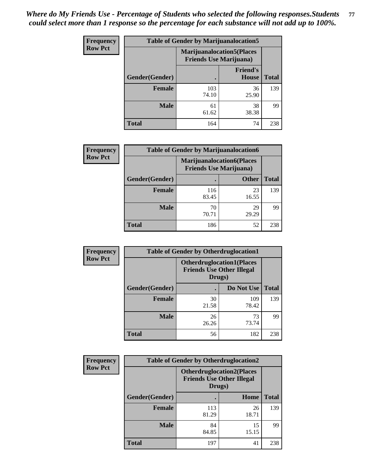| Frequency      | <b>Table of Gender by Marijuanalocation5</b> |                                                                    |                                 |              |
|----------------|----------------------------------------------|--------------------------------------------------------------------|---------------------------------|--------------|
| <b>Row Pct</b> |                                              | <b>Marijuanalocation5(Places</b><br><b>Friends Use Marijuana</b> ) |                                 |              |
|                | Gender(Gender)                               |                                                                    | <b>Friend's</b><br><b>House</b> | <b>Total</b> |
|                | <b>Female</b>                                | 103<br>74.10                                                       | 36<br>25.90                     | 139          |
|                | <b>Male</b>                                  | 61<br>61.62                                                        | 38<br>38.38                     | 99           |
|                | <b>Total</b>                                 | 164                                                                | 74                              | 238          |

| <b>Frequency</b> | <b>Table of Gender by Marijuanalocation6</b> |                                |                                  |              |
|------------------|----------------------------------------------|--------------------------------|----------------------------------|--------------|
| <b>Row Pct</b>   |                                              | <b>Friends Use Marijuana</b> ) | <b>Marijuanalocation6(Places</b> |              |
|                  | <b>Gender</b> (Gender)                       |                                | <b>Other</b>                     | <b>Total</b> |
|                  | <b>Female</b>                                | 116<br>83.45                   | 23<br>16.55                      | 139          |
|                  | <b>Male</b>                                  | 70<br>70.71                    | 29<br>29.29                      | 99           |
|                  | <b>Total</b>                                 | 186                            | 52                               | 238          |

| <b>Frequency</b> | <b>Table of Gender by Otherdruglocation1</b> |                                                                                |              |              |
|------------------|----------------------------------------------|--------------------------------------------------------------------------------|--------------|--------------|
| <b>Row Pct</b>   |                                              | <b>Otherdruglocation1(Places</b><br><b>Friends Use Other Illegal</b><br>Drugs) |              |              |
|                  | Gender(Gender)                               |                                                                                | Do Not Use   | <b>Total</b> |
|                  | <b>Female</b>                                | 30<br>21.58                                                                    | 109<br>78.42 | 139          |
|                  | <b>Male</b>                                  | 26<br>26.26                                                                    | 73<br>73.74  | 99           |
|                  | <b>Total</b>                                 | 56                                                                             | 182          | 238          |

| <b>Frequency</b> | <b>Table of Gender by Otherdruglocation2</b> |                                            |                                  |              |
|------------------|----------------------------------------------|--------------------------------------------|----------------------------------|--------------|
| <b>Row Pct</b>   |                                              | <b>Friends Use Other Illegal</b><br>Drugs) | <b>Otherdruglocation2(Places</b> |              |
|                  | Gender(Gender)                               |                                            | Home                             | <b>Total</b> |
|                  | Female                                       | 113<br>81.29                               | 26<br>18.71                      | 139          |
|                  | <b>Male</b>                                  | 84<br>84.85                                | 15<br>15.15                      | 99           |
|                  | <b>Total</b>                                 | 197                                        | 41                               | 238          |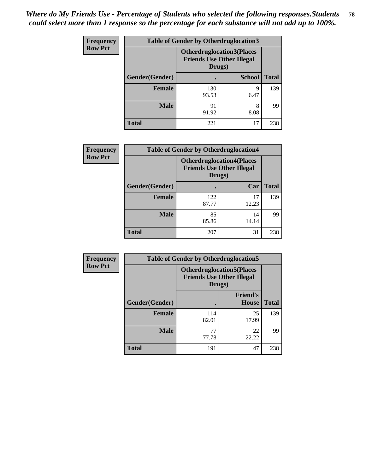| <b>Frequency</b> | <b>Table of Gender by Otherdruglocation3</b> |                                            |                                  |              |
|------------------|----------------------------------------------|--------------------------------------------|----------------------------------|--------------|
| <b>Row Pct</b>   |                                              | <b>Friends Use Other Illegal</b><br>Drugs) | <b>Otherdruglocation3(Places</b> |              |
|                  | Gender(Gender)                               |                                            | <b>School</b>                    | <b>Total</b> |
|                  | <b>Female</b>                                | 130<br>93.53                               | Q<br>6.47                        | 139          |
|                  | <b>Male</b>                                  | 91<br>91.92                                | 8<br>8.08                        | 99           |
|                  | <b>Total</b>                                 | 221                                        | 17                               | 238          |

| <b>Frequency</b> | <b>Table of Gender by Otherdruglocation4</b> |                                                                                |             |              |
|------------------|----------------------------------------------|--------------------------------------------------------------------------------|-------------|--------------|
| <b>Row Pct</b>   |                                              | <b>Otherdruglocation4(Places</b><br><b>Friends Use Other Illegal</b><br>Drugs) |             |              |
|                  | Gender(Gender)                               |                                                                                | Car         | <b>Total</b> |
|                  | <b>Female</b>                                | 122<br>87.77                                                                   | 17<br>12.23 | 139          |
|                  | <b>Male</b>                                  | 85<br>85.86                                                                    | 14<br>14.14 | 99           |
|                  | <b>Total</b>                                 | 207                                                                            | 31          | 238          |

| Frequency      | <b>Table of Gender by Otherdruglocation5</b> |                                            |                                  |              |
|----------------|----------------------------------------------|--------------------------------------------|----------------------------------|--------------|
| <b>Row Pct</b> |                                              | <b>Friends Use Other Illegal</b><br>Drugs) | <b>Otherdruglocation5(Places</b> |              |
|                | Gender(Gender)                               |                                            | <b>Friend's</b><br><b>House</b>  | <b>Total</b> |
|                | <b>Female</b>                                | 114<br>82.01                               | 25<br>17.99                      | 139          |
|                | <b>Male</b>                                  | 77<br>77.78                                | 22<br>22.22                      | 99           |
|                | <b>Total</b>                                 | 191                                        | 47                               | 238          |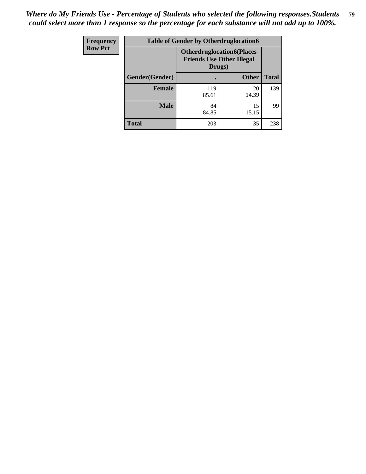| Frequency      | <b>Table of Gender by Otherdruglocation6</b> |                                                                                |              |              |
|----------------|----------------------------------------------|--------------------------------------------------------------------------------|--------------|--------------|
| <b>Row Pct</b> |                                              | <b>Otherdruglocation6(Places</b><br><b>Friends Use Other Illegal</b><br>Drugs) |              |              |
|                | Gender(Gender)                               |                                                                                | <b>Other</b> | <b>Total</b> |
|                | Female                                       | 119<br>85.61                                                                   | 20<br>14.39  | 139          |
|                | <b>Male</b>                                  | 84<br>84.85                                                                    | 15<br>15.15  | 99           |
|                | <b>Total</b>                                 | 203                                                                            | 35           | 238          |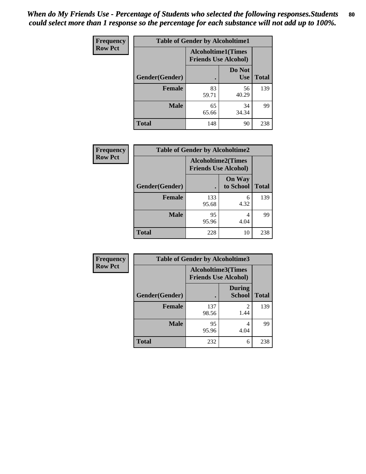| <b>Frequency</b> | <b>Table of Gender by Alcoholtime1</b> |                                                          |                      |              |
|------------------|----------------------------------------|----------------------------------------------------------|----------------------|--------------|
| <b>Row Pct</b>   |                                        | <b>Alcoholtime1(Times</b><br><b>Friends Use Alcohol)</b> |                      |              |
|                  | Gender(Gender)                         | $\bullet$                                                | Do Not<br><b>Use</b> | <b>Total</b> |
|                  | <b>Female</b>                          | 83<br>59.71                                              | 56<br>40.29          | 139          |
|                  | <b>Male</b>                            | 65<br>65.66                                              | 34<br>34.34          | 99           |
|                  | <b>Total</b>                           | 148                                                      | 90                   | 238          |

| Frequency      | <b>Table of Gender by Alcoholtime2</b> |                                                          |                            |              |
|----------------|----------------------------------------|----------------------------------------------------------|----------------------------|--------------|
| <b>Row Pct</b> |                                        | <b>Alcoholtime2(Times</b><br><b>Friends Use Alcohol)</b> |                            |              |
|                | Gender(Gender)                         |                                                          | <b>On Way</b><br>to School | <b>Total</b> |
|                | <b>Female</b>                          | 133<br>95.68                                             | 6<br>4.32                  | 139          |
|                | <b>Male</b>                            | 95<br>95.96                                              | 4<br>4.04                  | 99           |
|                | <b>Total</b>                           | 228                                                      | 10                         | 238          |

| Frequency      | <b>Table of Gender by Alcoholtime3</b> |                                                          |                                  |              |
|----------------|----------------------------------------|----------------------------------------------------------|----------------------------------|--------------|
| <b>Row Pct</b> |                                        | <b>Alcoholtime3(Times</b><br><b>Friends Use Alcohol)</b> |                                  |              |
|                | Gender(Gender)                         |                                                          | <b>During</b><br><b>School</b>   | <b>Total</b> |
|                | Female                                 | 137<br>98.56                                             | $\overline{\mathcal{L}}$<br>1.44 | 139          |
|                | <b>Male</b>                            | 95<br>95.96                                              | 4<br>4.04                        | 99           |
|                | <b>Total</b>                           | 232                                                      | 6                                | 238          |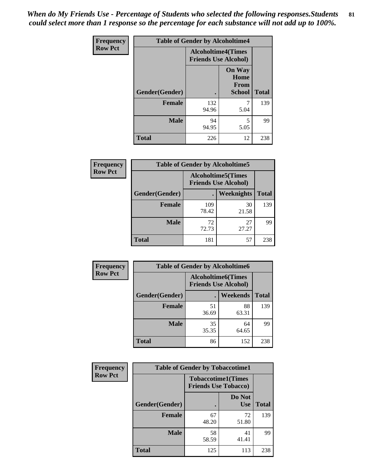*When do My Friends Use - Percentage of Students who selected the following responses.Students could select more than 1 response so the percentage for each substance will not add up to 100%.* **81**

| <b>Frequency</b> | <b>Table of Gender by Alcoholtime4</b> |                                                          |                                                |              |
|------------------|----------------------------------------|----------------------------------------------------------|------------------------------------------------|--------------|
| <b>Row Pct</b>   |                                        | <b>Alcoholtime4(Times</b><br><b>Friends Use Alcohol)</b> |                                                |              |
|                  | Gender(Gender)                         |                                                          | <b>On Way</b><br>Home<br>From<br><b>School</b> | <b>Total</b> |
|                  | <b>Female</b>                          | 132<br>94.96                                             | 7<br>5.04                                      | 139          |
|                  | <b>Male</b>                            | 94<br>94.95                                              | 5<br>5.05                                      | 99           |
|                  | <b>Total</b>                           | 226                                                      | 12                                             | 238          |

| <b>Frequency</b> | <b>Table of Gender by Alcoholtime5</b> |                                                           |             |              |
|------------------|----------------------------------------|-----------------------------------------------------------|-------------|--------------|
| <b>Row Pct</b>   |                                        | <b>Alcoholtime5</b> (Times<br><b>Friends Use Alcohol)</b> |             |              |
|                  | Gender(Gender)                         |                                                           | Weeknights  | <b>Total</b> |
|                  | <b>Female</b>                          | 109<br>78.42                                              | 30<br>21.58 | 139          |
|                  | <b>Male</b>                            | 72<br>72.73                                               | 27<br>27.27 | 99           |
|                  | <b>Total</b>                           | 181                                                       | 57          | 238          |

| <b>Frequency</b> | <b>Table of Gender by Alcoholtime6</b> |             |                                                          |              |
|------------------|----------------------------------------|-------------|----------------------------------------------------------|--------------|
| <b>Row Pct</b>   |                                        |             | <b>Alcoholtime6(Times</b><br><b>Friends Use Alcohol)</b> |              |
|                  | Gender(Gender)                         |             | Weekends                                                 | <b>Total</b> |
|                  | Female                                 | 51<br>36.69 | 88<br>63.31                                              | 139          |
|                  | <b>Male</b>                            | 35<br>35.35 | 64<br>64.65                                              | 99           |
|                  | <b>Total</b>                           | 86          | 152                                                      | 238          |

| Frequency      | <b>Table of Gender by Tobaccotime1</b> |                                                          |                      |              |
|----------------|----------------------------------------|----------------------------------------------------------|----------------------|--------------|
| <b>Row Pct</b> |                                        | <b>Tobaccotime1(Times</b><br><b>Friends Use Tobacco)</b> |                      |              |
|                | Gender(Gender)                         |                                                          | Do Not<br><b>Use</b> | <b>Total</b> |
|                | Female                                 | 67<br>48.20                                              | 72<br>51.80          | 139          |
|                | <b>Male</b>                            | 58<br>58.59                                              | 41<br>41.41          | 99           |
|                | <b>Total</b>                           | 125                                                      | 113                  | 238          |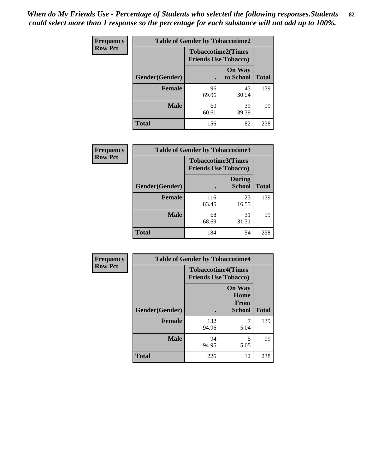| <b>Frequency</b> | <b>Table of Gender by Tobaccotime2</b> |                                                          |                            |              |
|------------------|----------------------------------------|----------------------------------------------------------|----------------------------|--------------|
| <b>Row Pct</b>   |                                        | <b>Tobaccotime2(Times</b><br><b>Friends Use Tobacco)</b> |                            |              |
|                  | Gender(Gender)                         |                                                          | <b>On Way</b><br>to School | <b>Total</b> |
|                  | <b>Female</b>                          | 96<br>69.06                                              | 43<br>30.94                | 139          |
|                  | <b>Male</b>                            | 60<br>60.61                                              | 39<br>39.39                | 99           |
|                  | <b>Total</b>                           | 156                                                      | 82                         | 238          |

| Frequency      | <b>Table of Gender by Tobaccotime3</b> |                                                          |                                |              |
|----------------|----------------------------------------|----------------------------------------------------------|--------------------------------|--------------|
| <b>Row Pct</b> |                                        | <b>Tobaccotime3(Times</b><br><b>Friends Use Tobacco)</b> |                                |              |
|                | Gender(Gender)                         |                                                          | <b>During</b><br><b>School</b> | <b>Total</b> |
|                | Female                                 | 116<br>83.45                                             | 23<br>16.55                    | 139          |
|                | <b>Male</b>                            | 68<br>68.69                                              | 31<br>31.31                    | 99           |
|                | <b>Total</b>                           | 184                                                      | 54                             | 238          |

| <b>Frequency</b> | <b>Table of Gender by Tobaccotime4</b> |                                                          |                                                       |              |
|------------------|----------------------------------------|----------------------------------------------------------|-------------------------------------------------------|--------------|
| <b>Row Pct</b>   |                                        | <b>Tobaccotime4(Times</b><br><b>Friends Use Tobacco)</b> |                                                       |              |
|                  | Gender(Gender)                         |                                                          | <b>On Way</b><br>Home<br><b>From</b><br><b>School</b> | <b>Total</b> |
|                  | <b>Female</b>                          | 132<br>94.96                                             | 7<br>5.04                                             | 139          |
|                  | <b>Male</b>                            | 94<br>94.95                                              | 5<br>5.05                                             | 99           |
|                  | <b>Total</b>                           | 226                                                      | 12                                                    | 238          |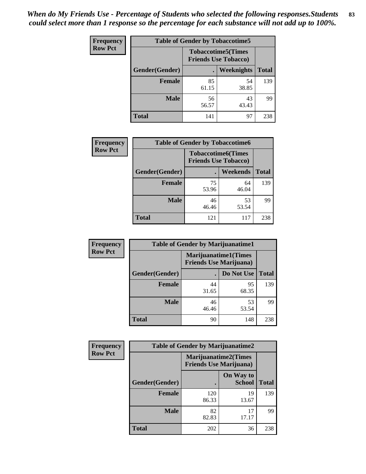| <b>Frequency</b> | <b>Table of Gender by Tobaccotime5</b> |             |                                                          |              |  |
|------------------|----------------------------------------|-------------|----------------------------------------------------------|--------------|--|
| <b>Row Pct</b>   |                                        |             | <b>Tobaccotime5(Times</b><br><b>Friends Use Tobacco)</b> |              |  |
|                  | <b>Gender</b> (Gender)                 |             | Weeknights                                               | <b>Total</b> |  |
|                  | <b>Female</b>                          | 85<br>61.15 | 54<br>38.85                                              | 139          |  |
|                  | <b>Male</b>                            | 56<br>56.57 | 43<br>43.43                                              | 99           |  |
|                  | <b>Total</b>                           | 141         | 97                                                       | 238          |  |

| Frequency      |                | <b>Table of Gender by Tobaccotime6</b>                   |                 |              |
|----------------|----------------|----------------------------------------------------------|-----------------|--------------|
| <b>Row Pct</b> |                | <b>Tobaccotime6(Times</b><br><b>Friends Use Tobacco)</b> |                 |              |
|                | Gender(Gender) |                                                          | <b>Weekends</b> | <b>Total</b> |
|                | Female         | 75<br>53.96                                              | 64<br>46.04     | 139          |
|                | <b>Male</b>    | 46<br>46.46                                              | 53<br>53.54     | 99           |
|                | <b>Total</b>   | 121                                                      | 117             | 238          |

| <b>Frequency</b> | <b>Table of Gender by Marijuanatime1</b> |                                |                             |              |
|------------------|------------------------------------------|--------------------------------|-----------------------------|--------------|
| <b>Row Pct</b>   |                                          | <b>Friends Use Marijuana</b> ) | <b>Marijuanatime1(Times</b> |              |
|                  | Gender(Gender)                           |                                | Do Not Use                  | <b>Total</b> |
|                  | <b>Female</b>                            | 44<br>31.65                    | 95<br>68.35                 | 139          |
|                  | <b>Male</b>                              | 46<br>46.46                    | 53<br>53.54                 | 99           |
|                  | <b>Total</b>                             | 90                             | 148                         | 238          |

| <b>Frequency</b> | <b>Table of Gender by Marijuanatime2</b> |                                |                             |              |
|------------------|------------------------------------------|--------------------------------|-----------------------------|--------------|
| <b>Row Pct</b>   |                                          | <b>Friends Use Marijuana</b> ) | <b>Marijuanatime2(Times</b> |              |
|                  | Gender(Gender)                           |                                | On Way to<br><b>School</b>  | <b>Total</b> |
|                  | Female                                   | 120<br>86.33                   | 19<br>13.67                 | 139          |
|                  | <b>Male</b>                              | 82<br>82.83                    | 17<br>17.17                 | 99           |
|                  | <b>Total</b>                             | 202                            | 36                          | 238          |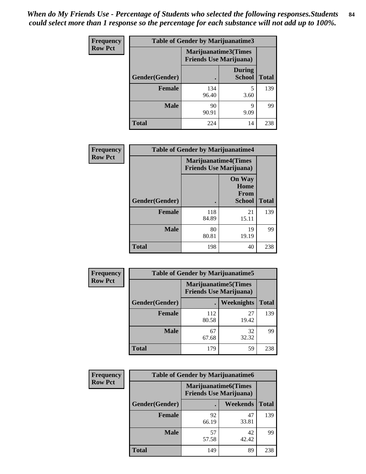| Frequency      | <b>Table of Gender by Marijuanatime3</b> |                                                        |                                |              |
|----------------|------------------------------------------|--------------------------------------------------------|--------------------------------|--------------|
| <b>Row Pct</b> |                                          | Marijuanatime3(Times<br><b>Friends Use Marijuana</b> ) |                                |              |
|                | <b>Gender</b> (Gender)                   |                                                        | <b>During</b><br><b>School</b> | <b>Total</b> |
|                | <b>Female</b>                            | 134<br>96.40                                           | 5<br>3.60                      | 139          |
|                | <b>Male</b>                              | 90<br>90.91                                            | 9<br>9.09                      | 99           |
|                | <b>Total</b>                             | 224                                                    | 14                             | 238          |

| Frequency      | <b>Table of Gender by Marijuanatime4</b> |                                |                                                       |              |
|----------------|------------------------------------------|--------------------------------|-------------------------------------------------------|--------------|
| <b>Row Pct</b> |                                          | <b>Friends Use Marijuana</b> ) | <b>Marijuanatime4</b> (Times                          |              |
|                | Gender(Gender)                           |                                | <b>On Way</b><br>Home<br><b>From</b><br><b>School</b> | <b>Total</b> |
|                | <b>Female</b>                            | 118<br>84.89                   | 21<br>15.11                                           | 139          |
|                | <b>Male</b>                              | 80<br>80.81                    | 19<br>19.19                                           | 99           |
|                | <b>Total</b>                             | 198                            | 40                                                    | 238          |

| <b>Frequency</b> | <b>Table of Gender by Marijuanatime5</b> |              |                                                                |              |  |
|------------------|------------------------------------------|--------------|----------------------------------------------------------------|--------------|--|
| <b>Row Pct</b>   |                                          |              | <b>Marijuanatime5</b> (Times<br><b>Friends Use Marijuana</b> ) |              |  |
|                  | Gender(Gender)                           | ٠            | Weeknights                                                     | <b>Total</b> |  |
|                  | <b>Female</b>                            | 112<br>80.58 | 27<br>19.42                                                    | 139          |  |
|                  | <b>Male</b>                              | 67<br>67.68  | 32<br>32.32                                                    | 99           |  |
|                  | <b>Total</b>                             | 179          | 59                                                             | 238          |  |

| <b>Frequency</b> | <b>Table of Gender by Marijuanatime6</b> |                                                               |                 |              |  |
|------------------|------------------------------------------|---------------------------------------------------------------|-----------------|--------------|--|
| <b>Row Pct</b>   |                                          | <b>Marijuanatime6(Times</b><br><b>Friends Use Marijuana</b> ) |                 |              |  |
|                  | Gender(Gender)                           |                                                               | <b>Weekends</b> | <b>Total</b> |  |
|                  | <b>Female</b>                            | 92<br>66.19                                                   | 47<br>33.81     | 139          |  |
|                  | <b>Male</b>                              | 57<br>57.58                                                   | 42<br>42.42     | 99           |  |
|                  | <b>Total</b>                             | 149                                                           | 89              | 238          |  |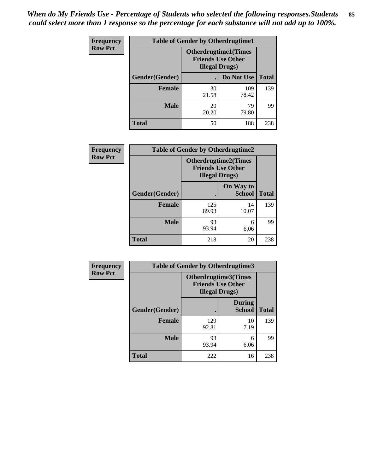*When do My Friends Use - Percentage of Students who selected the following responses.Students could select more than 1 response so the percentage for each substance will not add up to 100%.* **85**

| <b>Frequency</b> | <b>Table of Gender by Otherdrugtime1</b> |                                                                                    |              |              |
|------------------|------------------------------------------|------------------------------------------------------------------------------------|--------------|--------------|
| <b>Row Pct</b>   |                                          | <b>Otherdrugtime1</b> (Times<br><b>Friends Use Other</b><br><b>Illegal Drugs</b> ) |              |              |
|                  | Gender(Gender)                           |                                                                                    | Do Not Use   | <b>Total</b> |
|                  | <b>Female</b>                            | 30<br>21.58                                                                        | 109<br>78.42 | 139          |
|                  | <b>Male</b>                              | 20<br>20.20                                                                        | 79<br>79.80  | 99           |
|                  | <b>Total</b>                             | 50                                                                                 | 188          | 238          |

| Frequency      | <b>Table of Gender by Otherdrugtime2</b> |                                                                                   |                            |              |
|----------------|------------------------------------------|-----------------------------------------------------------------------------------|----------------------------|--------------|
| <b>Row Pct</b> |                                          | <b>Otherdrugtime2(Times</b><br><b>Friends Use Other</b><br><b>Illegal Drugs</b> ) |                            |              |
|                | Gender(Gender)                           |                                                                                   | On Way to<br><b>School</b> | <b>Total</b> |
|                | <b>Female</b>                            | 125<br>89.93                                                                      | 14<br>10.07                | 139          |
|                | <b>Male</b>                              | 93<br>93.94                                                                       | 6<br>6.06                  | 99           |
|                | <b>Total</b>                             | 218                                                                               | 20                         | 238          |

| Frequency      | <b>Table of Gender by Otherdrugtime3</b> |                       |                                                         |              |
|----------------|------------------------------------------|-----------------------|---------------------------------------------------------|--------------|
| <b>Row Pct</b> |                                          | <b>Illegal Drugs)</b> | <b>Otherdrugtime3(Times</b><br><b>Friends Use Other</b> |              |
|                | Gender(Gender)                           |                       | <b>During</b><br><b>School</b>                          | <b>Total</b> |
|                | <b>Female</b>                            | 129<br>92.81          | 10<br>7.19                                              | 139          |
|                | <b>Male</b>                              | 93<br>93.94           | 6<br>6.06                                               | 99           |
|                | <b>Total</b>                             | 222                   | 16                                                      | 238          |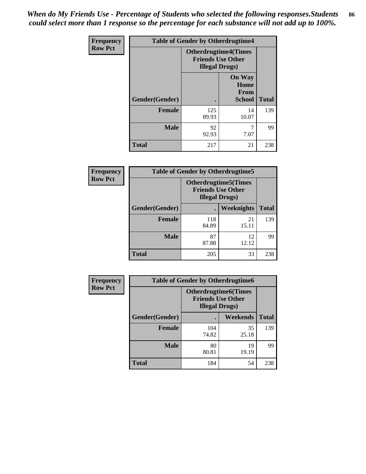*When do My Friends Use - Percentage of Students who selected the following responses.Students could select more than 1 response so the percentage for each substance will not add up to 100%.* **86**

| <b>Frequency</b> | <b>Table of Gender by Otherdrugtime4</b> |                                                    |                                                       |              |
|------------------|------------------------------------------|----------------------------------------------------|-------------------------------------------------------|--------------|
| <b>Row Pct</b>   |                                          | <b>Friends Use Other</b><br><b>Illegal Drugs</b> ) | <b>Otherdrugtime4(Times</b>                           |              |
|                  | Gender(Gender)                           |                                                    | <b>On Way</b><br>Home<br><b>From</b><br><b>School</b> | <b>Total</b> |
|                  | <b>Female</b>                            | 125<br>89.93                                       | 14<br>10.07                                           | 139          |
|                  | <b>Male</b>                              | 92<br>92.93                                        | 7.07                                                  | 99           |
|                  | <b>Total</b>                             | 217                                                | 21                                                    | 238          |

| Frequency      | <b>Table of Gender by Otherdrugtime5</b> |                                                                                    |                   |              |
|----------------|------------------------------------------|------------------------------------------------------------------------------------|-------------------|--------------|
| <b>Row Pct</b> |                                          | <b>Otherdrugtime5</b> (Times<br><b>Friends Use Other</b><br><b>Illegal Drugs</b> ) |                   |              |
|                | Gender(Gender)                           |                                                                                    | <b>Weeknights</b> | <b>Total</b> |
|                | <b>Female</b>                            | 118<br>84.89                                                                       | 21<br>15.11       | 139          |
|                | <b>Male</b>                              | 87<br>87.88                                                                        | 12<br>12.12       | 99           |
|                | <b>Total</b>                             | 205                                                                                | 33                | 238          |

| <b>Frequency</b> | <b>Table of Gender by Otherdrugtime6</b> |                                                                                   |             |              |
|------------------|------------------------------------------|-----------------------------------------------------------------------------------|-------------|--------------|
| <b>Row Pct</b>   |                                          | <b>Otherdrugtime6(Times</b><br><b>Friends Use Other</b><br><b>Illegal Drugs</b> ) |             |              |
|                  | Gender(Gender)                           |                                                                                   | Weekends    | <b>Total</b> |
|                  | <b>Female</b>                            | 104<br>74.82                                                                      | 35<br>25.18 | 139          |
|                  | <b>Male</b>                              | 80<br>80.81                                                                       | 19<br>19.19 | 99           |
|                  | <b>Total</b>                             | 184                                                                               | 54          | 238          |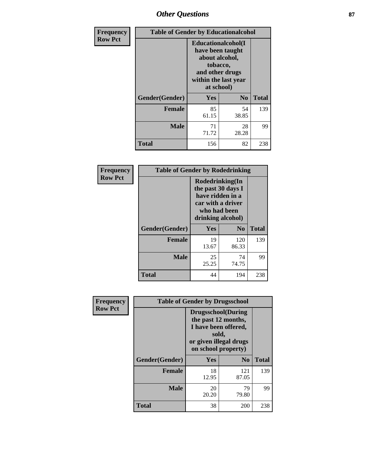# *Other Questions* **87**

| Frequency      | <b>Table of Gender by Educationalcohol</b> |                                                                                                                               |                |              |  |
|----------------|--------------------------------------------|-------------------------------------------------------------------------------------------------------------------------------|----------------|--------------|--|
| <b>Row Pct</b> |                                            | Educationalcohol(I<br>have been taught<br>about alcohol,<br>tobacco,<br>and other drugs<br>within the last year<br>at school) |                |              |  |
|                | Gender(Gender)                             | Yes                                                                                                                           | N <sub>0</sub> | <b>Total</b> |  |
|                | <b>Female</b>                              | 85<br>61.15                                                                                                                   | 54<br>38.85    | 139          |  |
|                | <b>Male</b>                                | 71<br>71.72                                                                                                                   | 28<br>28.28    | 99           |  |
|                | <b>Total</b>                               | 156                                                                                                                           | 82             | 238          |  |

| Frequency      | <b>Table of Gender by Rodedrinking</b> |                                                                                                                     |              |              |  |
|----------------|----------------------------------------|---------------------------------------------------------------------------------------------------------------------|--------------|--------------|--|
| <b>Row Pct</b> |                                        | Rodedrinking(In<br>the past 30 days I<br>have ridden in a<br>car with a driver<br>who had been<br>drinking alcohol) |              |              |  |
|                | Gender(Gender)                         | Yes                                                                                                                 | $\bf N_0$    | <b>Total</b> |  |
|                | <b>Female</b>                          | 19<br>13.67                                                                                                         | 120<br>86.33 | 139          |  |
|                | <b>Male</b>                            | 25<br>25.25                                                                                                         | 74<br>74.75  | 99           |  |
|                | <b>Total</b>                           | 44                                                                                                                  | 194          | 238          |  |

| Frequency      | <b>Table of Gender by Drugsschool</b> |                                                                                                                                     |                |              |  |
|----------------|---------------------------------------|-------------------------------------------------------------------------------------------------------------------------------------|----------------|--------------|--|
| <b>Row Pct</b> |                                       | <b>Drugsschool</b> (During<br>the past 12 months,<br>I have been offered,<br>sold,<br>or given illegal drugs<br>on school property) |                |              |  |
|                | Gender(Gender)                        | Yes                                                                                                                                 | N <sub>0</sub> | <b>Total</b> |  |
|                | <b>Female</b>                         | 18<br>12.95                                                                                                                         | 121<br>87.05   | 139          |  |
|                | <b>Male</b>                           | 20<br>20.20                                                                                                                         | 79<br>79.80    | 99           |  |
|                | <b>Total</b>                          | 38                                                                                                                                  | 200            | 238          |  |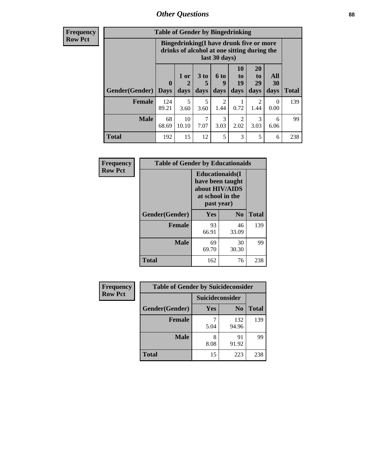# *Other Questions* **88**

**Frequency Row Pct**

| <b>Table of Gender by Bingedrinking</b> |                        |                                                                                                         |                   |                   |                        |                               |                   |              |
|-----------------------------------------|------------------------|---------------------------------------------------------------------------------------------------------|-------------------|-------------------|------------------------|-------------------------------|-------------------|--------------|
|                                         |                        | Bingedrinking(I have drunk five or more<br>drinks of alcohol at one sitting during the<br>last 30 days) |                   |                   |                        |                               |                   |              |
| <b>Gender</b> (Gender)                  | $\mathbf{0}$<br>  Davs | 1 or<br>days                                                                                            | 3 to<br>5<br>days | 6 to<br>q<br>days | 10<br>to<br>19<br>days | <b>20</b><br>to<br>29<br>days | All<br>30<br>days | <b>Total</b> |
| <b>Female</b>                           | 124<br>89.21           | 5<br>3.60                                                                                               | 5<br>3.60         | 2<br>1.44         | 0.72                   | 2<br>1.44                     | 0<br>0.00         | 139          |
|                                         |                        |                                                                                                         |                   |                   |                        | 3                             | 6                 | 99           |
| <b>Male</b>                             | 68<br>68.69            | 10<br>10.10                                                                                             | 7<br>7.07         | 3<br>3.03         | 2<br>2.02              | 3.03                          | 6.06              |              |

| Frequency      | <b>Table of Gender by Educationaids</b> |                                                                                                 |                |              |  |
|----------------|-----------------------------------------|-------------------------------------------------------------------------------------------------|----------------|--------------|--|
| <b>Row Pct</b> |                                         | <b>Educationaids</b> (I<br>have been taught<br>about HIV/AIDS<br>at school in the<br>past year) |                |              |  |
|                | Gender(Gender)                          | Yes                                                                                             | N <sub>0</sub> | <b>Total</b> |  |
|                | <b>Female</b>                           | 93<br>66.91                                                                                     | 46<br>33.09    | 139          |  |
|                | <b>Male</b>                             | 69<br>69.70                                                                                     | 30<br>30.30    | 99           |  |
|                | <b>Total</b>                            | 162                                                                                             | 76             | 238          |  |

| <b>Frequency</b> | <b>Table of Gender by Suicideconsider</b> |                 |                |              |  |
|------------------|-------------------------------------------|-----------------|----------------|--------------|--|
| <b>Row Pct</b>   |                                           | Suicideconsider |                |              |  |
|                  | Gender(Gender)                            | Yes             | N <sub>0</sub> | <b>Total</b> |  |
|                  | <b>Female</b>                             | 5.04            | 132<br>94.96   | 139          |  |
|                  | <b>Male</b>                               | 8<br>8.08       | 91<br>91.92    | 99           |  |
|                  | <b>Total</b>                              | 15              | 223            | 238          |  |